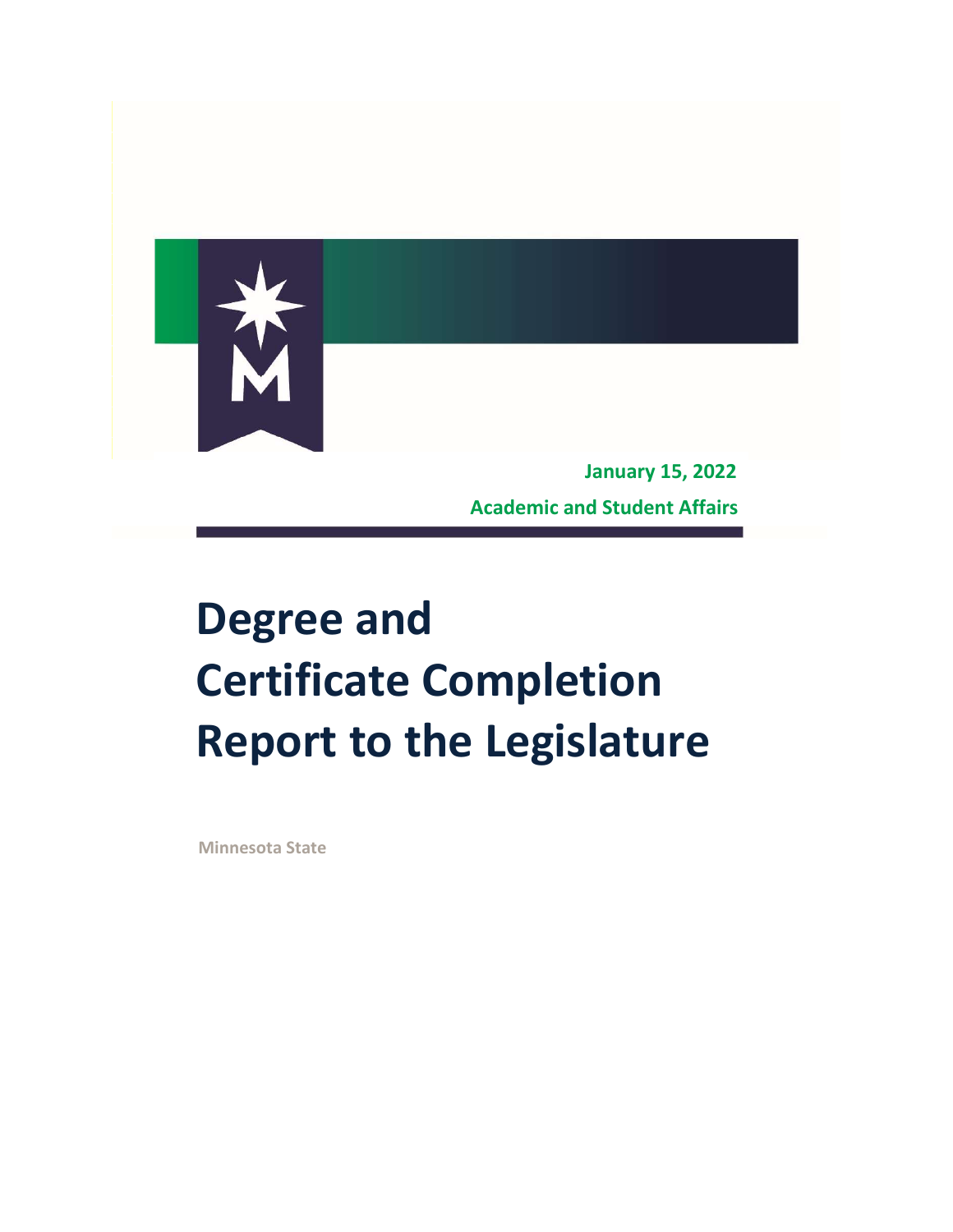

Academic and Student Affairs

# Degree and Certificate Completion Report to the Legislature

Minnesota State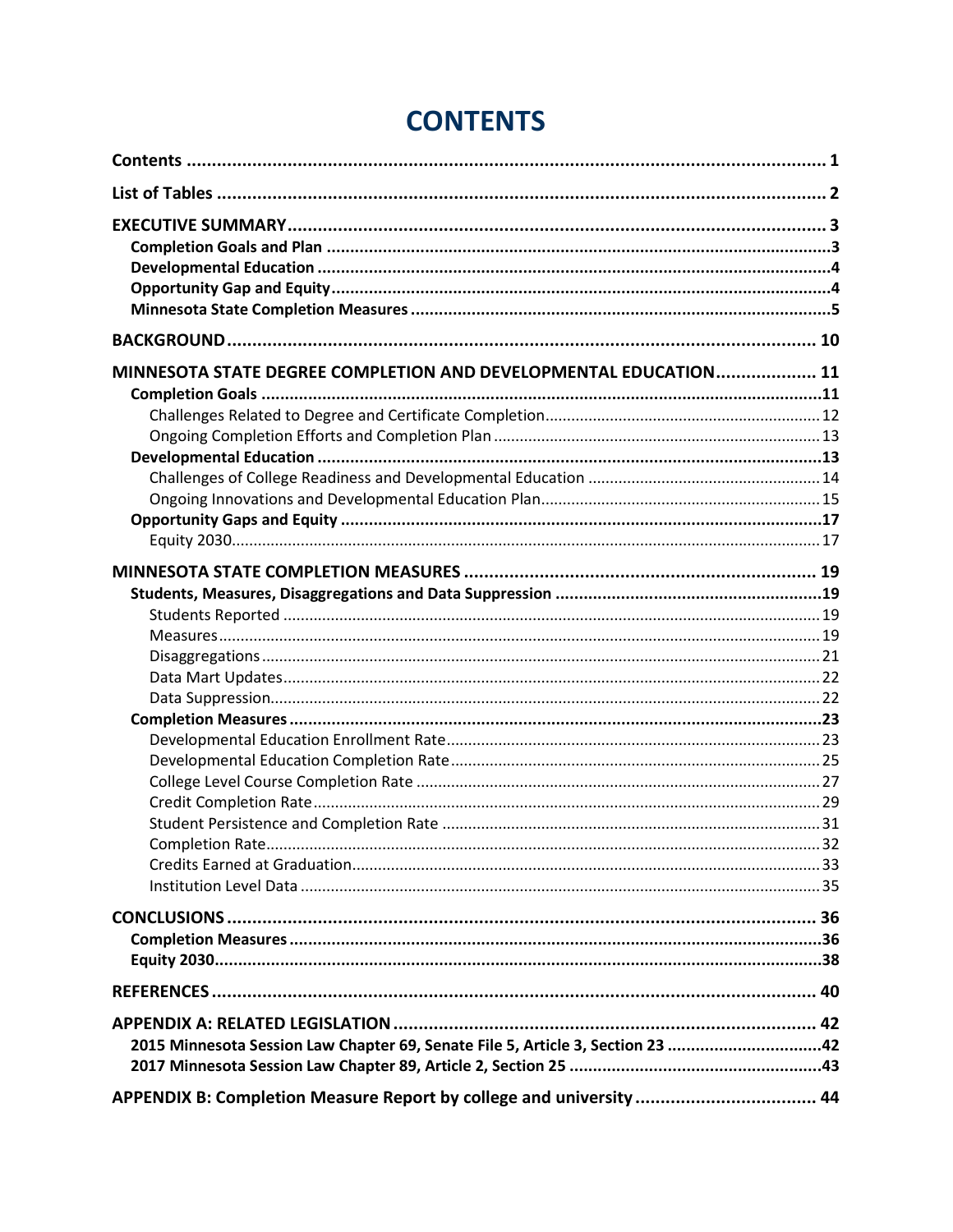| MINNESOTA STATE DEGREE COMPLETION AND DEVELOPMENTAL EDUCATION 11                                                                                      |  |
|-------------------------------------------------------------------------------------------------------------------------------------------------------|--|
|                                                                                                                                                       |  |
|                                                                                                                                                       |  |
|                                                                                                                                                       |  |
|                                                                                                                                                       |  |
|                                                                                                                                                       |  |
|                                                                                                                                                       |  |
|                                                                                                                                                       |  |
| 2015 Minnesota Session Law Chapter 69, Senate File 5, Article 3, Section 23 42<br>APPENDIX B: Completion Measure Report by college and university  44 |  |
|                                                                                                                                                       |  |

## **CONTENTS**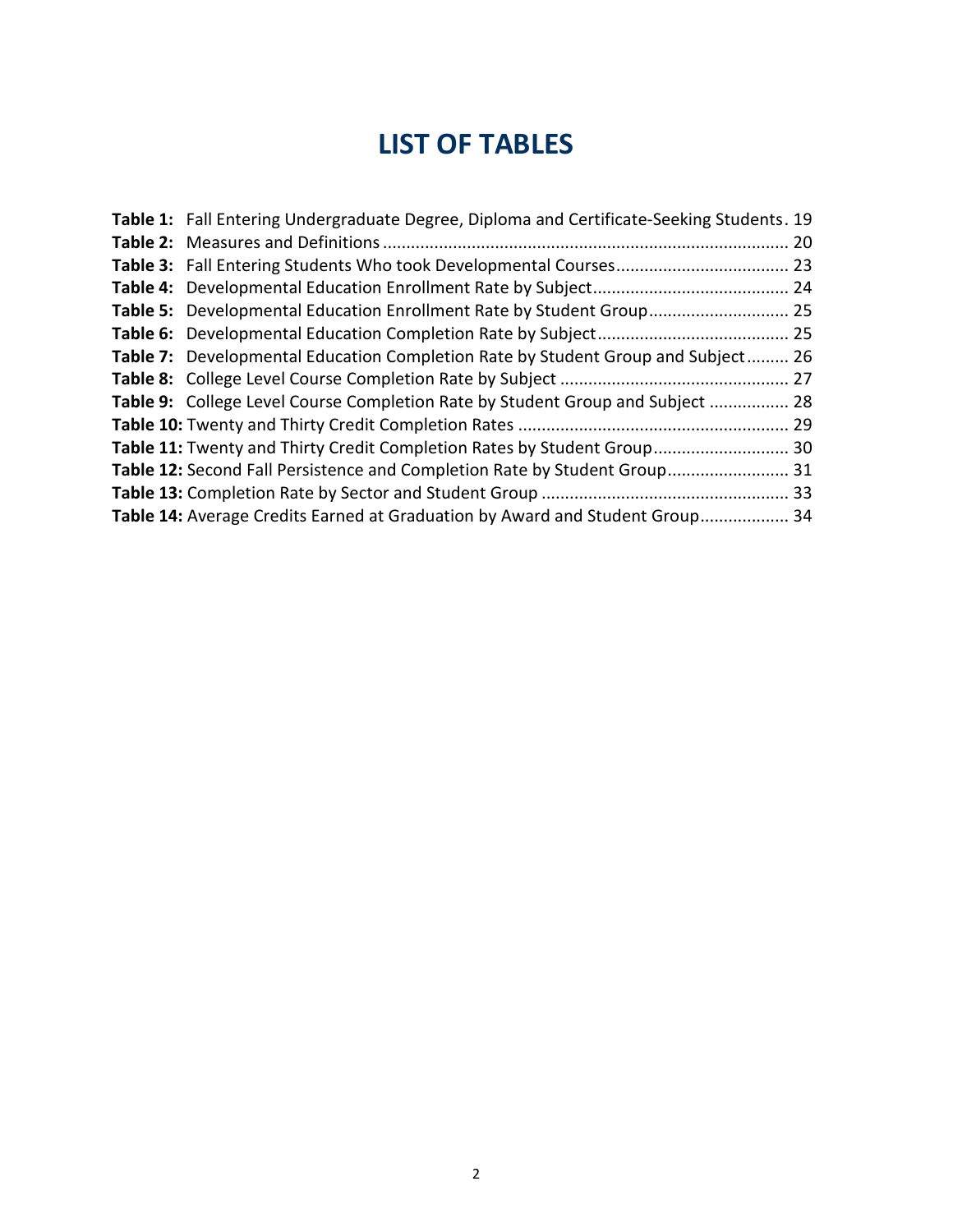## LIST OF TABLES

| Table 1: Fall Entering Undergraduate Degree, Diploma and Certificate-Seeking Students. 19 |  |
|-------------------------------------------------------------------------------------------|--|
|                                                                                           |  |
|                                                                                           |  |
|                                                                                           |  |
| Table 5: Developmental Education Enrollment Rate by Student Group 25                      |  |
|                                                                                           |  |
| <b>Table 7:</b> Developmental Education Completion Rate by Student Group and Subject 26   |  |
|                                                                                           |  |
| Table 9: College Level Course Completion Rate by Student Group and Subject  28            |  |
|                                                                                           |  |
| Table 11: Twenty and Thirty Credit Completion Rates by Student Group 30                   |  |
| Table 12: Second Fall Persistence and Completion Rate by Student Group 31                 |  |
|                                                                                           |  |
| Table 14: Average Credits Earned at Graduation by Award and Student Group 34              |  |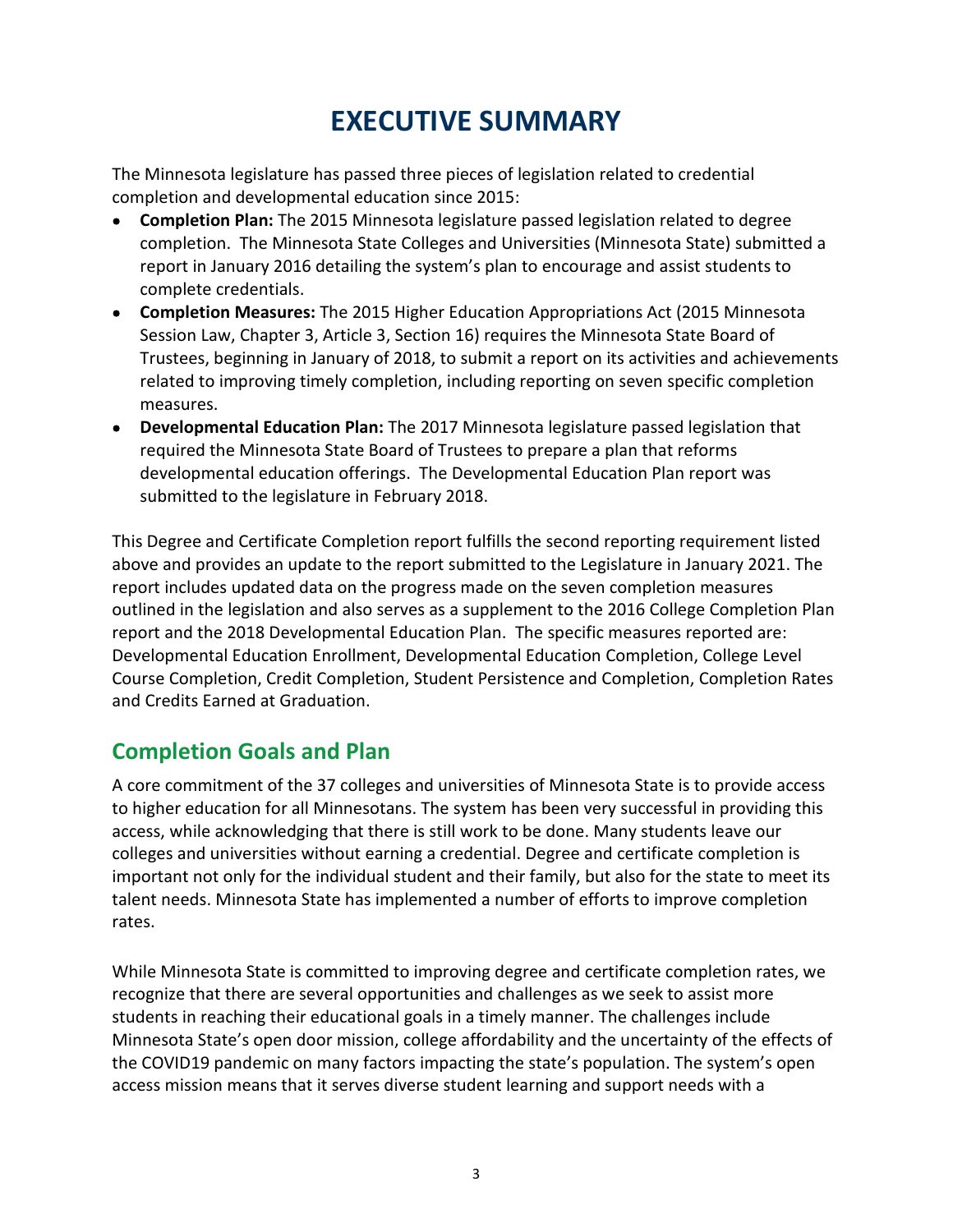## EXECUTIVE SUMMARY

 The Minnesota legislature has passed three pieces of legislation related to credential completion and developmental education since 2015:

- Completion Plan: The 2015 Minnesota legislature passed legislation related to degree completion. The Minnesota State Colleges and Universities (Minnesota State) submitted a report in January 2016 detailing the system's plan to encourage and assist students to complete credentials.
- Completion Measures: The 2015 Higher Education Appropriations Act (2015 Minnesota Session Law, Chapter 3, Article 3, Section 16) requires the Minnesota State Board of Trustees, beginning in January of 2018, to submit a report on its activities and achievements related to improving timely completion, including reporting on seven specific completion measures.
- Developmental Education Plan: The 2017 Minnesota legislature passed legislation that required the Minnesota State Board of Trustees to prepare a plan that reforms developmental education offerings. The Developmental Education Plan report was submitted to the legislature in February 2018.

 This Degree and Certificate Completion report fulfills the second reporting requirement listed above and provides an update to the report submitted to the Legislature in January 2021. The report includes updated data on the progress made on the seven completion measures outlined in the legislation and also serves as a supplement to the 2016 College Completion Plan report and the 2018 Developmental Education Plan. The specific measures reported are: Developmental Education Enrollment, Developmental Education Completion, College Level Course Completion, Credit Completion, Student Persistence and Completion, Completion Rates and Credits Earned at Graduation.

## Completion Goals and Plan

 A core commitment of the 37 colleges and universities of Minnesota State is to provide access to higher education for all Minnesotans. The system has been very successful in providing this access, while acknowledging that there is still work to be done. Many students leave our colleges and universities without earning a credential. Degree and certificate completion is important not only for the individual student and their family, but also for the state to meet its talent needs. Minnesota State has implemented a number of efforts to improve completion rates.

 While Minnesota State is committed to improving degree and certificate completion rates, we recognize that there are several opportunities and challenges as we seek to assist more students in reaching their educational goals in a timely manner. The challenges include Minnesota State's open door mission, college affordability and the uncertainty of the effects of the COVID19 pandemic on many factors impacting the state's population. The system's open access mission means that it serves diverse student learning and support needs with a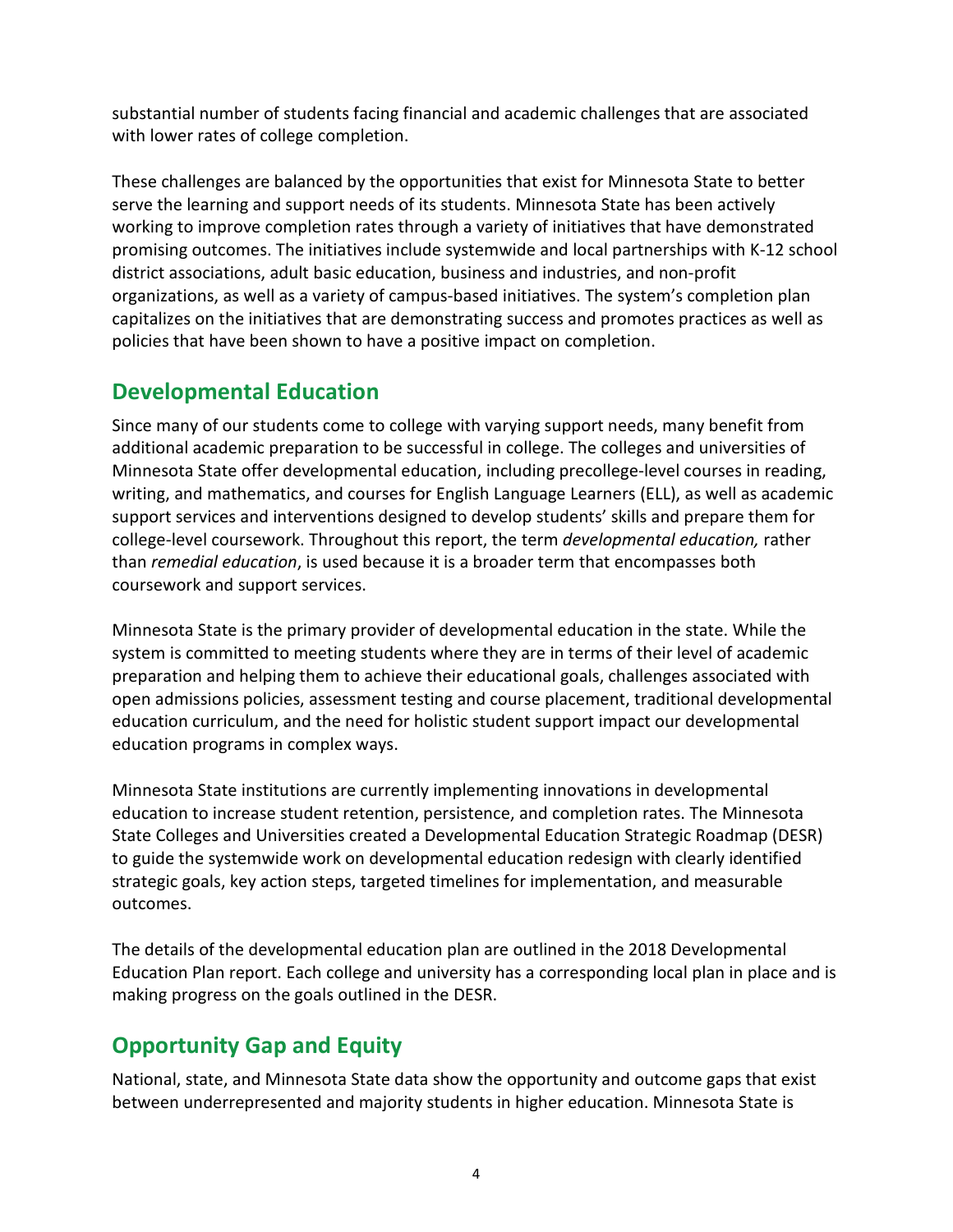substantial number of students facing financial and academic challenges that are associated with lower rates of college completion.

 These challenges are balanced by the opportunities that exist for Minnesota State to better serve the learning and support needs of its students. Minnesota State has been actively working to improve completion rates through a variety of initiatives that have demonstrated promising outcomes. The initiatives include systemwide and local partnerships with K-12 school district associations, adult basic education, business and industries, and non-profit organizations, as well as a variety of campus-based initiatives. The system's completion plan capitalizes on the initiatives that are demonstrating success and promotes practices as well as policies that have been shown to have a positive impact on completion.

## Developmental Education

 Since many of our students come to college with varying support needs, many benefit from additional academic preparation to be successful in college. The colleges and universities of Minnesota State offer developmental education, including precollege-level courses in reading, writing, and mathematics, and courses for English Language Learners (ELL), as well as academic support services and interventions designed to develop students' skills and prepare them for college-level coursework. Throughout this report, the term developmental education, rather than remedial education, is used because it is a broader term that encompasses both coursework and support services.

 Minnesota State is the primary provider of developmental education in the state. While the system is committed to meeting students where they are in terms of their level of academic preparation and helping them to achieve their educational goals, challenges associated with open admissions policies, assessment testing and course placement, traditional developmental education curriculum, and the need for holistic student support impact our developmental education programs in complex ways.

 Minnesota State institutions are currently implementing innovations in developmental education to increase student retention, persistence, and completion rates. The Minnesota State Colleges and Universities created a Developmental Education Strategic Roadmap (DESR) to guide the systemwide work on developmental education redesign with clearly identified strategic goals, key action steps, targeted timelines for implementation, and measurable outcomes.

 The details of the developmental education plan are outlined in the 2018 Developmental Education Plan report. Each college and university has a corresponding local plan in place and is making progress on the goals outlined in the DESR.

## Opportunity Gap and Equity

 National, state, and Minnesota State data show the opportunity and outcome gaps that exist between underrepresented and majority students in higher education. Minnesota State is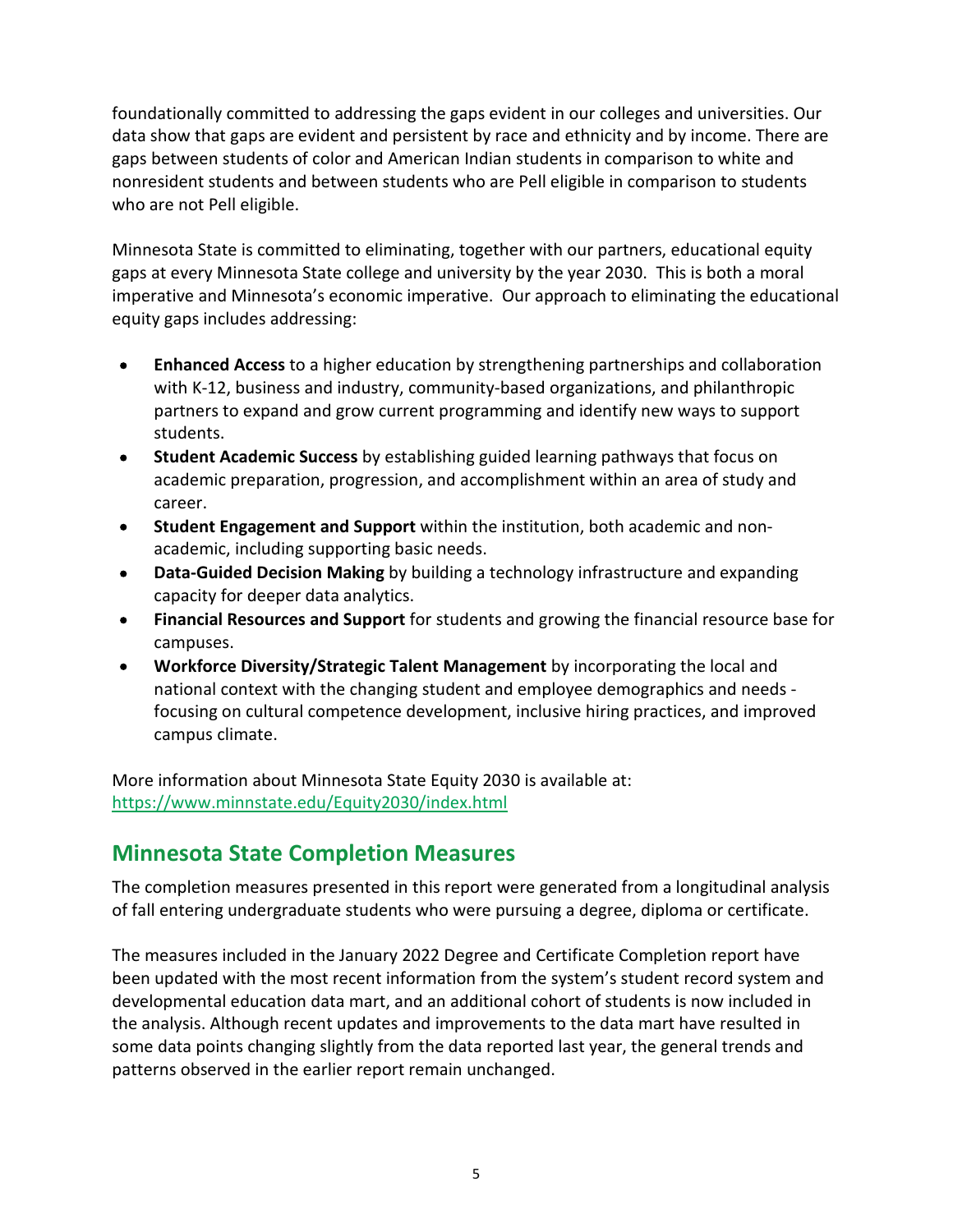foundationally committed to addressing the gaps evident in our colleges and universities. Our data show that gaps are evident and persistent by race and ethnicity and by income. There are gaps between students of color and American Indian students in comparison to white and nonresident students and between students who are Pell eligible in comparison to students who are not Pell eligible.

 Minnesota State is committed to eliminating, together with our partners, educational equity gaps at every Minnesota State college and university by the year 2030. This is both a moral imperative and Minnesota's economic imperative. Our approach to eliminating the educational equity gaps includes addressing:

- Enhanced Access to a higher education by strengthening partnerships and collaboration  $\bullet$  with K-12, business and industry, community-based organizations, and philanthropic partners to expand and grow current programming and identify new ways to support students.
- Student Academic Success by establishing guided learning pathways that focus on  $\bullet$  academic preparation, progression, and accomplishment within an area of study and career.
- Student Engagement and Support within the institution, both academic and non- $\bullet$ academic, including supporting basic needs.
- Data-Guided Decision Making by building a technology infrastructure and expanding  $\bullet$ capacity for deeper data analytics.
- Financial Resources and Support for students and growing the financial resource base for  $\bullet$ campuses.
- Workforce Diversity/Strategic Talent Management by incorporating the local and  $\bullet$  national context with the changing student and employee demographics and needs - focusing on cultural competence development, inclusive hiring practices, and improved campus climate.

 More information about Minnesota State Equity 2030 is available at: <https://www.minnstate.edu/Equity2030/index.html>

## Minnesota State Completion Measures

 The completion measures presented in this report were generated from a longitudinal analysis of fall entering undergraduate students who were pursuing a degree, diploma or certificate.

 The measures included in the January 2022 Degree and Certificate Completion report have been updated with the most recent information from the system's student record system and developmental education data mart, and an additional cohort of students is now included in the analysis. Although recent updates and improvements to the data mart have resulted in some data points changing slightly from the data reported last year, the general trends and patterns observed in the earlier report remain unchanged.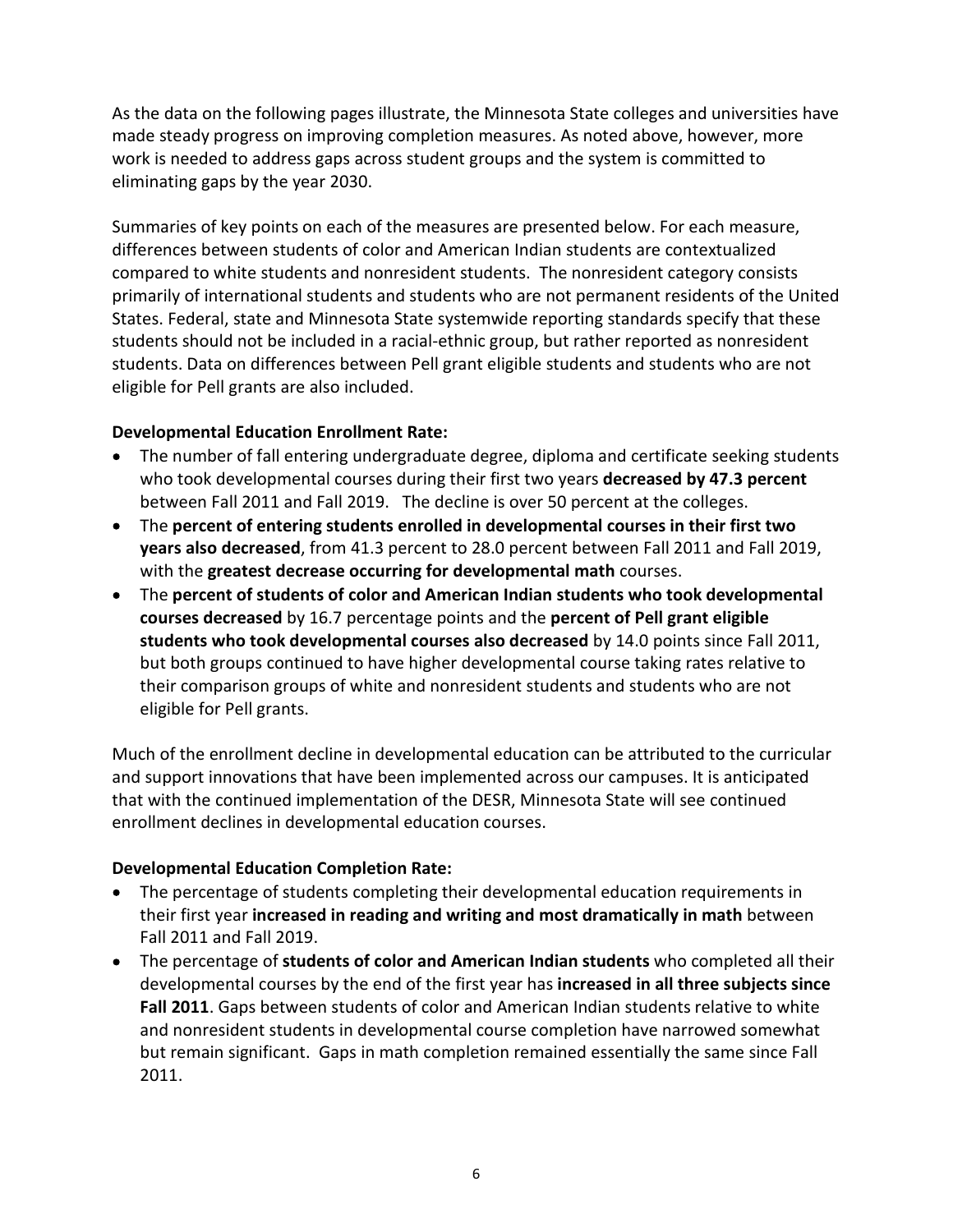As the data on the following pages illustrate, the Minnesota State colleges and universities have made steady progress on improving completion measures. As noted above, however, more work is needed to address gaps across student groups and the system is committed to eliminating gaps by the year 2030.

 Summaries of key points on each of the measures are presented below. For each measure, differences between students of color and American Indian students are contextualized compared to white students and nonresident students. The nonresident category consists primarily of international students and students who are not permanent residents of the United States. Federal, state and Minnesota State systemwide reporting standards specify that these students should not be included in a racial-ethnic group, but rather reported as nonresident students. Data on differences between Pell grant eligible students and students who are not eligible for Pell grants are also included.

#### Developmental Education Enrollment Rate:

- The number of fall entering undergraduate degree, diploma and certificate seeking students who took developmental courses during their first two years decreased by 47.3 percent between Fall 2011 and Fall 2019. The decline is over 50 percent at the colleges.
- The percent of entering students enrolled in developmental courses in their first two years also decreased, from 41.3 percent to 28.0 percent between Fall 2011 and Fall 2019, with the greatest decrease occurring for developmental math courses.
- The percent of students of color and American Indian students who took developmental courses decreased by 16.7 percentage points and the percent of Pell grant eligible students who took developmental courses also decreased by 14.0 points since Fall 2011, but both groups continued to have higher developmental course taking rates relative to their comparison groups of white and nonresident students and students who are not eligible for Pell grants.

 Much of the enrollment decline in developmental education can be attributed to the curricular and support innovations that have been implemented across our campuses. It is anticipated that with the continued implementation of the DESR, Minnesota State will see continued enrollment declines in developmental education courses.

#### Developmental Education Completion Rate:

- The percentage of students completing their developmental education requirements in their first year increased in reading and writing and most dramatically in math between Fall 2011 and Fall 2019.
- The percentage of students of color and American Indian students who completed all their developmental courses by the end of the first year has increased in all three subjects since Fall 2011. Gaps between students of color and American Indian students relative to white and nonresident students in developmental course completion have narrowed somewhat but remain significant. Gaps in math completion remained essentially the same since Fall 2011.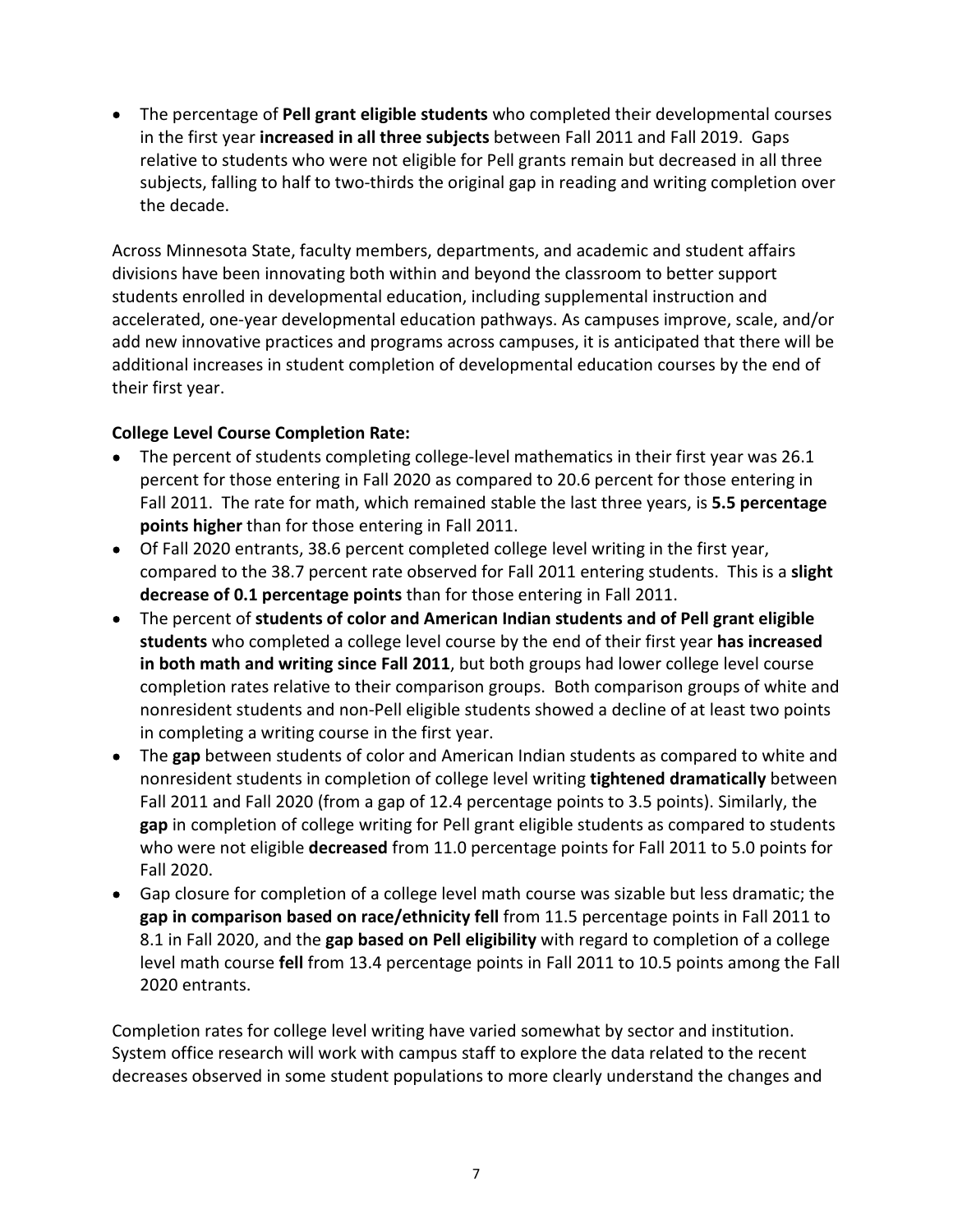The percentage of Pell grant eligible students who completed their developmental courses in the first year increased in all three subjects between Fall 2011 and Fall 2019. Gaps relative to students who were not eligible for Pell grants remain but decreased in all three subjects, falling to half to two-thirds the original gap in reading and writing completion over the decade.

 Across Minnesota State, faculty members, departments, and academic and student affairs divisions have been innovating both within and beyond the classroom to better support students enrolled in developmental education, including supplemental instruction and accelerated, one-year developmental education pathways. As campuses improve, scale, and/or add new innovative practices and programs across campuses, it is anticipated that there will be additional increases in student completion of developmental education courses by the end of their first year.

#### College Level Course Completion Rate:

- The percent of students completing college-level mathematics in their first year was 26.1 percent for those entering in Fall 2020 as compared to 20.6 percent for those entering in Fall 2011. The rate for math, which remained stable the last three years, is 5.5 percentage points higher than for those entering in Fall 2011.
- Of Fall 2020 entrants, 38.6 percent completed college level writing in the first year, compared to the 38.7 percent rate observed for Fall 2011 entering students. This is a slight decrease of 0.1 percentage points than for those entering in Fall 2011.
- The percent of students of color and American Indian students and of Pell grant eligible students who completed a college level course by the end of their first year has increased in both math and writing since Fall 2011, but both groups had lower college level course completion rates relative to their comparison groups. Both comparison groups of white and nonresident students and non-Pell eligible students showed a decline of at least two points in completing a writing course in the first year.
- The gap between students of color and American Indian students as compared to white and nonresident students in completion of college level writing tightened dramatically between Fall 2011 and Fall 2020 (from a gap of 12.4 percentage points to 3.5 points). Similarly, the gap in completion of college writing for Pell grant eligible students as compared to students who were not eligible decreased from 11.0 percentage points for Fall 2011 to 5.0 points for Fall 2020.
- Gap closure for completion of a college level math course was sizable but less dramatic; the gap in comparison based on race/ethnicity fell from 11.5 percentage points in Fall 2011 to 8.1 in Fall 2020, and the gap based on Pell eligibility with regard to completion of a college level math course fell from 13.4 percentage points in Fall 2011 to 10.5 points among the Fall 2020 entrants.

 Completion rates for college level writing have varied somewhat by sector and institution. System office research will work with campus staff to explore the data related to the recent decreases observed in some student populations to more clearly understand the changes and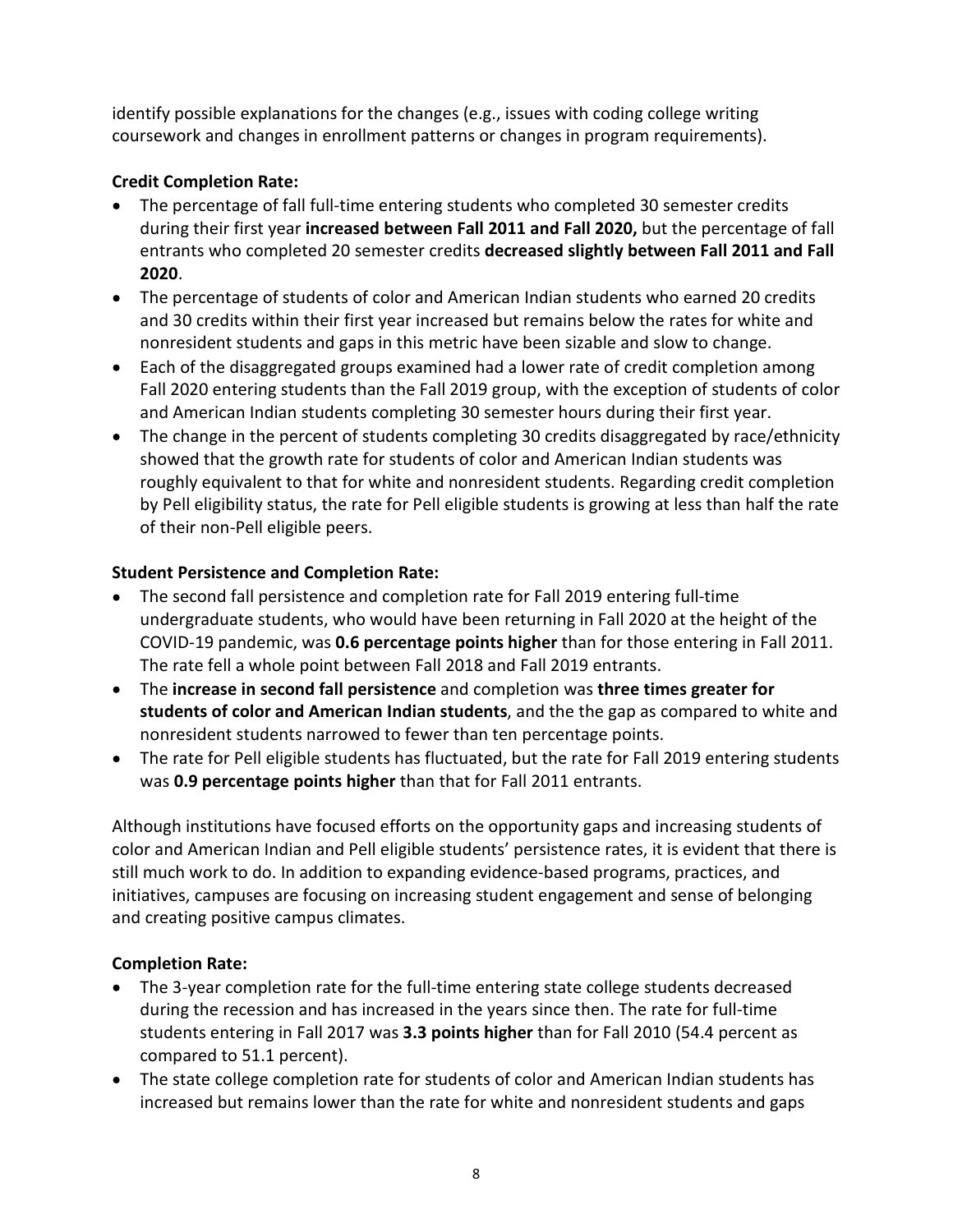identify possible explanations for the changes (e.g., issues with coding college writing coursework and changes in enrollment patterns or changes in program requirements).

### Credit Completion Rate:

- The percentage of fall full-time entering students who completed 30 semester credits during their first year increased between Fall 2011 and Fall 2020, but the percentage of fall entrants who completed 20 semester credits decreased slightly between Fall 2011 and Fall 2020.
- The percentage of students of color and American Indian students who earned 20 credits and 30 credits within their first year increased but remains below the rates for white and nonresident students and gaps in this metric have been sizable and slow to change.
- Each of the disaggregated groups examined had a lower rate of credit completion among Fall 2020 entering students than the Fall 2019 group, with the exception of students of color and American Indian students completing 30 semester hours during their first year.
- The change in the percent of students completing 30 credits disaggregated by race/ethnicity showed that the growth rate for students of color and American Indian students was roughly equivalent to that for white and nonresident students. Regarding credit completion by Pell eligibility status, the rate for Pell eligible students is growing at less than half the rate of their non-Pell eligible peers.

### Student Persistence and Completion Rate:

- The second fall persistence and completion rate for Fall 2019 entering full-time undergraduate students, who would have been returning in Fall 2020 at the height of the COVID-19 pandemic, was 0.6 percentage points higher than for those entering in Fall 2011. The rate fell a whole point between Fall 2018 and Fall 2019 entrants.
- The increase in second fall persistence and completion was three times greater for students of color and American Indian students, and the the gap as compared to white and nonresident students narrowed to fewer than ten percentage points.
- The rate for Pell eligible students has fluctuated, but the rate for Fall 2019 entering students was 0.9 percentage points higher than that for Fall 2011 entrants.

 Although institutions have focused efforts on the opportunity gaps and increasing students of color and American Indian and Pell eligible students' persistence rates, it is evident that there is still much work to do. In addition to expanding evidence-based programs, practices, and initiatives, campuses are focusing on increasing student engagement and sense of belonging and creating positive campus climates.

### Completion Rate:

- The 3-year completion rate for the full-time entering state college students decreased during the recession and has increased in the years since then. The rate for full-time students entering in Fall 2017 was 3.3 points higher than for Fall 2010 (54.4 percent as compared to 51.1 percent).
- The state college completion rate for students of color and American Indian students has increased but remains lower than the rate for white and nonresident students and gaps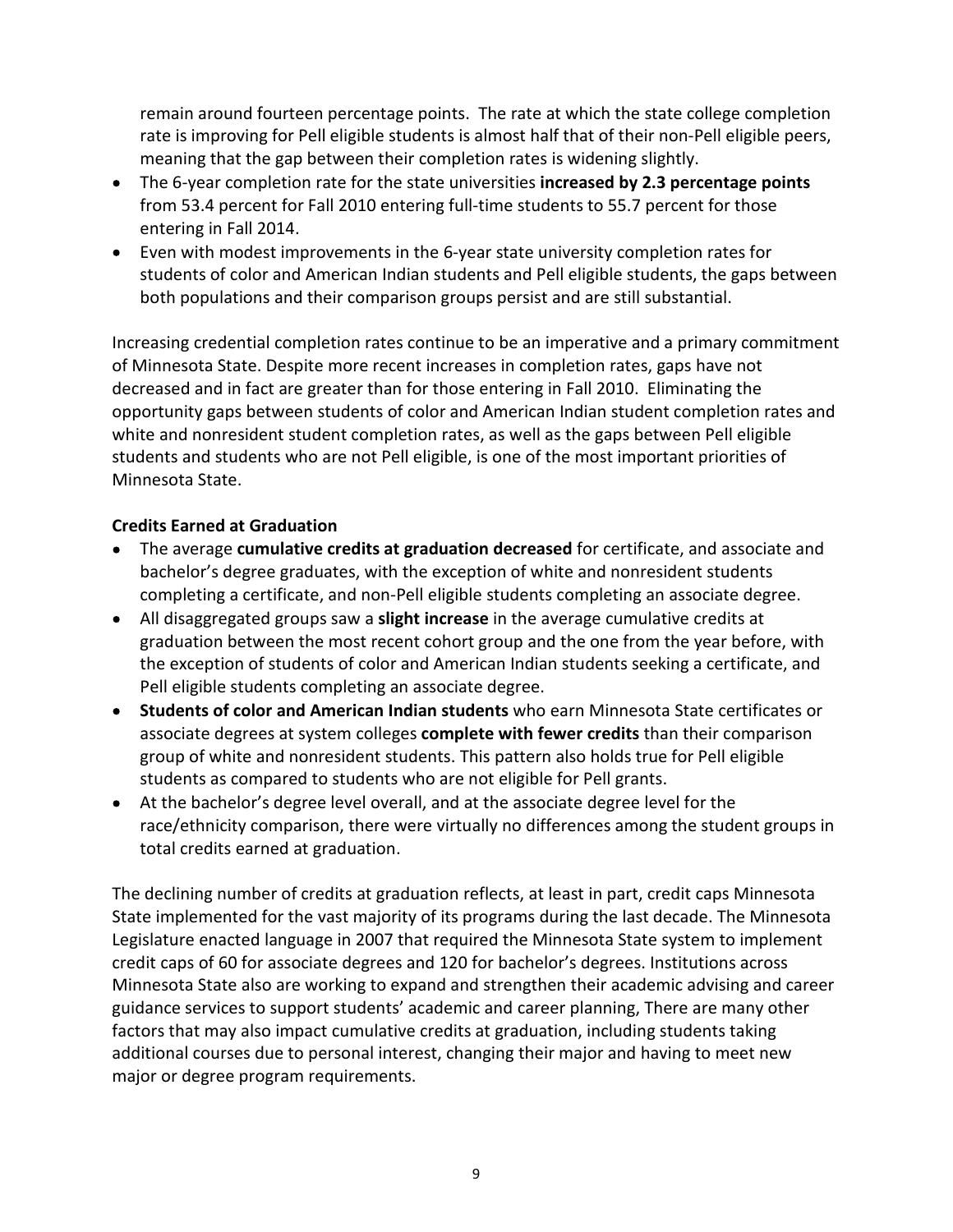remain around fourteen percentage points. The rate at which the state college completion rate is improving for Pell eligible students is almost half that of their non-Pell eligible peers, meaning that the gap between their completion rates is widening slightly.

- The 6-year completion rate for the state universities increased by 2.3 percentage points from 53.4 percent for Fall 2010 entering full-time students to 55.7 percent for those entering in Fall 2014.
- Even with modest improvements in the 6-year state university completion rates for students of color and American Indian students and Pell eligible students, the gaps between both populations and their comparison groups persist and are still substantial.

 Increasing credential completion rates continue to be an imperative and a primary commitment of Minnesota State. Despite more recent increases in completion rates, gaps have not decreased and in fact are greater than for those entering in Fall 2010. Eliminating the opportunity gaps between students of color and American Indian student completion rates and white and nonresident student completion rates, as well as the gaps between Pell eligible students and students who are not Pell eligible, is one of the most important priorities of Minnesota State.

#### Credits Earned at Graduation

- The average cumulative credits at graduation decreased for certificate, and associate and bachelor's degree graduates, with the exception of white and nonresident students completing a certificate, and non-Pell eligible students completing an associate degree.
- All disaggregated groups saw a slight increase in the average cumulative credits at graduation between the most recent cohort group and the one from the year before, with the exception of students of color and American Indian students seeking a certificate, and Pell eligible students completing an associate degree.
- Students of color and American Indian students who earn Minnesota State certificates or associate degrees at system colleges complete with fewer credits than their comparison group of white and nonresident students. This pattern also holds true for Pell eligible students as compared to students who are not eligible for Pell grants.
- At the bachelor's degree level overall, and at the associate degree level for the race/ethnicity comparison, there were virtually no differences among the student groups in total credits earned at graduation.

 The declining number of credits at graduation reflects, at least in part, credit caps Minnesota State implemented for the vast majority of its programs during the last decade. The Minnesota Legislature enacted language in 2007 that required the Minnesota State system to implement credit caps of 60 for associate degrees and 120 for bachelor's degrees. Institutions across Minnesota State also are working to expand and strengthen their academic advising and career guidance services to support students' academic and career planning, There are many other factors that may also impact cumulative credits at graduation, including students taking additional courses due to personal interest, changing their major and having to meet new major or degree program requirements.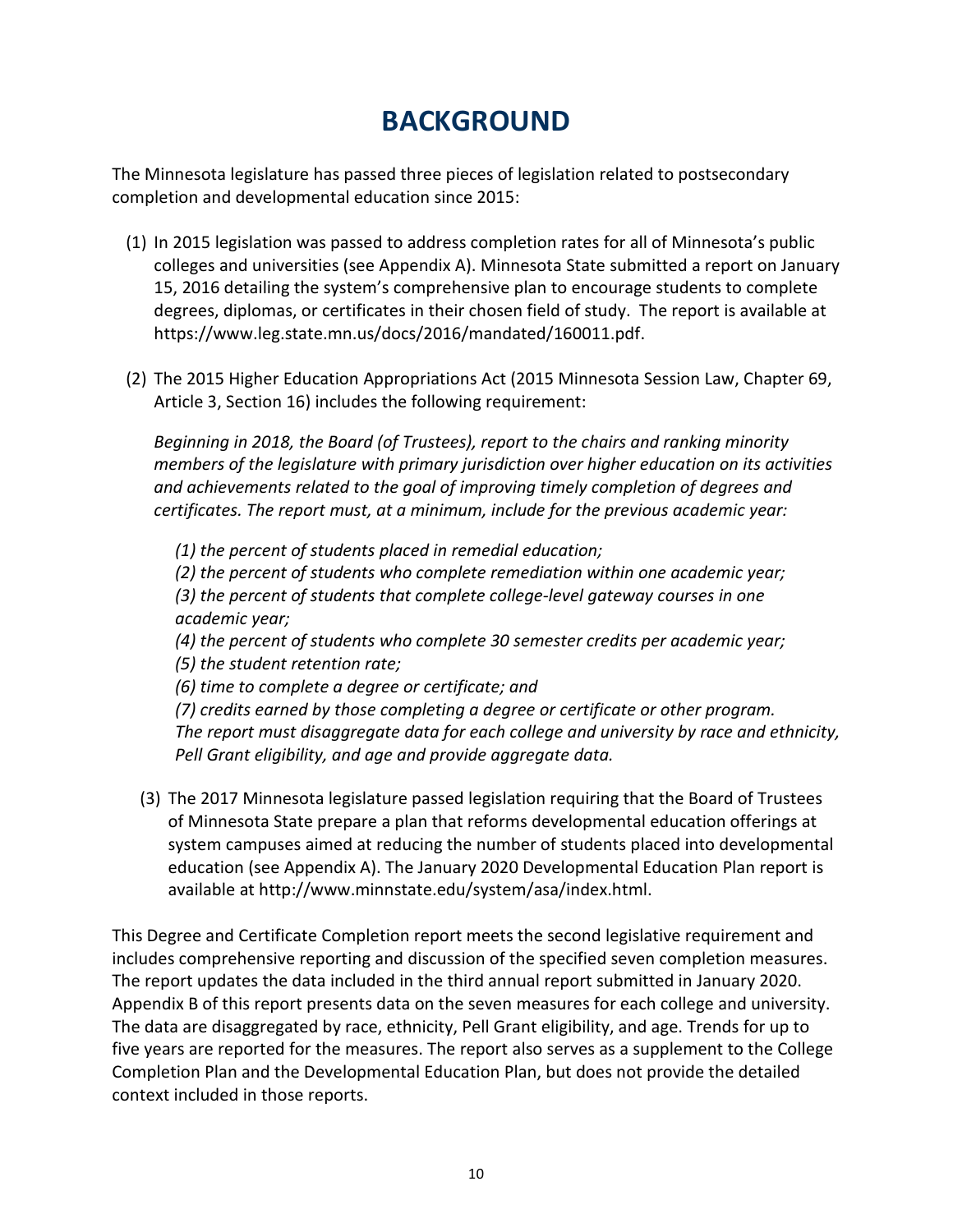## BACKGROUND

 The Minnesota legislature has passed three pieces of legislation related to postsecondary completion and developmental education since 2015:

- (1) In 2015 legislation was passed to address completion rates for all of Minnesota's public colleges and universities (see Appendix A). Minnesota State submitted a report on January 15, 2016 detailing the system's comprehensive plan to encourage students to complete degrees, diplomas, or certificates in their chosen field of study. The report is available at <https://www.leg.state.mn.us/docs/2016/mandated/160011.pdf>.
- (2) The 2015 Higher Education Appropriations Act (2015 Minnesota Session Law, Chapter 69, Article 3, Section 16) includes the following requirement:

 Beginning in 2018, the Board (of Trustees), report to the chairs and ranking minority members of the legislature with primary jurisdiction over higher education on its activities and achievements related to the goal of improving timely completion of degrees and certificates. The report must, at a minimum, include for the previous academic year:

 (1) the percent of students placed in remedial education; (2) the percent of students who complete remediation within one academic year; (3) the percent of students that complete college-level gateway courses in one academic year;

 (4) the percent of students who complete 30 semester credits per academic year; (5) the student retention rate;

(6) time to complete a degree or certificate; and

 (7) credits earned by those completing a degree or certificate or other program. The report must disaggregate data for each college and university by race and ethnicity, Pell Grant eligibility, and age and provide aggregate data.

 (3) The 2017 Minnesota legislature passed legislation requiring that the Board of Trustees of Minnesota State prepare a plan that reforms developmental education offerings at system campuses aimed at reducing the number of students placed into developmental education (see Appendix A). The January 2020 Developmental Education Plan report is available at <http://www.minnstate.edu/system/asa/index.html>.

 This Degree and Certificate Completion report meets the second legislative requirement and includes comprehensive reporting and discussion of the specified seven completion measures. The report updates the data included in the third annual report submitted in January 2020. Appendix B of this report presents data on the seven measures for each college and university. The data are disaggregated by race, ethnicity, Pell Grant eligibility, and age. Trends for up to five years are reported for the measures. The report also serves as a supplement to the College Completion Plan and the Developmental Education Plan, but does not provide the detailed context included in those reports.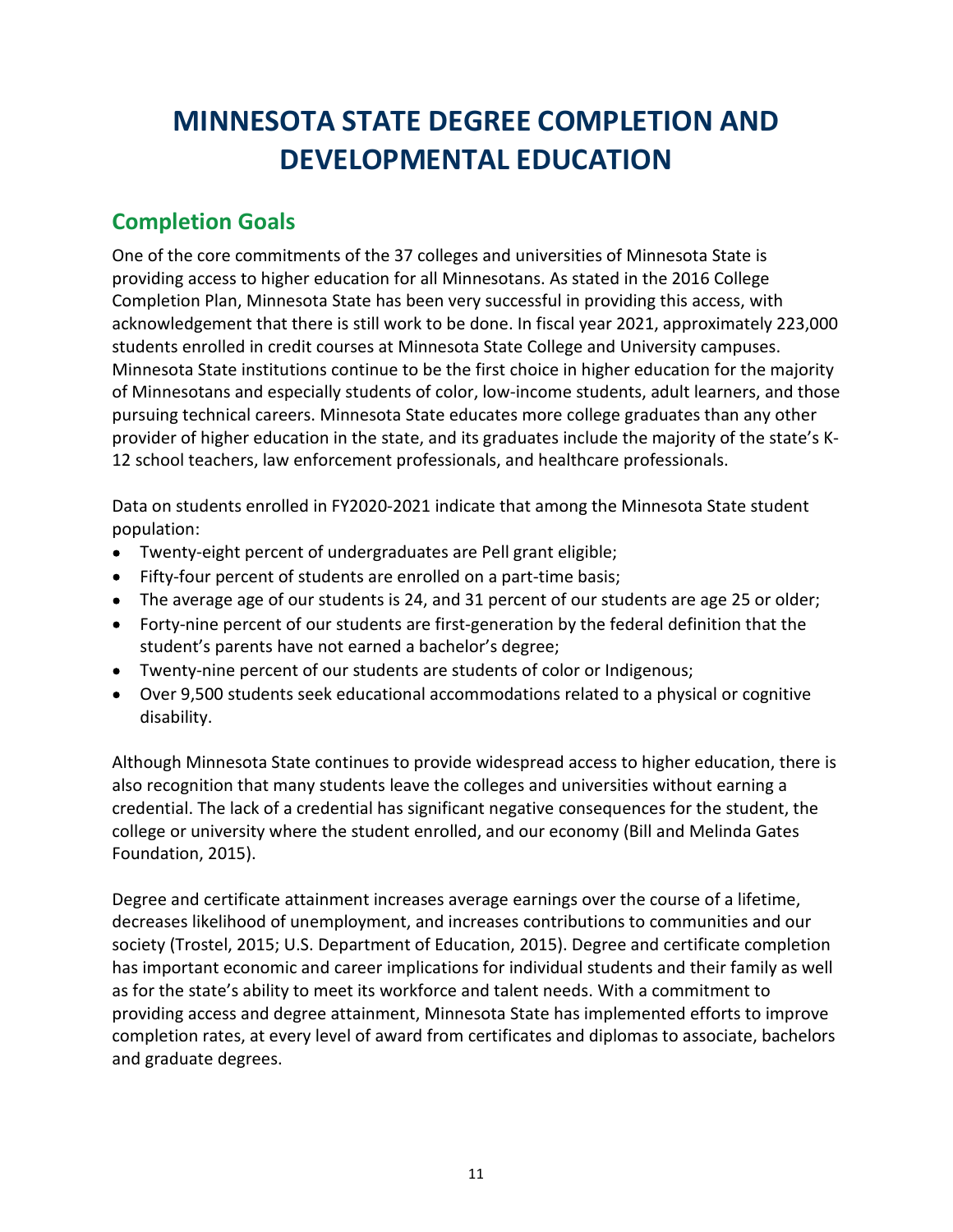## MINNESOTA STATE DEGREE COMPLETION AND DEVELOPMENTAL EDUCATION

## Completion Goals

 One of the core commitments of the 37 colleges and universities of Minnesota State is providing access to higher education for all Minnesotans. As stated in the 2016 College Completion Plan, Minnesota State has been very successful in providing this access, with acknowledgement that there is still work to be done. In fiscal year 2021, approximately 223,000 students enrolled in credit courses at Minnesota State College and University campuses. Minnesota State institutions continue to be the first choice in higher education for the majority of Minnesotans and especially students of color, low-income students, adult learners, and those pursuing technical careers. Minnesota State educates more college graduates than any other provider of higher education in the state, and its graduates include the majority of the state's K-12 school teachers, law enforcement professionals, and healthcare professionals.

 Data on students enrolled in FY2020-2021 indicate that among the Minnesota State student population:

- Twenty-eight percent of undergraduates are Pell grant eligible;
- Fifty-four percent of students are enrolled on a part-time basis;
- The average age of our students is 24, and 31 percent of our students are age 25 or older;
- Forty-nine percent of our students are first-generation by the federal definition that the student's parents have not earned a bachelor's degree;
- Twenty-nine percent of our students are students of color or Indigenous;
- Over 9,500 students seek educational accommodations related to a physical or cognitive disability.

 Although Minnesota State continues to provide widespread access to higher education, there is also recognition that many students leave the colleges and universities without earning a credential. The lack of a credential has significant negative consequences for the student, the college or university where the student enrolled, and our economy (Bill and Melinda Gates Foundation, 2015).

 Degree and certificate attainment increases average earnings over the course of a lifetime, decreases likelihood of unemployment, and increases contributions to communities and our society (Trostel, 2015; U.S. Department of Education, 2015). Degree and certificate completion has important economic and career implications for individual students and their family as well as for the state's ability to meet its workforce and talent needs. With a commitment to providing access and degree attainment, Minnesota State has implemented efforts to improve completion rates, at every level of award from certificates and diplomas to associate, bachelors and graduate degrees.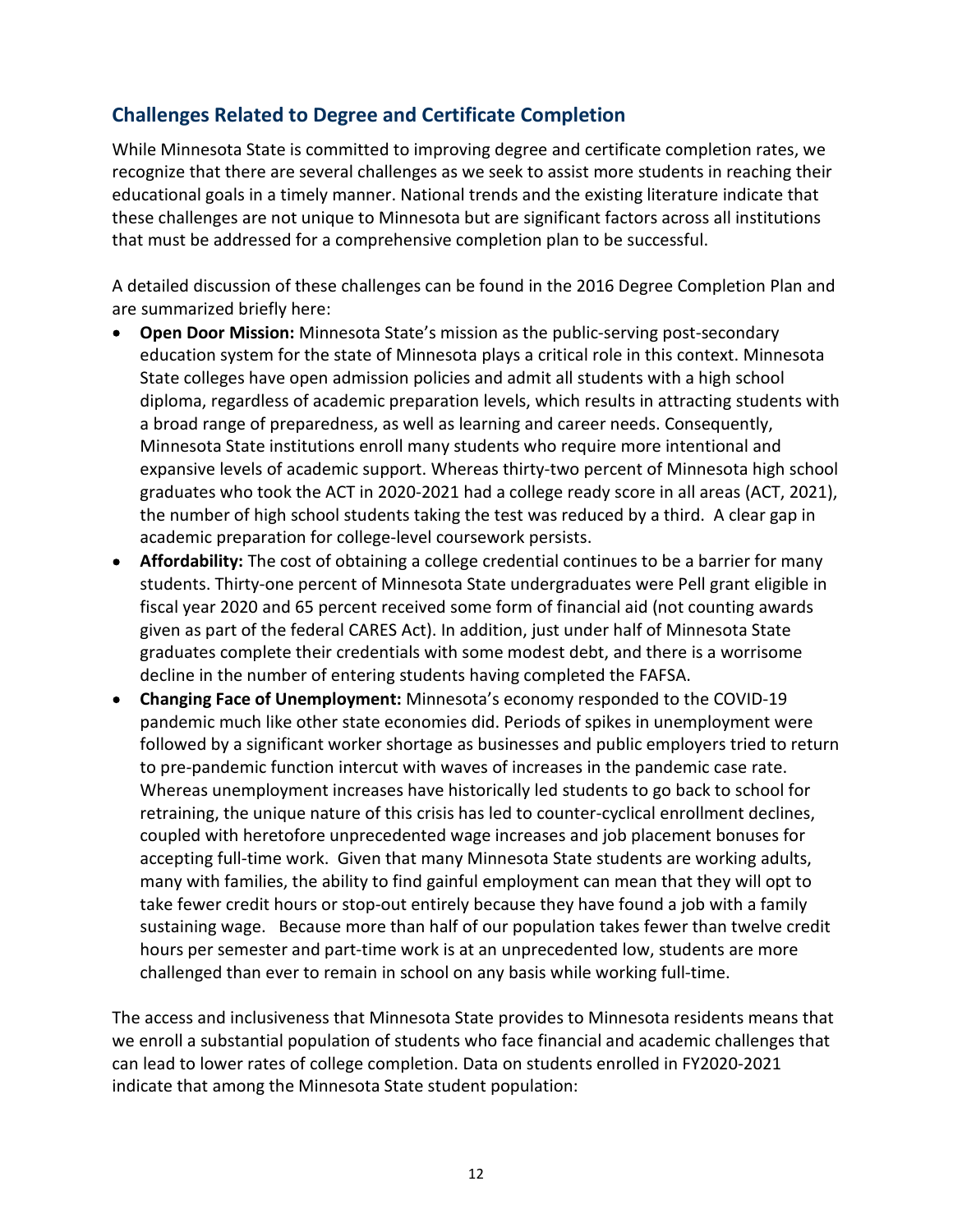## Challenges Related to Degree and Certificate Completion

 While Minnesota State is committed to improving degree and certificate completion rates, we recognize that there are several challenges as we seek to assist more students in reaching their educational goals in a timely manner. National trends and the existing literature indicate that these challenges are not unique to Minnesota but are significant factors across all institutions that must be addressed for a comprehensive completion plan to be successful.

 A detailed discussion of these challenges can be found in the 2016 Degree Completion Plan and are summarized briefly here:

- Open Door Mission: Minnesota State's mission as the public-serving post-secondary education system for the state of Minnesota plays a critical role in this context. Minnesota State colleges have open admission policies and admit all students with a high school diploma, regardless of academic preparation levels, which results in attracting students with a broad range of preparedness, as well as learning and career needs. Consequently, Minnesota State institutions enroll many students who require more intentional and expansive levels of academic support. Whereas thirty-two percent of Minnesota high school graduates who took the ACT in 2020-2021 had a college ready score in all areas (ACT, 2021), the number of high school students taking the test was reduced by a third. A clear gap in academic preparation for college-level coursework persists.
- Affordability: The cost of obtaining a college credential continues to be a barrier for many students. Thirty-one percent of Minnesota State undergraduates were Pell grant eligible in fiscal year 2020 and 65 percent received some form of financial aid (not counting awards given as part of the federal CARES Act). In addition, just under half of Minnesota State graduates complete their credentials with some modest debt, and there is a worrisome decline in the number of entering students having completed the FAFSA.
- Changing Face of Unemployment: Minnesota's economy responded to the COVID-19 pandemic much like other state economies did. Periods of spikes in unemployment were followed by a significant worker shortage as businesses and public employers tried to return to pre-pandemic function intercut with waves of increases in the pandemic case rate. Whereas unemployment increases have historically led students to go back to school for retraining, the unique nature of this crisis has led to counter-cyclical enrollment declines, coupled with heretofore unprecedented wage increases and job placement bonuses for accepting full-time work. Given that many Minnesota State students are working adults, many with families, the ability to find gainful employment can mean that they will opt to take fewer credit hours or stop-out entirely because they have found a job with a family sustaining wage. Because more than half of our population takes fewer than twelve credit hours per semester and part-time work is at an unprecedented low, students are more challenged than ever to remain in school on any basis while working full-time.

 The access and inclusiveness that Minnesota State provides to Minnesota residents means that we enroll a substantial population of students who face financial and academic challenges that can lead to lower rates of college completion. Data on students enrolled in FY2020-2021 indicate that among the Minnesota State student population: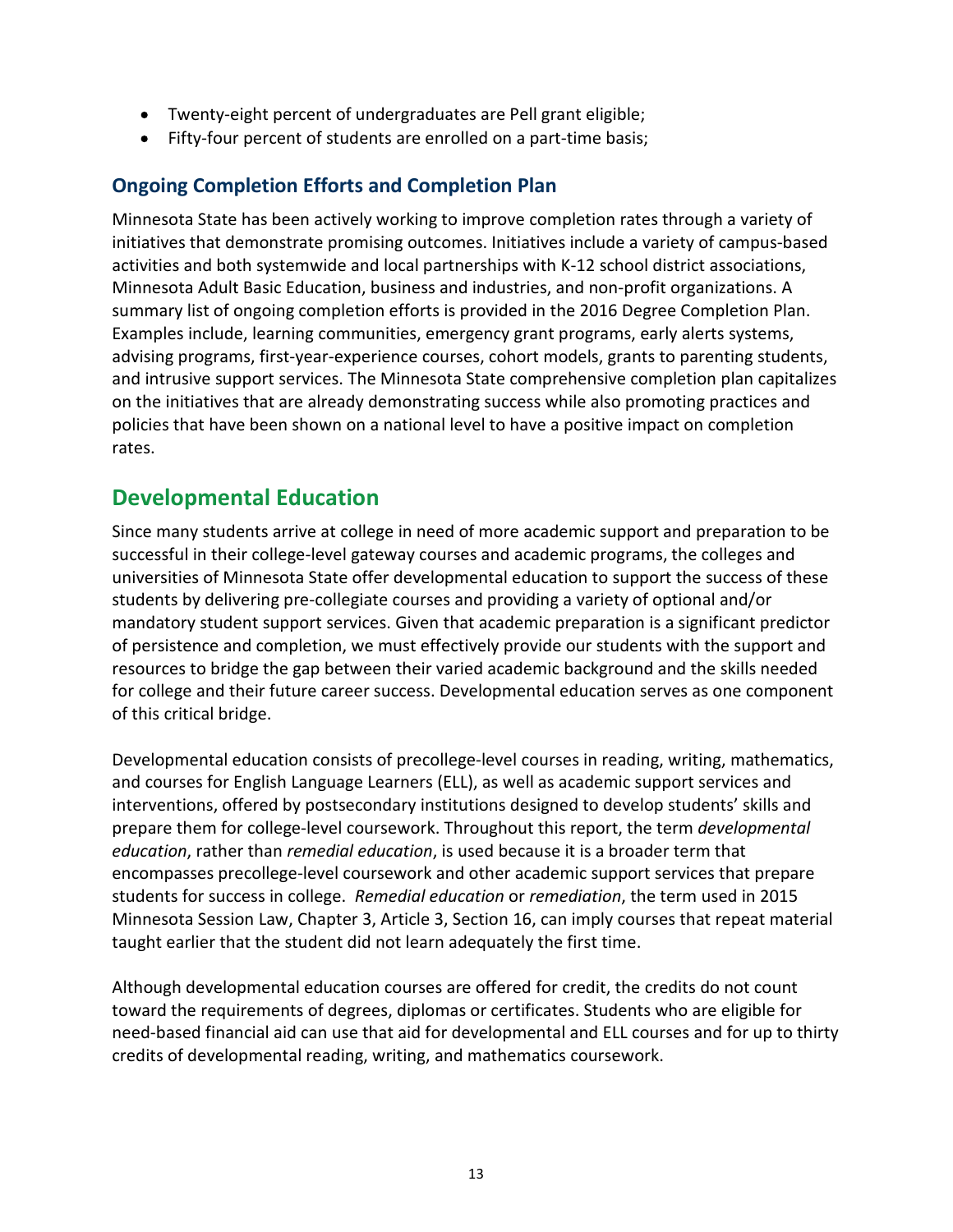- Twenty-eight percent of undergraduates are Pell grant eligible;
- Fifty-four percent of students are enrolled on a part-time basis;

## Ongoing Completion Efforts and Completion Plan

 Minnesota State has been actively working to improve completion rates through a variety of initiatives that demonstrate promising outcomes. Initiatives include a variety of campus-based activities and both systemwide and local partnerships with K-12 school district associations, Minnesota Adult Basic Education, business and industries, and non-profit organizations. A summary list of ongoing completion efforts is provided in the 2016 Degree Completion Plan. Examples include, learning communities, emergency grant programs, early alerts systems, advising programs, first-year-experience courses, cohort models, grants to parenting students, and intrusive support services. The Minnesota State comprehensive completion plan capitalizes on the initiatives that are already demonstrating success while also promoting practices and policies that have been shown on a national level to have a positive impact on completion rates.

## Developmental Education

 Since many students arrive at college in need of more academic support and preparation to be successful in their college-level gateway courses and academic programs, the colleges and universities of Minnesota State offer developmental education to support the success of these students by delivering pre-collegiate courses and providing a variety of optional and/or mandatory student support services. Given that academic preparation is a significant predictor of persistence and completion, we must effectively provide our students with the support and resources to bridge the gap between their varied academic background and the skills needed for college and their future career success. Developmental education serves as one component of this critical bridge.

 Developmental education consists of precollege-level courses in reading, writing, mathematics, and courses for English Language Learners (ELL), as well as academic support services and interventions, offered by postsecondary institutions designed to develop students' skills and prepare them for college-level coursework. Throughout this report, the term developmental education, rather than remedial education, is used because it is a broader term that encompasses precollege-level coursework and other academic support services that prepare students for success in college. Remedial education or remediation, the term used in 2015 Minnesota Session Law, Chapter 3, Article 3, Section 16, can imply courses that repeat material taught earlier that the student did not learn adequately the first time.

 Although developmental education courses are offered for credit, the credits do not count toward the requirements of degrees, diplomas or certificates. Students who are eligible for need-based financial aid can use that aid for developmental and ELL courses and for up to thirty credits of developmental reading, writing, and mathematics coursework.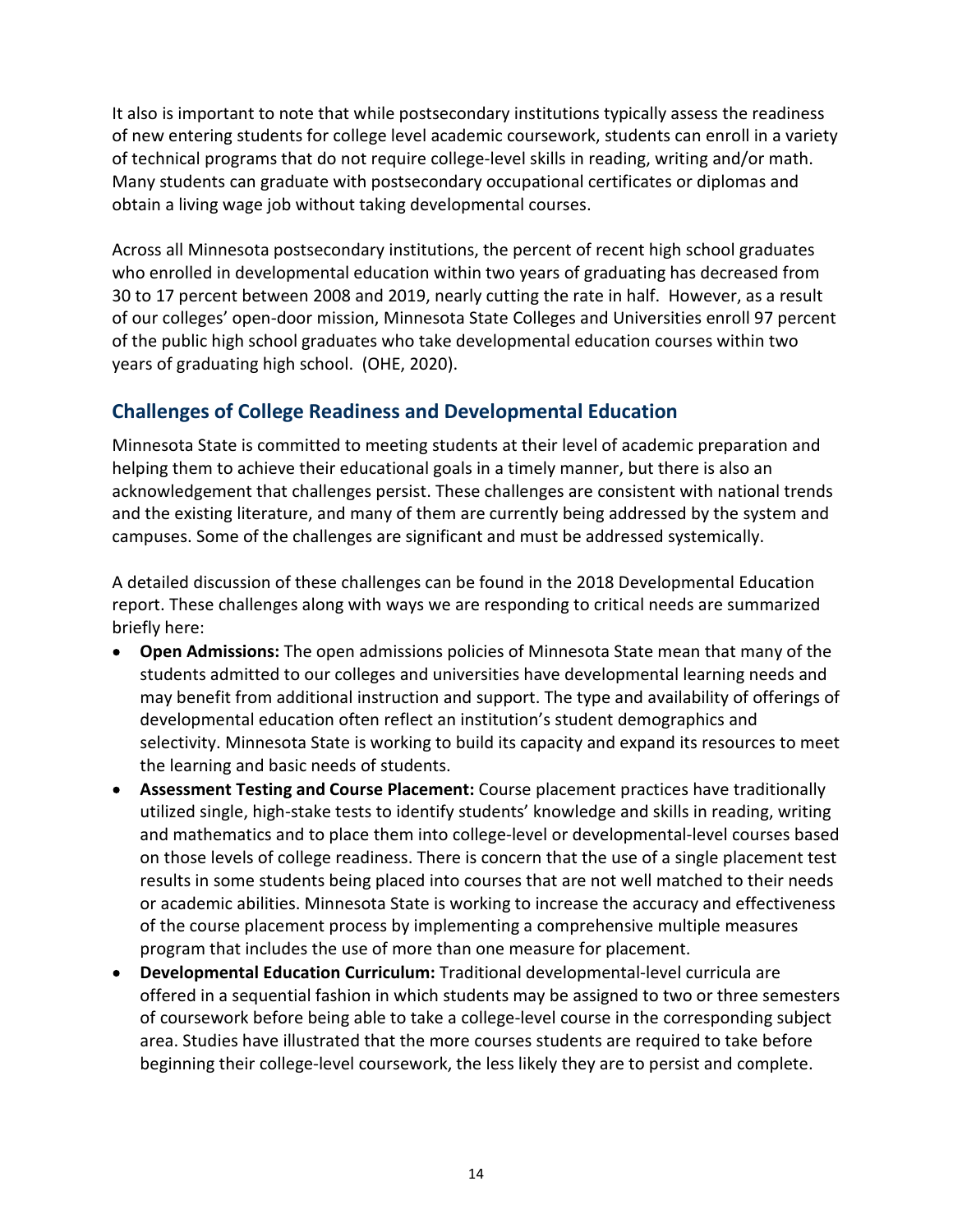It also is important to note that while postsecondary institutions typically assess the readiness of new entering students for college level academic coursework, students can enroll in a variety of technical programs that do not require college-level skills in reading, writing and/or math. Many students can graduate with postsecondary occupational certificates or diplomas and obtain a living wage job without taking developmental courses.

 Across all Minnesota postsecondary institutions, the percent of recent high school graduates who enrolled in developmental education within two years of graduating has decreased from 30 to 17 percent between 2008 and 2019, nearly cutting the rate in half. However, as a result of our colleges' open-door mission, Minnesota State Colleges and Universities enroll 97 percent of the public high school graduates who take developmental education courses within two years of graduating high school. (OHE, 2020).

## Challenges of College Readiness and Developmental Education

 Minnesota State is committed to meeting students at their level of academic preparation and helping them to achieve their educational goals in a timely manner, but there is also an acknowledgement that challenges persist. These challenges are consistent with national trends and the existing literature, and many of them are currently being addressed by the system and campuses. Some of the challenges are significant and must be addressed systemically.

 A detailed discussion of these challenges can be found in the 2018 Developmental Education report. These challenges along with ways we are responding to critical needs are summarized briefly here:

- Open Admissions: The open admissions policies of Minnesota State mean that many of the students admitted to our colleges and universities have developmental learning needs and may benefit from additional instruction and support. The type and availability of offerings of developmental education often reflect an institution's student demographics and selectivity. Minnesota State is working to build its capacity and expand its resources to meet the learning and basic needs of students.
- Assessment Testing and Course Placement: Course placement practices have traditionally utilized single, high-stake tests to identify students' knowledge and skills in reading, writing and mathematics and to place them into college-level or developmental-level courses based on those levels of college readiness. There is concern that the use of a single placement test results in some students being placed into courses that are not well matched to their needs or academic abilities. Minnesota State is working to increase the accuracy and effectiveness of the course placement process by implementing a comprehensive multiple measures program that includes the use of more than one measure for placement.
- Developmental Education Curriculum: Traditional developmental-level curricula are offered in a sequential fashion in which students may be assigned to two or three semesters of coursework before being able to take a college-level course in the corresponding subject area. Studies have illustrated that the more courses students are required to take before beginning their college-level coursework, the less likely they are to persist and complete.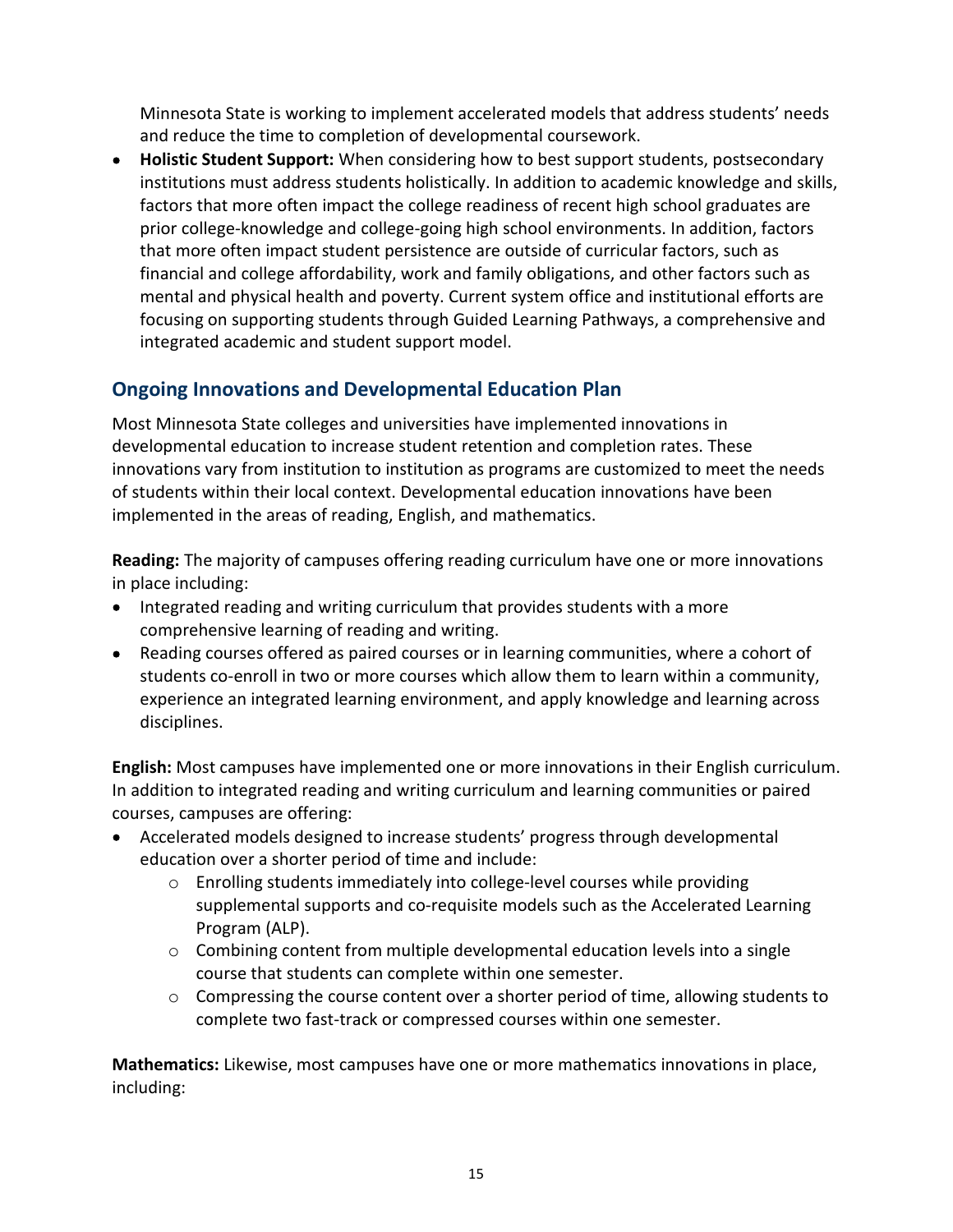Minnesota State is working to implement accelerated models that address students' needs and reduce the time to completion of developmental coursework.

Holistic Student Support: When considering how to best support students, postsecondary institutions must address students holistically. In addition to academic knowledge and skills, factors that more often impact the college readiness of recent high school graduates are prior college-knowledge and college-going high school environments. In addition, factors that more often impact student persistence are outside of curricular factors, such as financial and college affordability, work and family obligations, and other factors such as mental and physical health and poverty. Current system office and institutional efforts are focusing on supporting students through Guided Learning Pathways, a comprehensive and integrated academic and student support model.

## Ongoing Innovations and Developmental Education Plan

 Most Minnesota State colleges and universities have implemented innovations in developmental education to increase student retention and completion rates. These innovations vary from institution to institution as programs are customized to meet the needs of students within their local context. Developmental education innovations have been implemented in the areas of reading, English, and mathematics.

Reading: The majority of campuses offering reading curriculum have one or more innovations in place including:

- Integrated reading and writing curriculum that provides students with a more comprehensive learning of reading and writing.
- Reading courses offered as paired courses or in learning communities, where a cohort of students co-enroll in two or more courses which allow them to learn within a community, experience an integrated learning environment, and apply knowledge and learning across disciplines.

English: Most campuses have implemented one or more innovations in their English curriculum. In addition to integrated reading and writing curriculum and learning communities or paired courses, campuses are offering:

- Accelerated models designed to increase students' progress through developmental education over a shorter period of time and include:
	- o Enrolling students immediately into college-level courses while providing supplemental supports and co-requisite models such as the Accelerated Learning Program (ALP).
	- o Combining content from multiple developmental education levels into a single course that students can complete within one semester.
	- $\circ$  Compressing the course content over a shorter period of time, allowing students to complete two fast-track or compressed courses within one semester.

Mathematics: Likewise, most campuses have one or more mathematics innovations in place, including: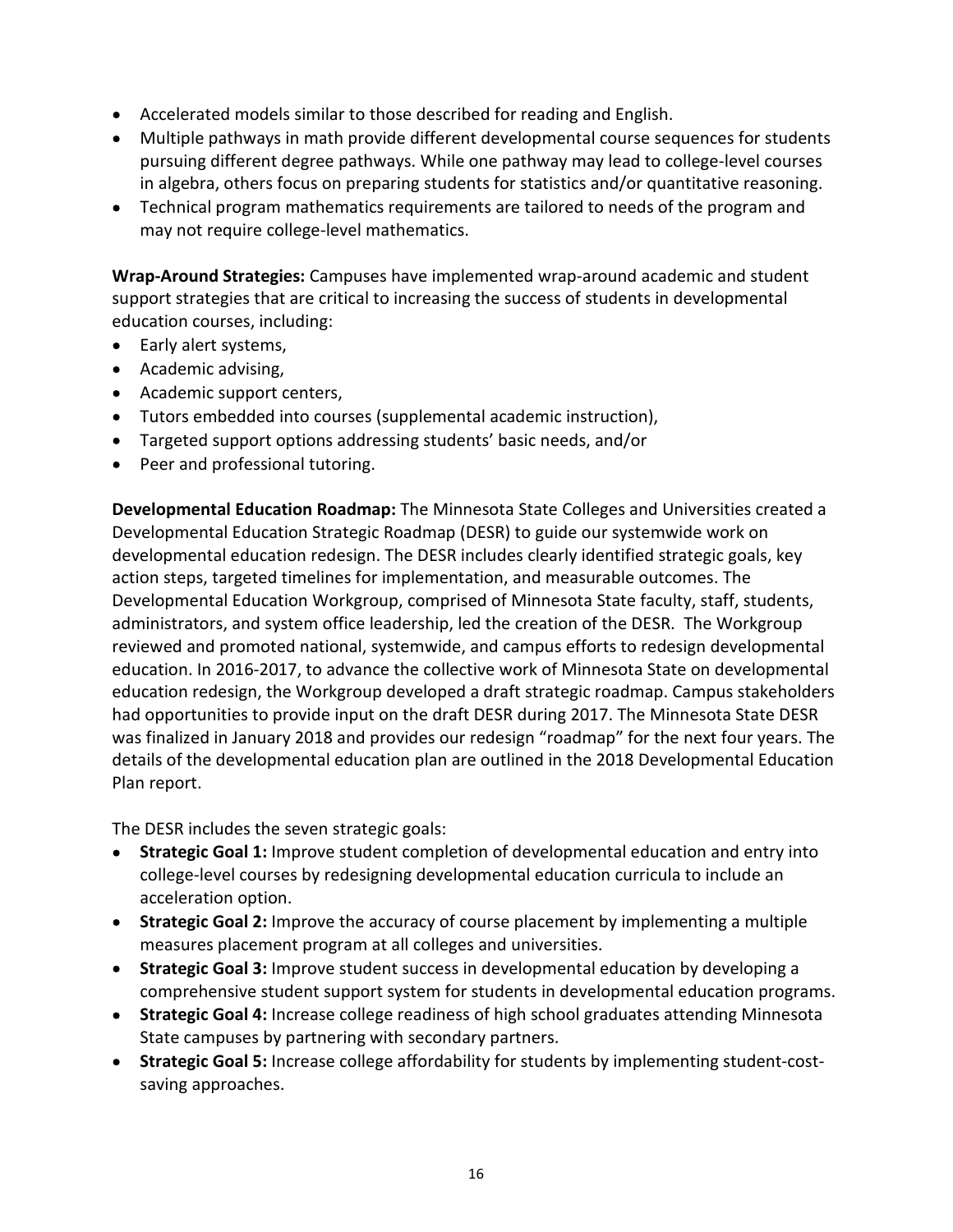- Accelerated models similar to those described for reading and English.
- Multiple pathways in math provide different developmental course sequences for students pursuing different degree pathways. While one pathway may lead to college-level courses in algebra, others focus on preparing students for statistics and/or quantitative reasoning.
- Technical program mathematics requirements are tailored to needs of the program and may not require college-level mathematics.

Wrap-Around Strategies: Campuses have implemented wrap-around academic and student support strategies that are critical to increasing the success of students in developmental education courses, including:

- Early alert systems,
- Academic advising,
- Academic support centers,
- Tutors embedded into courses (supplemental academic instruction),
- Targeted support options addressing students' basic needs, and/or
- Peer and professional tutoring.

Developmental Education Roadmap: The Minnesota State Colleges and Universities created a Developmental Education Strategic Roadmap (DESR) to guide our systemwide work on developmental education redesign. The DESR includes clearly identified strategic goals, key action steps, targeted timelines for implementation, and measurable outcomes. The Developmental Education Workgroup, comprised of Minnesota State faculty, staff, students, administrators, and system office leadership, led the creation of the DESR. The Workgroup reviewed and promoted national, systemwide, and campus efforts to redesign developmental education. In 2016-2017, to advance the collective work of Minnesota State on developmental education redesign, the Workgroup developed a draft strategic roadmap. Campus stakeholders had opportunities to provide input on the draft DESR during 2017. The Minnesota State DESR was finalized in January 2018 and provides our redesign "roadmap" for the next four years. The details of the developmental education plan are outlined in the 2018 Developmental Education Plan report.

The DESR includes the seven strategic goals:

- Strategic Goal 1: Improve student completion of developmental education and entry into college-level courses by redesigning developmental education curricula to include an acceleration option.
- Strategic Goal 2: Improve the accuracy of course placement by implementing a multiple measures placement program at all colleges and universities.
- Strategic Goal 3: Improve student success in developmental education by developing a comprehensive student support system for students in developmental education programs.
- Strategic Goal 4: Increase college readiness of high school graduates attending Minnesota State campuses by partnering with secondary partners.
- Strategic Goal 5: Increase college affordability for students by implementing student-cost-saving approaches.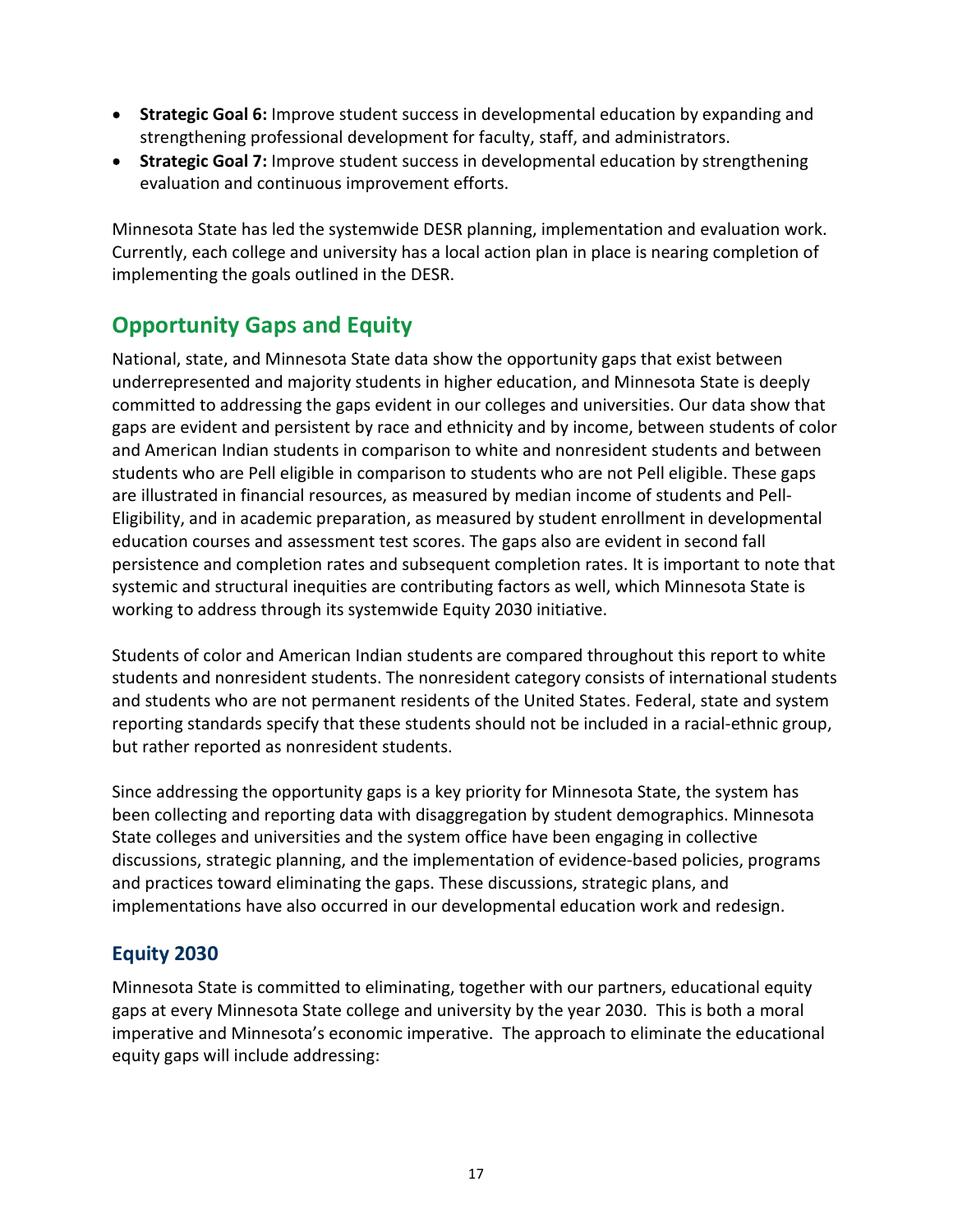- Strategic Goal 6: Improve student success in developmental education by expanding and strengthening professional development for faculty, staff, and administrators.
- Strategic Goal 7: Improve student success in developmental education by strengthening evaluation and continuous improvement efforts.

 Minnesota State has led the systemwide DESR planning, implementation and evaluation work. Currently, each college and university has a local action plan in place is nearing completion of implementing the goals outlined in the DESR.

## Opportunity Gaps and Equity

 National, state, and Minnesota State data show the opportunity gaps that exist between underrepresented and majority students in higher education, and Minnesota State is deeply committed to addressing the gaps evident in our colleges and universities. Our data show that gaps are evident and persistent by race and ethnicity and by income, between students of color and American Indian students in comparison to white and nonresident students and between students who are Pell eligible in comparison to students who are not Pell eligible. These gaps are illustrated in financial resources, as measured by median income of students and Pell- Eligibility, and in academic preparation, as measured by student enrollment in developmental education courses and assessment test scores. The gaps also are evident in second fall persistence and completion rates and subsequent completion rates. It is important to note that systemic and structural inequities are contributing factors as well, which Minnesota State is working to address through its systemwide Equity 2030 initiative.

 Students of color and American Indian students are compared throughout this report to white students and nonresident students. The nonresident category consists of international students and students who are not permanent residents of the United States. Federal, state and system reporting standards specify that these students should not be included in a racial-ethnic group, but rather reported as nonresident students.

 Since addressing the opportunity gaps is a key priority for Minnesota State, the system has been collecting and reporting data with disaggregation by student demographics. Minnesota State colleges and universities and the system office have been engaging in collective discussions, strategic planning, and the implementation of evidence-based policies, programs and practices toward eliminating the gaps. These discussions, strategic plans, and implementations have also occurred in our developmental education work and redesign.

## Equity 2030

 Minnesota State is committed to eliminating, together with our partners, educational equity gaps at every Minnesota State college and university by the year 2030. This is both a moral imperative and Minnesota's economic imperative. The approach to eliminate the educational equity gaps will include addressing: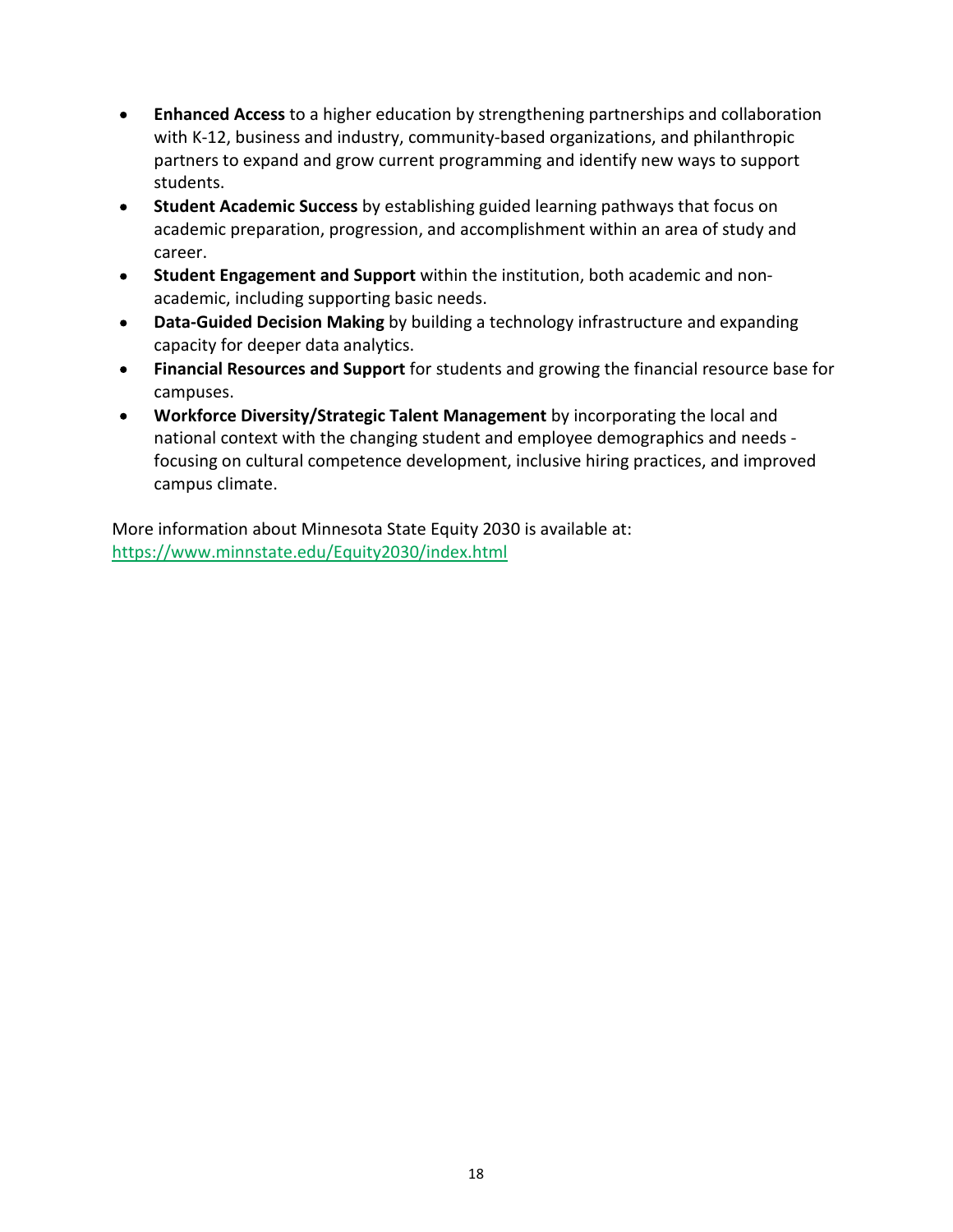- Enhanced Access to a higher education by strengthening partnerships and collaboration  $\bullet$  with K-12, business and industry, community-based organizations, and philanthropic partners to expand and grow current programming and identify new ways to support students.
- Student Academic Success by establishing guided learning pathways that focus on  $\bullet$  academic preparation, progression, and accomplishment within an area of study and career.
- Student Engagement and Support within the institution, both academic and non- $\bullet$ academic, including supporting basic needs.
- Data-Guided Decision Making by building a technology infrastructure and expanding  $\bullet$ capacity for deeper data analytics.
- Financial Resources and Support for students and growing the financial resource base for  $\bullet$ campuses.
- Workforce Diversity/Strategic Talent Management by incorporating the local and  $\bullet$  national context with the changing student and employee demographics and needs - focusing on cultural competence development, inclusive hiring practices, and improved campus climate.

 More information about Minnesota State Equity 2030 is available at: <https://www.minnstate.edu/Equity2030/index.html>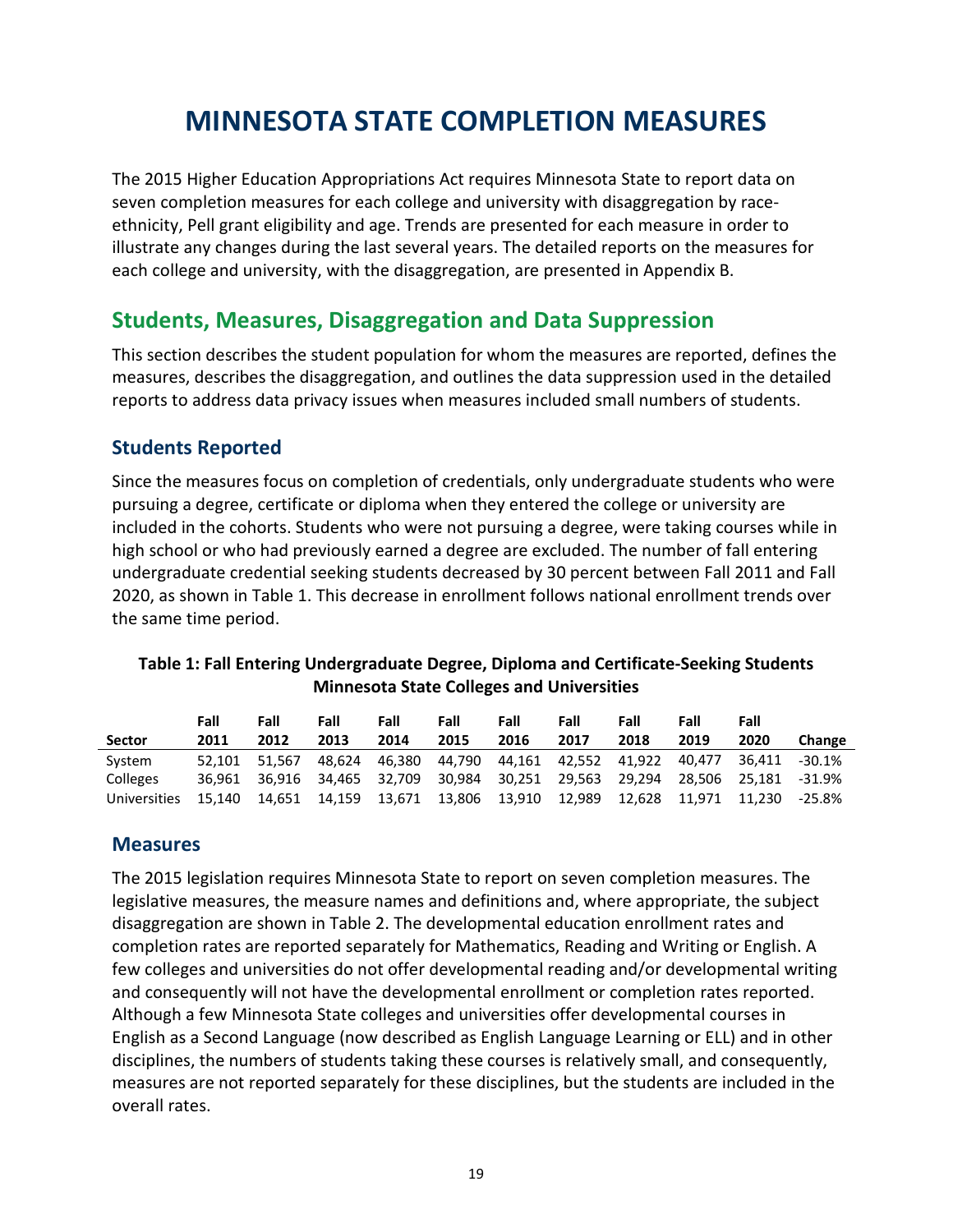## MINNESOTA STATE COMPLETION MEASURES

 The 2015 Higher Education Appropriations Act requires Minnesota State to report data on seven completion measures for each college and university with disaggregation by race- ethnicity, Pell grant eligibility and age. Trends are presented for each measure in order to illustrate any changes during the last several years. The detailed reports on the measures for each college and university, with the disaggregation, are presented in Appendix B.

## Students, Measures, Disaggregation and Data Suppression

 This section describes the student population for whom the measures are reported, defines the measures, describes the disaggregation, and outlines the data suppression used in the detailed reports to address data privacy issues when measures included small numbers of students.

## Students Reported

 Since the measures focus on completion of credentials, only undergraduate students who were pursuing a degree, certificate or diploma when they entered the college or university are included in the cohorts. Students who were not pursuing a degree, were taking courses while in high school or who had previously earned a degree are excluded. The number of fall entering undergraduate credential seeking students decreased by 30 percent between Fall 2011 and Fall 2020, as shown in Table 1. This decrease in enrollment follows national enrollment trends over the same time period.

### Table 1: Fall Entering Undergraduate Degree, Diploma and Certificate-Seeking Students Minnesota State Colleges and Universities

|               | Fall          | Fall          | Fall          | Fall   | Fall   | Fall          | Fall                 | Fall   | Fall   | Fall   |               |
|---------------|---------------|---------------|---------------|--------|--------|---------------|----------------------|--------|--------|--------|---------------|
| <b>Sector</b> | 2011          | 2012          | 2013          | 2014   | 2015   | 2016          | 2017                 | 2018   | 2019   | 2020   | <b>Change</b> |
| System        | 52.101 51.567 |               | 48.624        | 46.380 | 44.790 |               | 44.161 42.552 41.922 |        | 40.477 | 36.411 | $-30.1%$      |
| Colleges      |               | 36.961 36.916 | 34.465 32.709 |        | 30.984 | 30.251 29.563 |                      | 29.294 | 28.506 | 25.181 | $-31.9%$      |
| Universities  | 15.140        | 14.651        | 14.159        | 13,671 | 13.806 | 13,910        | 12.989               | 12.628 | 11.971 | 11.230 | -25.8%        |

## Measures

 The 2015 legislation requires Minnesota State to report on seven completion measures. The legislative measures, the measure names and definitions and, where appropriate, the subject disaggregation are shown in Table 2. The developmental education enrollment rates and completion rates are reported separately for Mathematics, Reading and Writing or English. A few colleges and universities do not offer developmental reading and/or developmental writing and consequently will not have the developmental enrollment or completion rates reported. Although a few Minnesota State colleges and universities offer developmental courses in English as a Second Language (now described as English Language Learning or ELL) and in other disciplines, the numbers of students taking these courses is relatively small, and consequently, measures are not reported separately for these disciplines, but the students are included in the overall rates.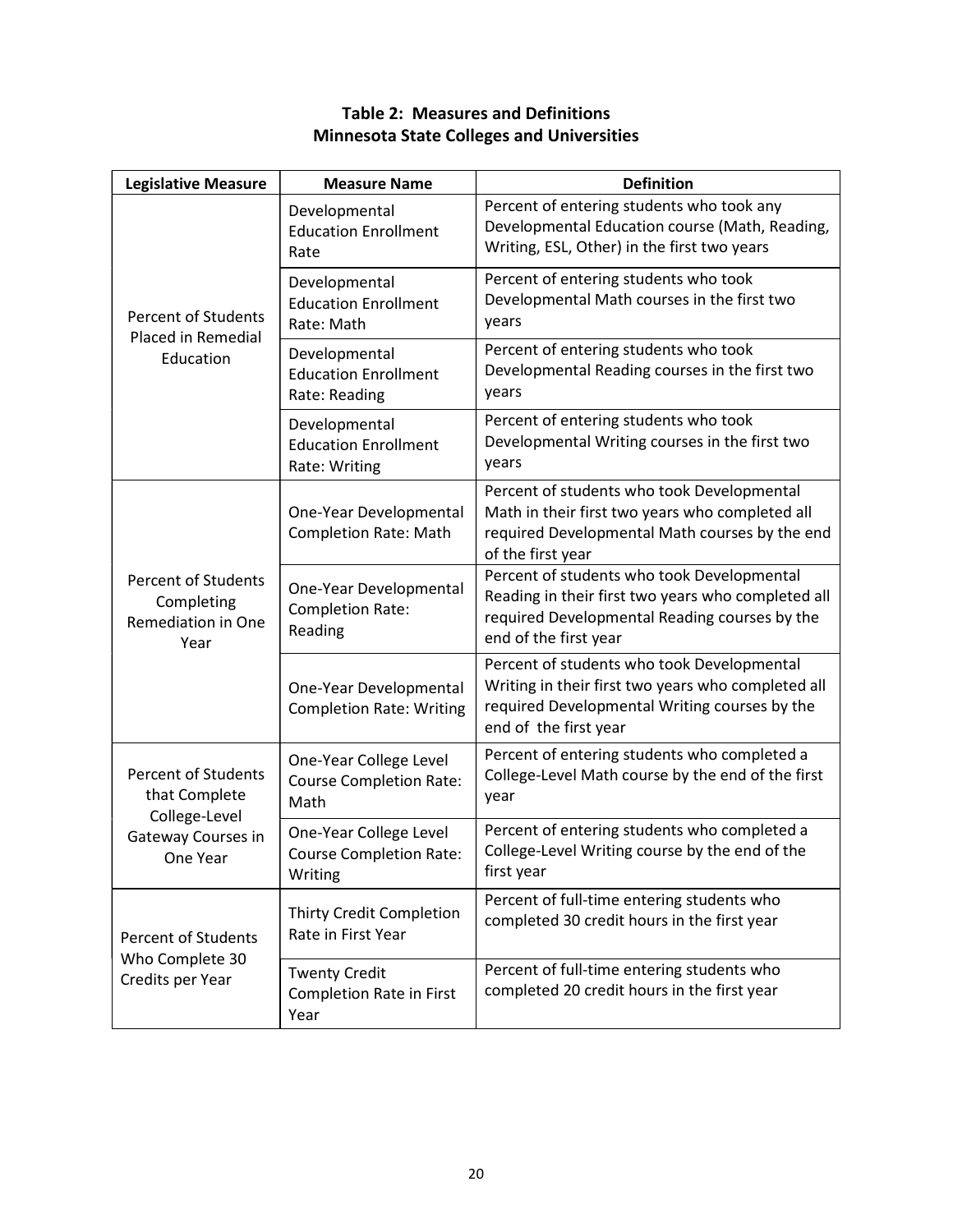| <b>Legislative Measure</b>                                             | <b>Measure Name</b>                                                 | <b>Definition</b>                                                                                                                                                          |
|------------------------------------------------------------------------|---------------------------------------------------------------------|----------------------------------------------------------------------------------------------------------------------------------------------------------------------------|
|                                                                        | Developmental<br><b>Education Enrollment</b><br>Rate                | Percent of entering students who took any<br>Developmental Education course (Math, Reading,<br>Writing, ESL, Other) in the first two years                                 |
| <b>Percent of Students</b><br>Placed in Remedial                       | Developmental<br><b>Education Enrollment</b><br>Rate: Math          | Percent of entering students who took<br>Developmental Math courses in the first two<br>years                                                                              |
| Education                                                              | Developmental<br><b>Education Enrollment</b><br>Rate: Reading       | Percent of entering students who took<br>Developmental Reading courses in the first two<br>years                                                                           |
|                                                                        | Developmental<br><b>Education Enrollment</b><br>Rate: Writing       | Percent of entering students who took<br>Developmental Writing courses in the first two<br>years                                                                           |
|                                                                        | One-Year Developmental<br><b>Completion Rate: Math</b>              | Percent of students who took Developmental<br>Math in their first two years who completed all<br>required Developmental Math courses by the end<br>of the first year       |
| <b>Percent of Students</b><br>Completing<br>Remediation in One<br>Year | One-Year Developmental<br><b>Completion Rate:</b><br>Reading        | Percent of students who took Developmental<br>Reading in their first two years who completed all<br>required Developmental Reading courses by the<br>end of the first year |
|                                                                        | One-Year Developmental<br><b>Completion Rate: Writing</b>           | Percent of students who took Developmental<br>Writing in their first two years who completed all<br>required Developmental Writing courses by the<br>end of the first year |
| Percent of Students<br>that Complete<br>College-Level                  | One-Year College Level<br><b>Course Completion Rate:</b><br>Math    | Percent of entering students who completed a<br>College-Level Math course by the end of the first<br>year                                                                  |
| Gateway Courses in<br>One Year                                         | One-Year College Level<br><b>Course Completion Rate:</b><br>Writing | Percent of entering students who completed a<br>College-Level Writing course by the end of the<br>first year                                                               |
| <b>Percent of Students</b><br>Who Complete 30                          | Thirty Credit Completion<br>Rate in First Year                      | Percent of full-time entering students who<br>completed 30 credit hours in the first year                                                                                  |
| Credits per Year                                                       | <b>Twenty Credit</b><br>Completion Rate in First<br>Year            | Percent of full-time entering students who<br>completed 20 credit hours in the first year                                                                                  |

#### Table 2: Measures and Definitions Minnesota State Colleges and Universities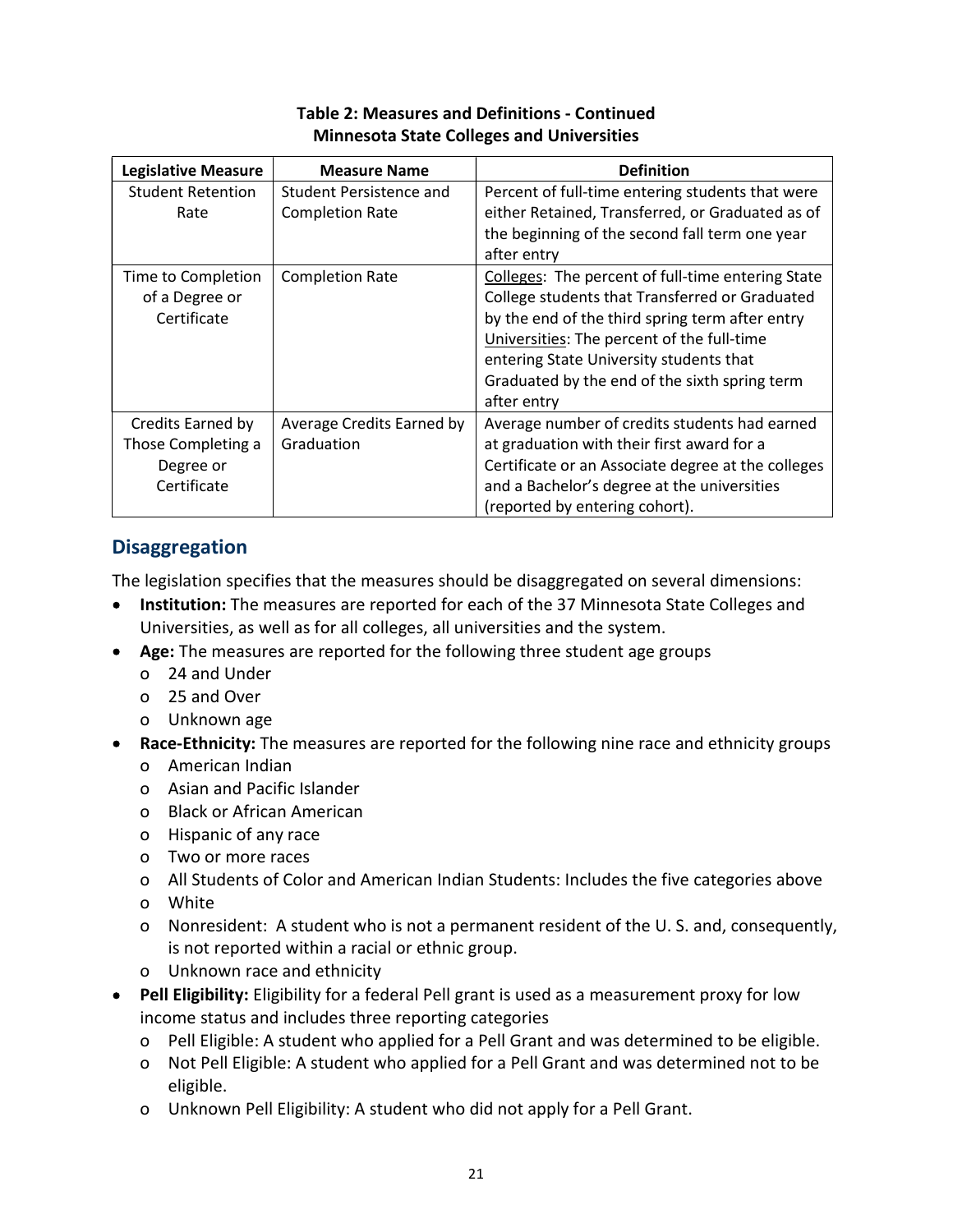| <b>Legislative Measure</b> | <b>Measure Name</b>       | <b>Definition</b>                                  |
|----------------------------|---------------------------|----------------------------------------------------|
| <b>Student Retention</b>   | Student Persistence and   | Percent of full-time entering students that were   |
| Rate                       | <b>Completion Rate</b>    | either Retained, Transferred, or Graduated as of   |
|                            |                           | the beginning of the second fall term one year     |
|                            |                           | after entry                                        |
| Time to Completion         | <b>Completion Rate</b>    | Colleges: The percent of full-time entering State  |
| of a Degree or             |                           | College students that Transferred or Graduated     |
| Certificate                |                           | by the end of the third spring term after entry    |
|                            |                           | Universities: The percent of the full-time         |
|                            |                           | entering State University students that            |
|                            |                           | Graduated by the end of the sixth spring term      |
|                            |                           | after entry                                        |
| Credits Earned by          | Average Credits Earned by | Average number of credits students had earned      |
| Those Completing a         | Graduation                | at graduation with their first award for a         |
| Degree or                  |                           | Certificate or an Associate degree at the colleges |
| Certificate                |                           | and a Bachelor's degree at the universities        |
|                            |                           | (reported by entering cohort).                     |

## Table 2: Measures and Definitions - Continued Minnesota State Colleges and Universities

## Disaggregation

The legislation specifies that the measures should be disaggregated on several dimensions:

- Institution: The measures are reported for each of the 37 Minnesota State Colleges and Universities, as well as for all colleges, all universities and the system.
- Age: The measures are reported for the following three student age groups
	- o 24 and Under
	- o 25 and Over
	- o Unknown age
- Race-Ethnicity: The measures are reported for the following nine race and ethnicity groups
	- o American Indian
	- o Asian and Pacific Islander
	- o Black or African American
	- o Hispanic of any race
	- o Two or more races
	- o All Students of Color and American Indian Students: Includes the five categories above
	- o White
	- o Nonresident: A student who is not a permanent resident of the U. S. and, consequently, is not reported within a racial or ethnic group.
	- o Unknown race and ethnicity
- Pell Eligibility: Eligibility for a federal Pell grant is used as a measurement proxy for low income status and includes three reporting categories
	- o Pell Eligible: A student who applied for a Pell Grant and was determined to be eligible.
	- o Not Pell Eligible: A student who applied for a Pell Grant and was determined not to be eligible.
	- o Unknown Pell Eligibility: A student who did not apply for a Pell Grant.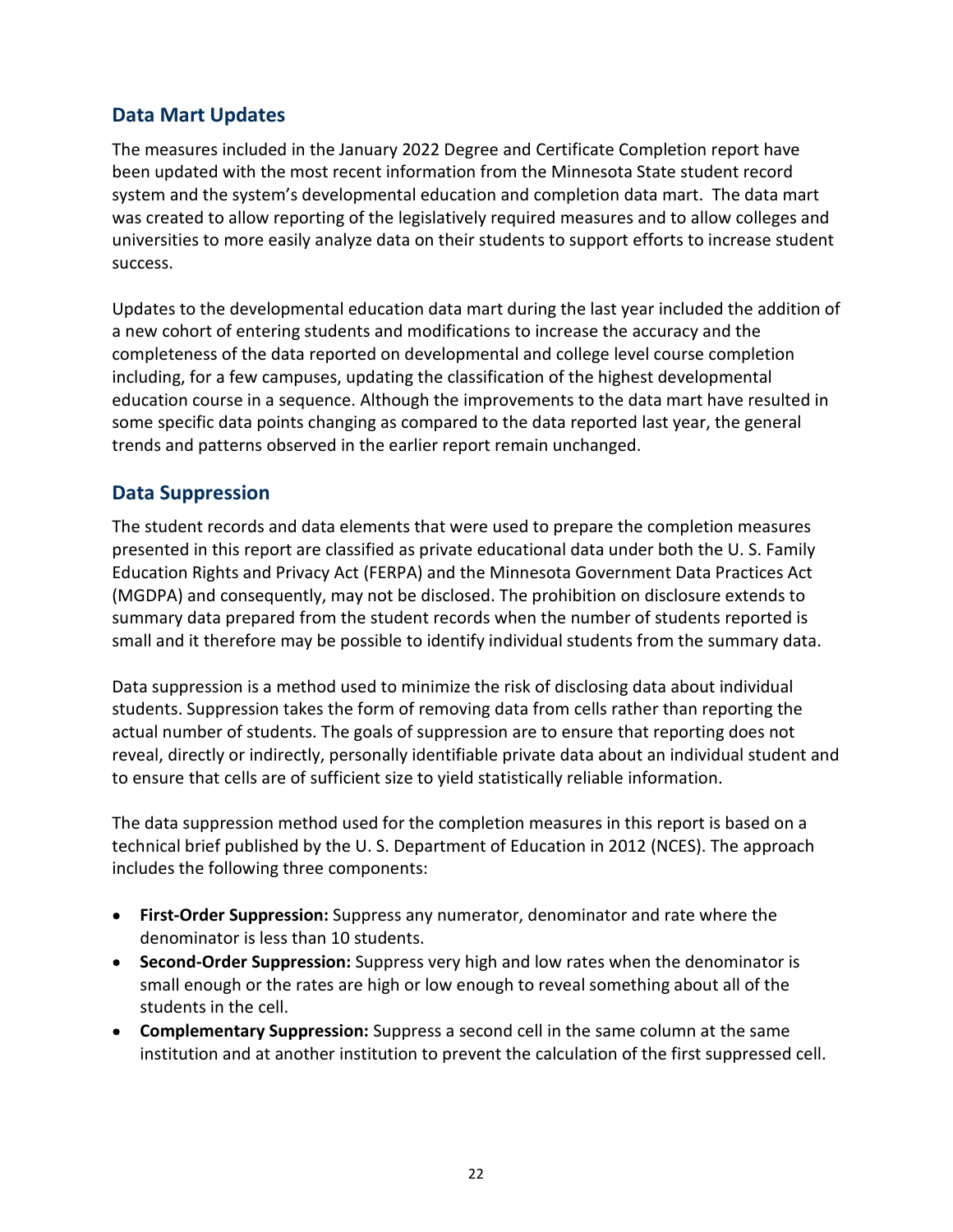## Data Mart Updates

 The measures included in the January 2022 Degree and Certificate Completion report have been updated with the most recent information from the Minnesota State student record system and the system's developmental education and completion data mart. The data mart was created to allow reporting of the legislatively required measures and to allow colleges and universities to more easily analyze data on their students to support efforts to increase student success.

 Updates to the developmental education data mart during the last year included the addition of a new cohort of entering students and modifications to increase the accuracy and the completeness of the data reported on developmental and college level course completion including, for a few campuses, updating the classification of the highest developmental education course in a sequence. Although the improvements to the data mart have resulted in some specific data points changing as compared to the data reported last year, the general trends and patterns observed in the earlier report remain unchanged.

## Data Suppression

 The student records and data elements that were used to prepare the completion measures presented in this report are classified as private educational data under both the U. S. Family Education Rights and Privacy Act (FERPA) and the Minnesota Government Data Practices Act (MGDPA) and consequently, may not be disclosed. The prohibition on disclosure extends to summary data prepared from the student records when the number of students reported is small and it therefore may be possible to identify individual students from the summary data.

 Data suppression is a method used to minimize the risk of disclosing data about individual students. Suppression takes the form of removing data from cells rather than reporting the actual number of students. The goals of suppression are to ensure that reporting does not reveal, directly or indirectly, personally identifiable private data about an individual student and to ensure that cells are of sufficient size to yield statistically reliable information.

 The data suppression method used for the completion measures in this report is based on a technical brief published by the U. S. Department of Education in 2012 (NCES). The approach includes the following three components:

- First-Order Suppression: Suppress any numerator, denominator and rate where the denominator is less than 10 students.
- Second-Order Suppression: Suppress very high and low rates when the denominator is small enough or the rates are high or low enough to reveal something about all of the students in the cell.
- Complementary Suppression: Suppress a second cell in the same column at the same institution and at another institution to prevent the calculation of the first suppressed cell.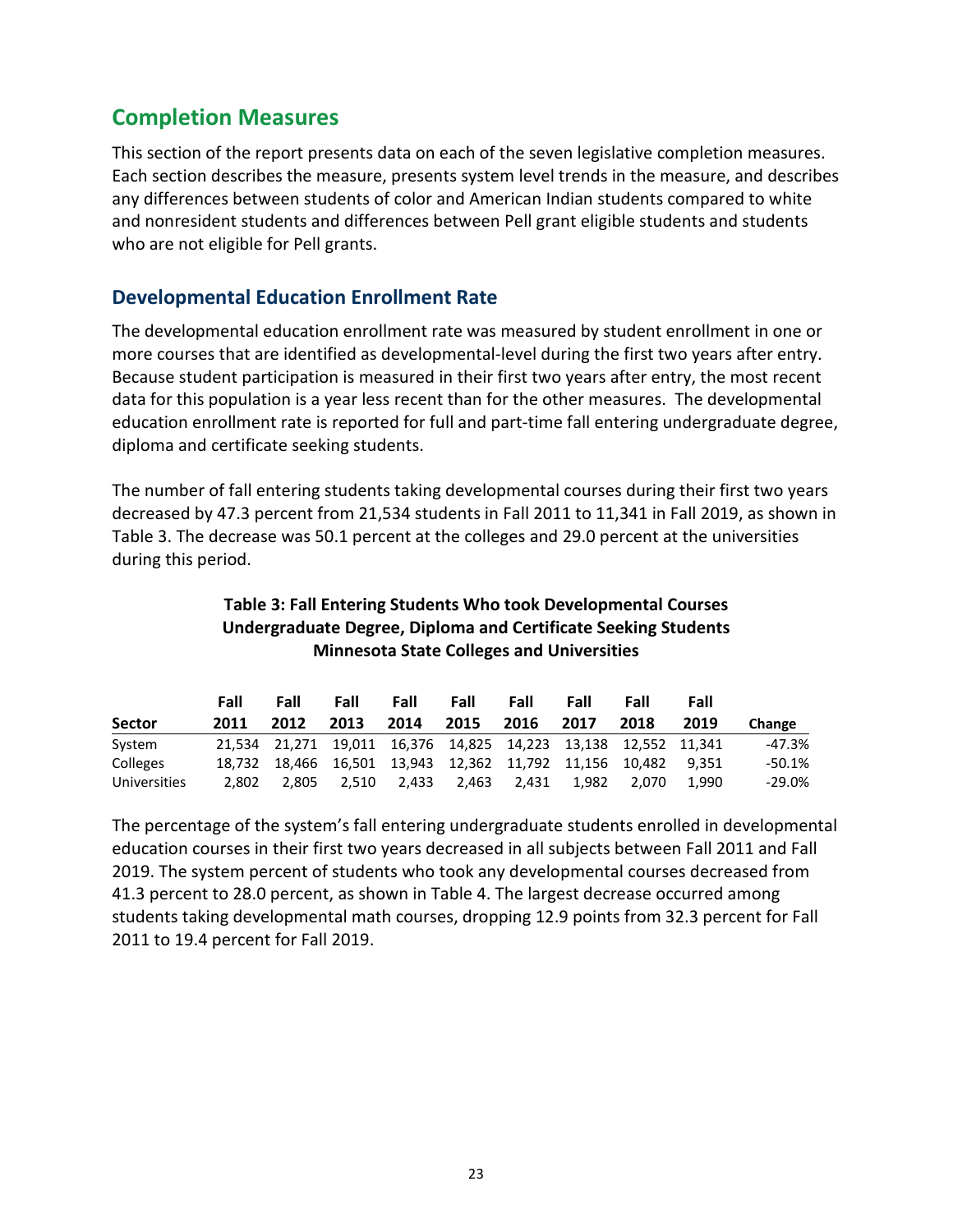## Completion Measures

 This section of the report presents data on each of the seven legislative completion measures. Each section describes the measure, presents system level trends in the measure, and describes any differences between students of color and American Indian students compared to white and nonresident students and differences between Pell grant eligible students and students who are not eligible for Pell grants.

## Developmental Education Enrollment Rate

 The developmental education enrollment rate was measured by student enrollment in one or more courses that are identified as developmental-level during the first two years after entry. Because student participation is measured in their first two years after entry, the most recent data for this population is a year less recent than for the other measures. The developmental education enrollment rate is reported for full and part-time fall entering undergraduate degree, diploma and certificate seeking students.

 The number of fall entering students taking developmental courses during their first two years decreased by 47.3 percent from 21,534 students in Fall 2011 to 11,341 in Fall 2019, as shown in Table 3. The decrease was 50.1 percent at the colleges and 29.0 percent at the universities during this period.

### Table 3: Fall Entering Students Who took Developmental Courses Undergraduate Degree, Diploma and Certificate Seeking Students Minnesota State Colleges and Universities

|                 | Fall   | Fall  | Fall  | Fall  | Fall  | Fall  | Fall  | Fall                                                           | Fall  |           |
|-----------------|--------|-------|-------|-------|-------|-------|-------|----------------------------------------------------------------|-------|-----------|
| <b>Sector</b>   | 2011   | 2012  | 2013  | 2014  | 2015  | 2016  | 2017  | 2018                                                           | 2019  | Change    |
| System          |        |       |       |       |       |       |       | 21,534 21,271 19,011 16,376 14,825 14,223 13,138 12,552 11,341 |       | -47.3%    |
| <b>Colleges</b> | 18.732 |       |       |       |       |       |       | 18,466 16,501 13,943 12,362 11,792 11,156 10,482 9,351         |       | $-50.1%$  |
| Universities    | 2.802  | 2.805 | 2.510 | 2,433 | 2,463 | 2,431 | 1.982 | 2.070                                                          | 1.990 | $-29.0\%$ |

 The percentage of the system's fall entering undergraduate students enrolled in developmental education courses in their first two years decreased in all subjects between Fall 2011 and Fall 2019. The system percent of students who took any developmental courses decreased from 41.3 percent to 28.0 percent, as shown in Table 4. The largest decrease occurred among students taking developmental math courses, dropping 12.9 points from 32.3 percent for Fall 2011 to 19.4 percent for Fall 2019.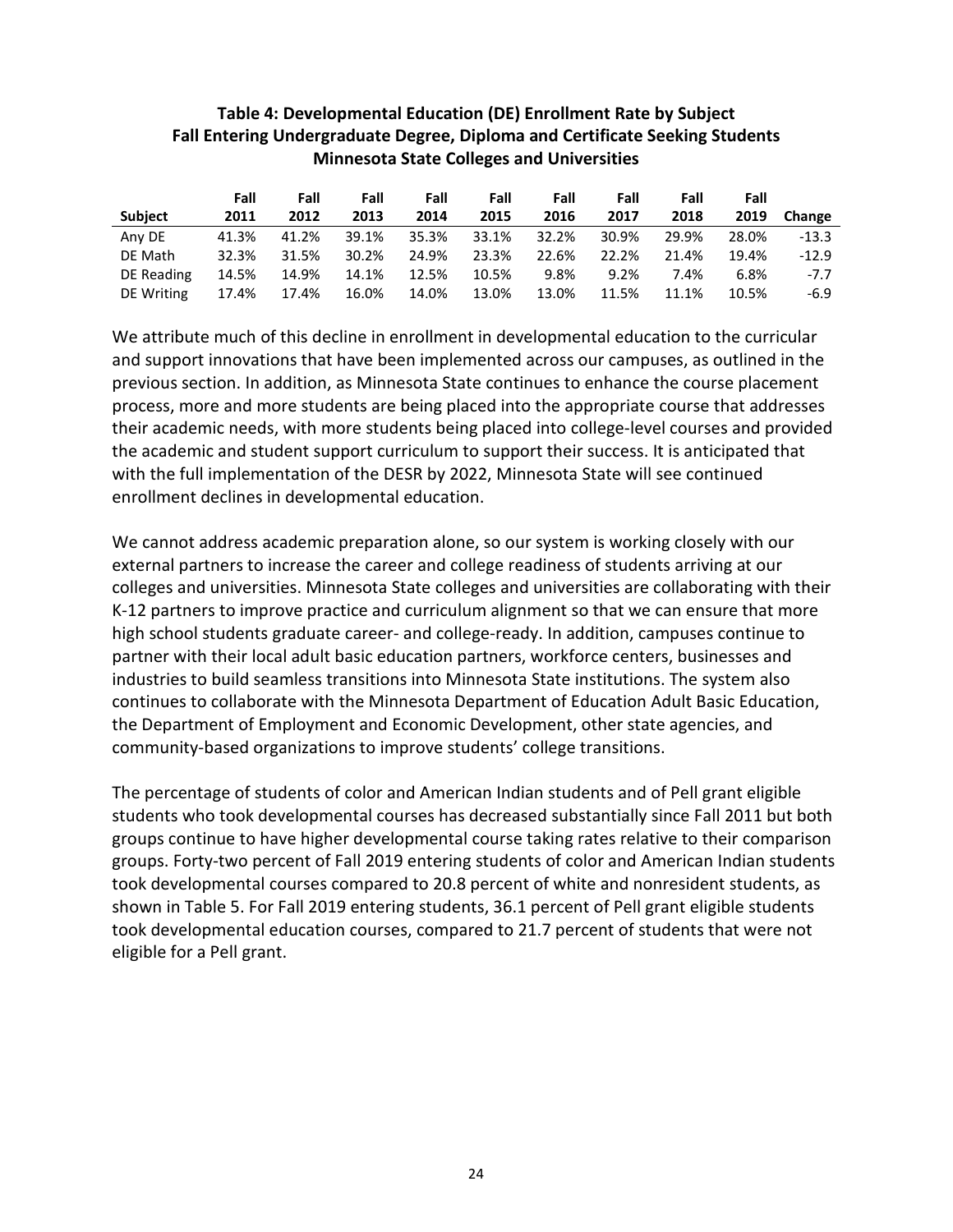|                | Fall  | Fall  | Fall  | Fall  | Fall  | Fall  | Fall  | Fall  | Fall  |         |
|----------------|-------|-------|-------|-------|-------|-------|-------|-------|-------|---------|
| <b>Subject</b> | 2011  | 2012  | 2013  | 2014  | 2015  | 2016  | 2017  | 2018  | 2019  | Change  |
| Any DE         | 41.3% | 41.2% | 39.1% | 35.3% | 33.1% | 32.2% | 30.9% | 29.9% | 28.0% | $-13.3$ |
| DE Math        | 32.3% | 31.5% | 30.2% | 24.9% | 23.3% | 22.6% | 22.2% | 21.4% | 19.4% | $-12.9$ |
| DE Reading     | 14.5% | 14.9% | 14.1% | 12.5% | 10.5% | 9.8%  | 9.2%  | 7.4%  | 6.8%  | $-7.7$  |
| DE Writing     | 17.4% | 17.4% | 16.0% | 14.0% | 13.0% | 13.0% | 11.5% | 11.1% | 10.5% | $-6.9$  |

#### Table 4: Developmental Education (DE) Enrollment Rate by Subject Fall Entering Undergraduate Degree, Diploma and Certificate Seeking Students Minnesota State Colleges and Universities

 We attribute much of this decline in enrollment in developmental education to the curricular and support innovations that have been implemented across our campuses, as outlined in the previous section. In addition, as Minnesota State continues to enhance the course placement process, more and more students are being placed into the appropriate course that addresses their academic needs, with more students being placed into college-level courses and provided the academic and student support curriculum to support their success. It is anticipated that with the full implementation of the DESR by 2022, Minnesota State will see continued enrollment declines in developmental education.

 We cannot address academic preparation alone, so our system is working closely with our external partners to increase the career and college readiness of students arriving at our colleges and universities. Minnesota State colleges and universities are collaborating with their K-12 partners to improve practice and curriculum alignment so that we can ensure that more high school students graduate career- and college-ready. In addition, campuses continue to partner with their local adult basic education partners, workforce centers, businesses and industries to build seamless transitions into Minnesota State institutions. The system also continues to collaborate with the Minnesota Department of Education Adult Basic Education, the Department of Employment and Economic Development, other state agencies, and community-based organizations to improve students' college transitions.

 The percentage of students of color and American Indian students and of Pell grant eligible students who took developmental courses has decreased substantially since Fall 2011 but both groups continue to have higher developmental course taking rates relative to their comparison groups. Forty-two percent of Fall 2019 entering students of color and American Indian students took developmental courses compared to 20.8 percent of white and nonresident students, as shown in Table 5. For Fall 2019 entering students, 36.1 percent of Pell grant eligible students eligible for a Pell grant. took developmental education courses, compared to 21.7 percent of students that were not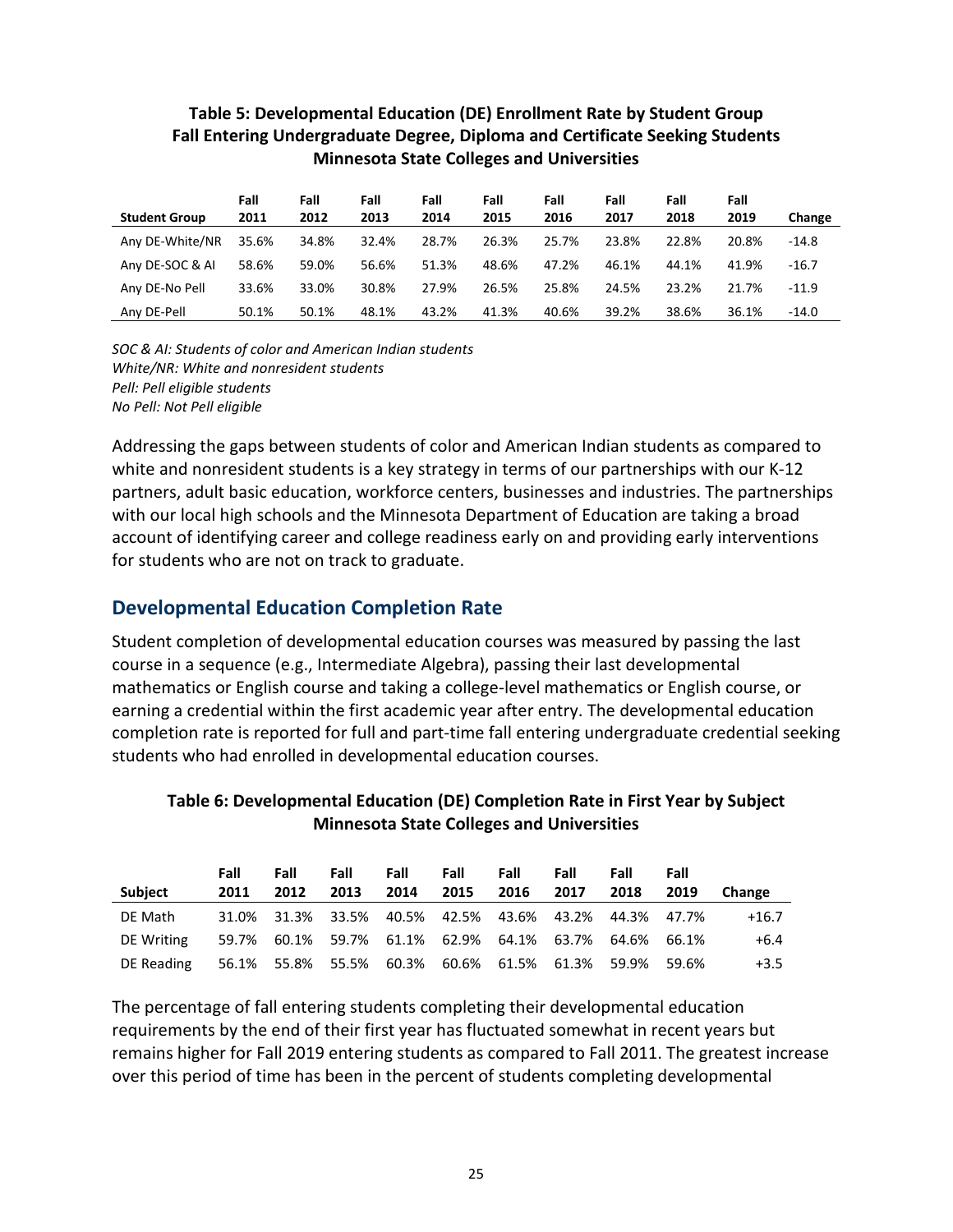|                      | Minnesota State Colleges and Universities |              |              |              |              |              |              |              |              |         |  |  |
|----------------------|-------------------------------------------|--------------|--------------|--------------|--------------|--------------|--------------|--------------|--------------|---------|--|--|
| <b>Student Group</b> | Fall<br>2011                              | Fall<br>2012 | Fall<br>2013 | Fall<br>2014 | Fall<br>2015 | Fall<br>2016 | Fall<br>2017 | Fall<br>2018 | Fall<br>2019 | Change  |  |  |
| Any DE-White/NR      | 35.6%                                     | 34.8%        | 32.4%        | 28.7%        | 26.3%        | 25.7%        | 23.8%        | 22.8%        | 20.8%        | $-14.8$ |  |  |
| Any DE-SOC & AI      | 58.6%                                     | 59.0%        | 56.6%        | 51.3%        | 48.6%        | 47.2%        | 46.1%        | 44.1%        | 41.9%        | $-16.7$ |  |  |
| Any DE-No Pell       | 33.6%                                     | 33.0%        | 30.8%        | 27.9%        | 26.5%        | 25.8%        | 24.5%        | 23.2%        | 21.7%        | $-11.9$ |  |  |
| Any DE-Pell          | 50.1%                                     | 50.1%        | 48.1%        | 43.2%        | 41.3%        | 40.6%        | 39.2%        | 38.6%        | 36.1%        | -14.0   |  |  |

### Table 5: Developmental Education (DE) Enrollment Rate by Student Group Fall Entering Undergraduate Degree, Diploma and Certificate Seeking Students Minnesota State Colleges and Universities

 SOC & AI: Students of color and American Indian students White/NR: White and nonresident students Pell: Pell eligible students No Pell: Not Pell eligible

 Addressing the gaps between students of color and American Indian students as compared to white and nonresident students is a key strategy in terms of our partnerships with our K-12 partners, adult basic education, workforce centers, businesses and industries. The partnerships with our local high schools and the Minnesota Department of Education are taking a broad account of identifying career and college readiness early on and providing early interventions for students who are not on track to graduate.

## Developmental Education Completion Rate

 Student completion of developmental education courses was measured by passing the last course in a sequence (e.g., Intermediate Algebra), passing their last developmental mathematics or English course and taking a college-level mathematics or English course, or earning a credential within the first academic year after entry. The developmental education completion rate is reported for full and part-time fall entering undergraduate credential seeking students who had enrolled in developmental education courses.

### Table 6: Developmental Education (DE) Completion Rate in First Year by Subject Minnesota State Colleges and Universities

|            | Fall | Fall | Fall                                                  | Fall | Fall | Fall | Fall | Fall | Fall |         |
|------------|------|------|-------------------------------------------------------|------|------|------|------|------|------|---------|
| Subject    | 2011 | 2012 | 2013                                                  | 2014 | 2015 | 2016 | 2017 | 2018 | 2019 | Change  |
| DE Math    |      |      | 31.0% 31.3% 33.5% 40.5% 42.5% 43.6% 43.2% 44.3% 47.7% |      |      |      |      |      |      | $+16.7$ |
| DE Writing |      |      | 59.7% 60.1% 59.7% 61.1% 62.9% 64.1% 63.7% 64.6% 66.1% |      |      |      |      |      |      | $+6.4$  |
| DE Reading |      |      | 56.1% 55.8% 55.5% 60.3% 60.6% 61.5% 61.3% 59.9% 59.6% |      |      |      |      |      |      | $+3.5$  |

 The percentage of fall entering students completing their developmental education requirements by the end of their first year has fluctuated somewhat in recent years but remains higher for Fall 2019 entering students as compared to Fall 2011. The greatest increase over this period of time has been in the percent of students completing developmental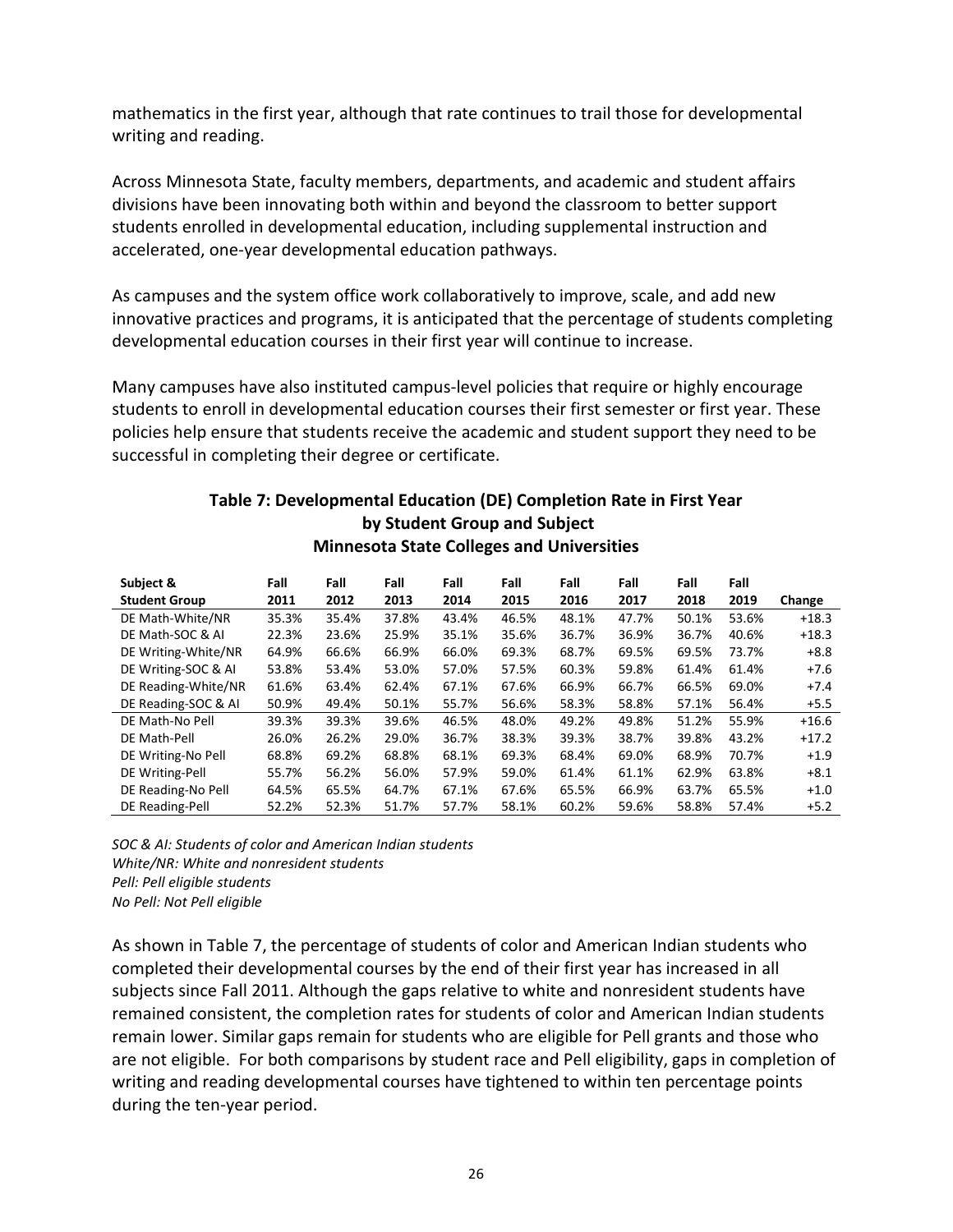mathematics in the first year, although that rate continues to trail those for developmental writing and reading.

 Across Minnesota State, faculty members, departments, and academic and student affairs divisions have been innovating both within and beyond the classroom to better support students enrolled in developmental education, including supplemental instruction and accelerated, one-year developmental education pathways.

 As campuses and the system office work collaboratively to improve, scale, and add new innovative practices and programs, it is anticipated that the percentage of students completing developmental education courses in their first year will continue to increase.

 Many campuses have also instituted campus-level policies that require or highly encourage students to enroll in developmental education courses their first semester or first year. These policies help ensure that students receive the academic and student support they need to be successful in completing their degree or certificate.

### Table 7: Developmental Education (DE) Completion Rate in First Year by Student Group and Subject Minnesota State Colleges and Universities

| Subject &            | Fall  | Fall  | Fall  | Fall  | Fall  | Fall  | Fall  | Fall  | Fall  |         |
|----------------------|-------|-------|-------|-------|-------|-------|-------|-------|-------|---------|
| <b>Student Group</b> | 2011  | 2012  | 2013  | 2014  | 2015  | 2016  | 2017  | 2018  | 2019  | Change  |
| DE Math-White/NR     | 35.3% | 35.4% | 37.8% | 43.4% | 46.5% | 48.1% | 47.7% | 50.1% | 53.6% | $+18.3$ |
| DE Math-SOC & AI     | 22.3% | 23.6% | 25.9% | 35.1% | 35.6% | 36.7% | 36.9% | 36.7% | 40.6% | $+18.3$ |
| DE Writing-White/NR  | 64.9% | 66.6% | 66.9% | 66.0% | 69.3% | 68.7% | 69.5% | 69.5% | 73.7% | $+8.8$  |
| DE Writing-SOC & Al  | 53.8% | 53.4% | 53.0% | 57.0% | 57.5% | 60.3% | 59.8% | 61.4% | 61.4% | $+7.6$  |
| DE Reading-White/NR  | 61.6% | 63.4% | 62.4% | 67.1% | 67.6% | 66.9% | 66.7% | 66.5% | 69.0% | $+7.4$  |
| DE Reading-SOC & AI  | 50.9% | 49.4% | 50.1% | 55.7% | 56.6% | 58.3% | 58.8% | 57.1% | 56.4% | $+5.5$  |
| DE Math-No Pell      | 39.3% | 39.3% | 39.6% | 46.5% | 48.0% | 49.2% | 49.8% | 51.2% | 55.9% | $+16.6$ |
| DE Math-Pell         | 26.0% | 26.2% | 29.0% | 36.7% | 38.3% | 39.3% | 38.7% | 39.8% | 43.2% | $+17.2$ |
| DE Writing-No Pell   | 68.8% | 69.2% | 68.8% | 68.1% | 69.3% | 68.4% | 69.0% | 68.9% | 70.7% | $+1.9$  |
| DE Writing-Pell      | 55.7% | 56.2% | 56.0% | 57.9% | 59.0% | 61.4% | 61.1% | 62.9% | 63.8% | $+8.1$  |
| DE Reading-No Pell   | 64.5% | 65.5% | 64.7% | 67.1% | 67.6% | 65.5% | 66.9% | 63.7% | 65.5% | $+1.0$  |
| DE Reading-Pell      | 52.2% | 52.3% | 51.7% | 57.7% | 58.1% | 60.2% | 59.6% | 58.8% | 57.4% | $+5.2$  |

 SOC & AI: Students of color and American Indian students White/NR: White and nonresident students Pell: Pell eligible students No Pell: Not Pell eligible

 As shown in Table 7, the percentage of students of color and American Indian students who completed their developmental courses by the end of their first year has increased in all subjects since Fall 2011. Although the gaps relative to white and nonresident students have remained consistent, the completion rates for students of color and American Indian students remain lower. Similar gaps remain for students who are eligible for Pell grants and those who are not eligible. For both comparisons by student race and Pell eligibility, gaps in completion of writing and reading developmental courses have tightened to within ten percentage points during the ten-year period.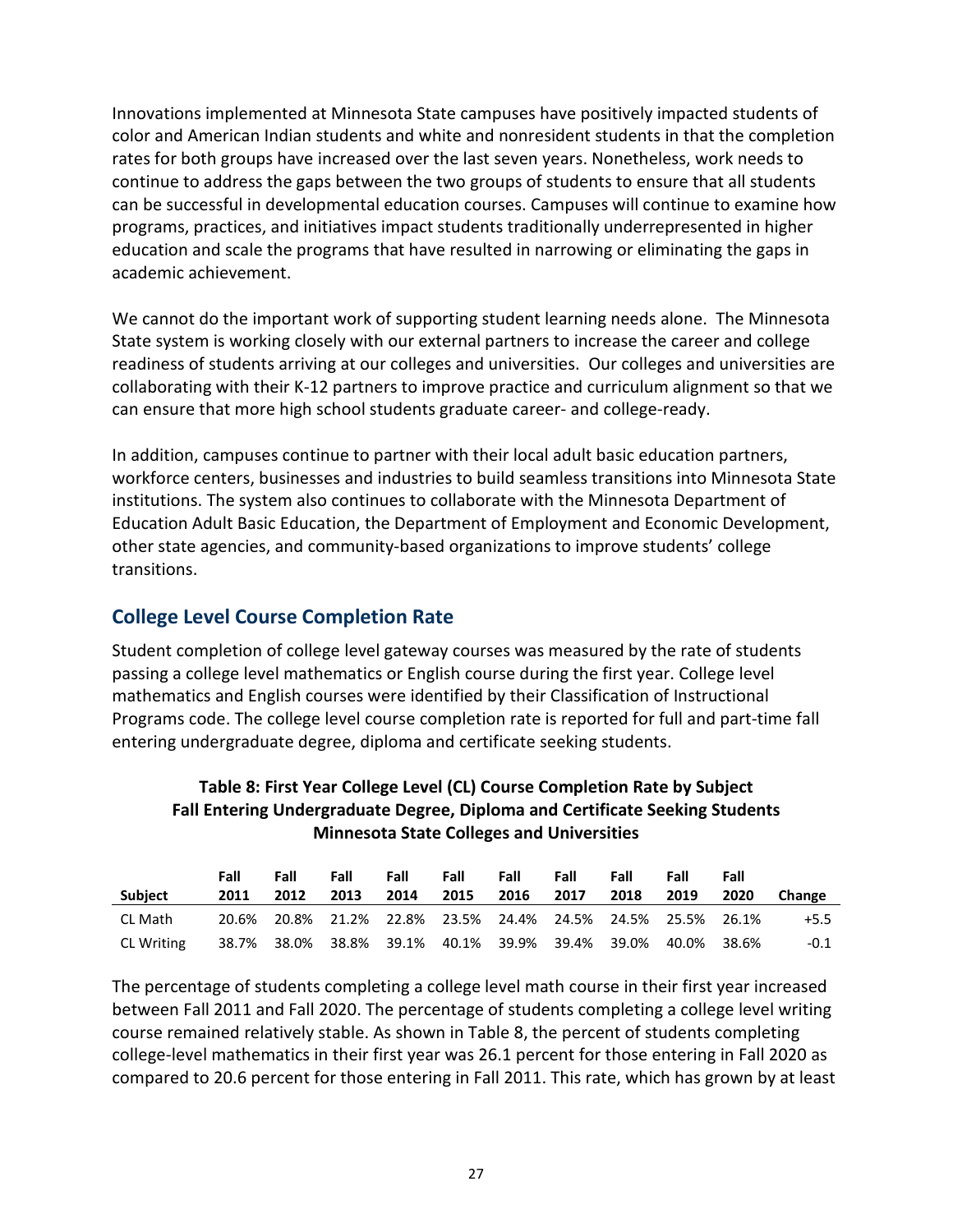Innovations implemented at Minnesota State campuses have positively impacted students of color and American Indian students and white and nonresident students in that the completion rates for both groups have increased over the last seven years. Nonetheless, work needs to continue to address the gaps between the two groups of students to ensure that all students can be successful in developmental education courses. Campuses will continue to examine how programs, practices, and initiatives impact students traditionally underrepresented in higher education and scale the programs that have resulted in narrowing or eliminating the gaps in academic achievement.

 We cannot do the important work of supporting student learning needs alone. The Minnesota State system is working closely with our external partners to increase the career and college readiness of students arriving at our colleges and universities. Our colleges and universities are collaborating with their K-12 partners to improve practice and curriculum alignment so that we can ensure that more high school students graduate career- and college-ready.

 In addition, campuses continue to partner with their local adult basic education partners, workforce centers, businesses and industries to build seamless transitions into Minnesota State institutions. The system also continues to collaborate with the Minnesota Department of Education Adult Basic Education, the Department of Employment and Economic Development, other state agencies, and community-based organizations to improve students' college transitions.

## College Level Course Completion Rate

 Student completion of college level gateway courses was measured by the rate of students passing a college level mathematics or English course during the first year. College level mathematics and English courses were identified by their Classification of Instructional Programs code. The college level course completion rate is reported for full and part-time fall entering undergraduate degree, diploma and certificate seeking students.

#### Table 8: First Year College Level (CL) Course Completion Rate by Subject Fall Entering Undergraduate Degree, Diploma and Certificate Seeking Students Minnesota State Colleges and Universities

|            | Fall | Fall | Fall | Fall | Fall           | Fall | Fall | Fall | Fall                                                        | Fall |               |
|------------|------|------|------|------|----------------|------|------|------|-------------------------------------------------------------|------|---------------|
| Subject    | 2011 | 2012 | 2013 | 2014 | 2015 2016 2017 |      |      | 2018 | 2019                                                        | 2020 | <b>Change</b> |
| CL Math    |      |      |      |      |                |      |      |      | 20.6% 20.8% 21.2% 22.8% 23.5% 24.4% 24.5% 24.5% 25.5% 26.1% |      | $+5.5$        |
| CL Writing |      |      |      |      |                |      |      |      | 38.7% 38.0% 38.8% 39.1% 40.1% 39.9% 39.4% 39.0% 40.0% 38.6% |      | $-0.1$        |

 The percentage of students completing a college level math course in their first year increased between Fall 2011 and Fall 2020. The percentage of students completing a college level writing course remained relatively stable. As shown in Table 8, the percent of students completing college-level mathematics in their first year was 26.1 percent for those entering in Fall 2020 as compared to 20.6 percent for those entering in Fall 2011. This rate, which has grown by at least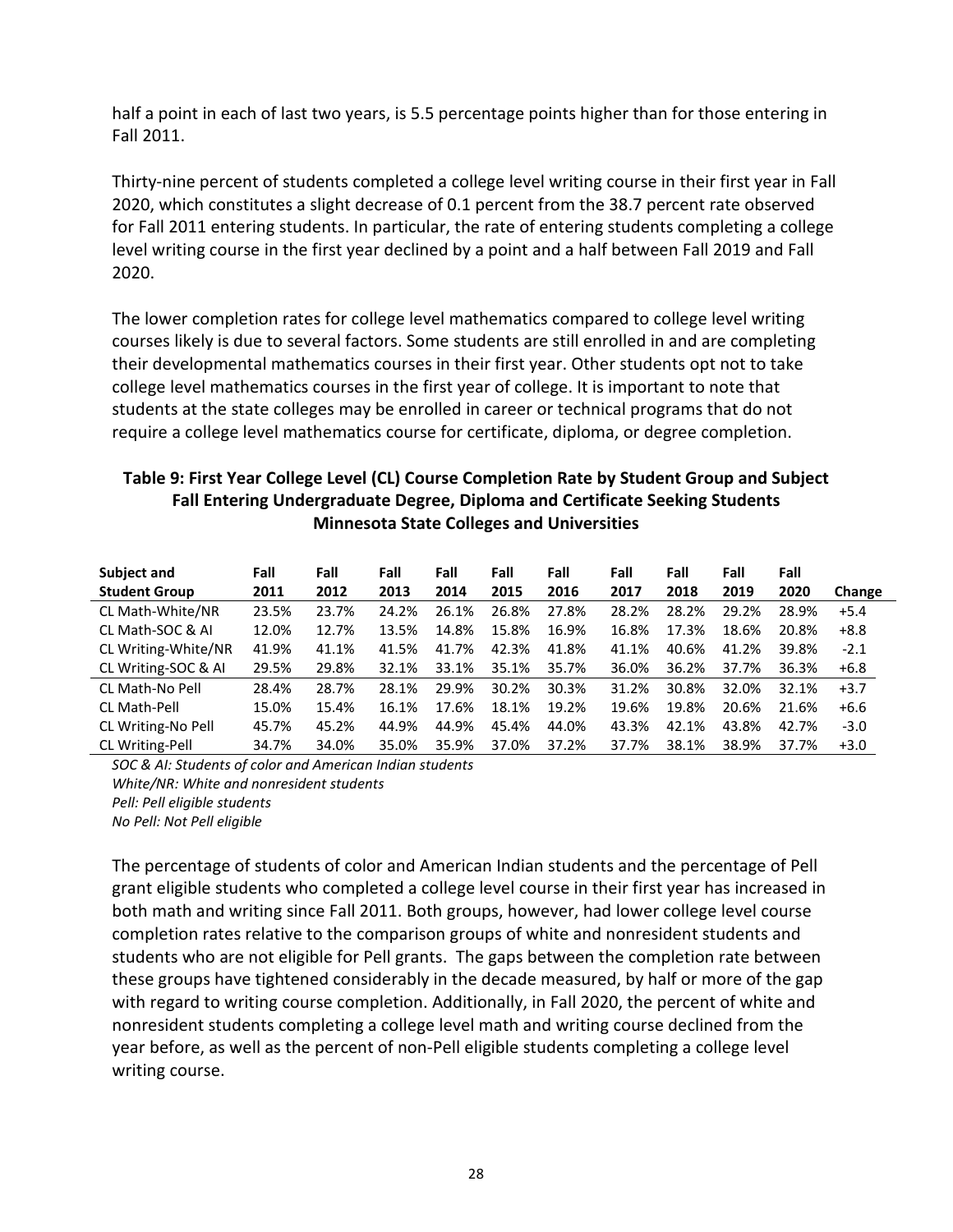half a point in each of last two years, is 5.5 percentage points higher than for those entering in Fall 2011.

 Thirty-nine percent of students completed a college level writing course in their first year in Fall 2020, which constitutes a slight decrease of 0.1 percent from the 38.7 percent rate observed for Fall 2011 entering students. In particular, the rate of entering students completing a college level writing course in the first year declined by a point and a half between Fall 2019 and Fall 2020.

 The lower completion rates for college level mathematics compared to college level writing courses likely is due to several factors. Some students are still enrolled in and are completing their developmental mathematics courses in their first year. Other students opt not to take college level mathematics courses in the first year of college. It is important to note that students at the state colleges may be enrolled in career or technical programs that do not require a college level mathematics course for certificate, diploma, or degree completion.

#### Table 9: First Year College Level (CL) Course Completion Rate by Student Group and Subject Fall Entering Undergraduate Degree, Diploma and Certificate Seeking Students Minnesota State Colleges and Universities

| Subject and            | Fall  | Fall  | Fall  | Fall  | Fall  | Fall  | Fall  | Fall  | Fall  | Fall  |        |
|------------------------|-------|-------|-------|-------|-------|-------|-------|-------|-------|-------|--------|
| <b>Student Group</b>   | 2011  | 2012  | 2013  | 2014  | 2015  | 2016  | 2017  | 2018  | 2019  | 2020  | Change |
| CL Math-White/NR       | 23.5% | 23.7% | 24.2% | 26.1% | 26.8% | 27.8% | 28.2% | 28.2% | 29.2% | 28.9% | $+5.4$ |
| CL Math-SOC & AI       | 12.0% | 12.7% | 13.5% | 14.8% | 15.8% | 16.9% | 16.8% | 17.3% | 18.6% | 20.8% | $+8.8$ |
| CL Writing-White/NR    | 41.9% | 41.1% | 41.5% | 41.7% | 42.3% | 41.8% | 41.1% | 40.6% | 41.2% | 39.8% | $-2.1$ |
| CL Writing-SOC & AI    | 29.5% | 29.8% | 32.1% | 33.1% | 35.1% | 35.7% | 36.0% | 36.2% | 37.7% | 36.3% | $+6.8$ |
| CL Math-No Pell        | 28.4% | 28.7% | 28.1% | 29.9% | 30.2% | 30.3% | 31.2% | 30.8% | 32.0% | 32.1% | $+3.7$ |
| CL Math-Pell           | 15.0% | 15.4% | 16.1% | 17.6% | 18.1% | 19.2% | 19.6% | 19.8% | 20.6% | 21.6% | $+6.6$ |
| CL Writing-No Pell     | 45.7% | 45.2% | 44.9% | 44.9% | 45.4% | 44.0% | 43.3% | 42.1% | 43.8% | 42.7% | $-3.0$ |
| <b>CL Writing-Pell</b> | 34.7% | 34.0% | 35.0% | 35.9% | 37.0% | 37.2% | 37.7% | 38.1% | 38.9% | 37.7% | $+3.0$ |

 SOC & AI: Students of color and American Indian students White/NR: White and nonresident students Pell: Pell eligible students No Pell: Not Pell eligible

 The percentage of students of color and American Indian students and the percentage of Pell grant eligible students who completed a college level course in their first year has increased in both math and writing since Fall 2011. Both groups, however, had lower college level course completion rates relative to the comparison groups of white and nonresident students and students who are not eligible for Pell grants. The gaps between the completion rate between these groups have tightened considerably in the decade measured, by half or more of the gap with regard to writing course completion. Additionally, in Fall 2020, the percent of white and nonresident students completing a college level math and writing course declined from the year before, as well as the percent of non-Pell eligible students completing a college level writing course.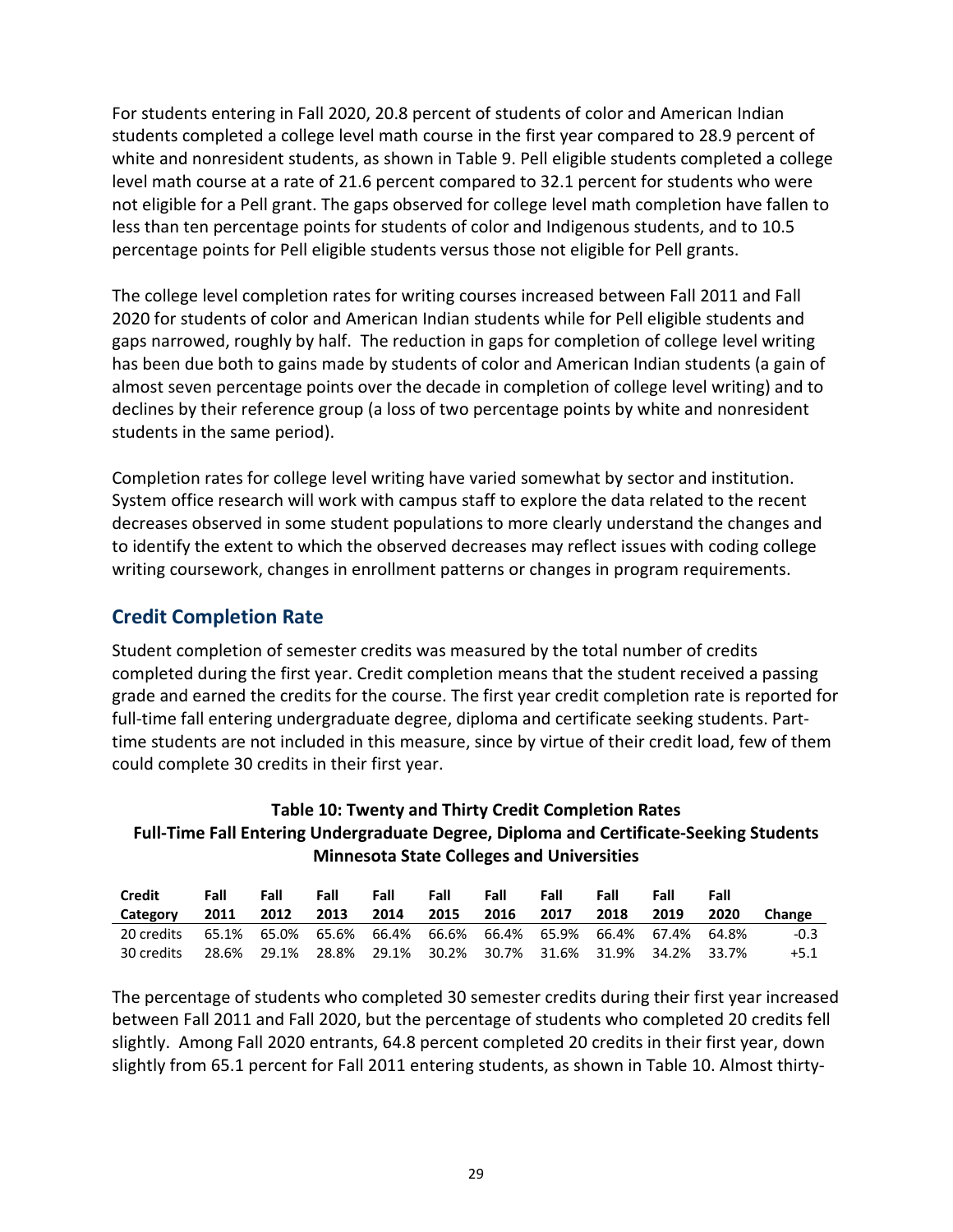For students entering in Fall 2020, 20.8 percent of students of color and American Indian students completed a college level math course in the first year compared to 28.9 percent of white and nonresident students, as shown in Table 9. Pell eligible students completed a college level math course at a rate of 21.6 percent compared to 32.1 percent for students who were not eligible for a Pell grant. The gaps observed for college level math completion have fallen to less than ten percentage points for students of color and Indigenous students, and to 10.5 percentage points for Pell eligible students versus those not eligible for Pell grants.

 The college level completion rates for writing courses increased between Fall 2011 and Fall 2020 for students of color and American Indian students while for Pell eligible students and gaps narrowed, roughly by half. The reduction in gaps for completion of college level writing has been due both to gains made by students of color and American Indian students (a gain of almost seven percentage points over the decade in completion of college level writing) and to declines by their reference group (a loss of two percentage points by white and nonresident students in the same period).

 Completion rates for college level writing have varied somewhat by sector and institution. System office research will work with campus staff to explore the data related to the recent decreases observed in some student populations to more clearly understand the changes and to identify the extent to which the observed decreases may reflect issues with coding college writing coursework, changes in enrollment patterns or changes in program requirements.

## Credit Completion Rate

 Student completion of semester credits was measured by the total number of credits completed during the first year. Credit completion means that the student received a passing grade and earned the credits for the course. The first year credit completion rate is reported for full-time fall entering undergraduate degree, diploma and certificate seeking students. Part- time students are not included in this measure, since by virtue of their credit load, few of them could complete 30 credits in their first year.

### Table 10: Twenty and Thirty Credit Completion Rates Full-Time Fall Entering Undergraduate Degree, Diploma and Certificate-Seeking Students Minnesota State Colleges and Universities

| <b>Credit</b> | Fall  | Fall | Fall                                                     | Fall | Fall | Fall | Fall | Fall | Fall  | Fall  |        |
|---------------|-------|------|----------------------------------------------------------|------|------|------|------|------|-------|-------|--------|
| Category      | 2011  | 2012 | 2013                                                     | 2014 | 2015 | 2016 | 2017 | 2018 | 2019  | 2020  | Change |
| 20 credits    |       |      | $65.1\%$ 65.0% 65.6% 66.4% 66.6% 66.4% 65.9% 66.4% 67.4% |      |      |      |      |      |       | 64.8% | $-0.3$ |
| 30 credits    | 28.6% |      | 29.1% 28.8% 29.1% 30.2% 30.7% 31.6% 31.9%                |      |      |      |      |      | 34.2% | 33.7% | $+5.1$ |

 The percentage of students who completed 30 semester credits during their first year increased between Fall 2011 and Fall 2020, but the percentage of students who completed 20 credits fell slightly. Among Fall 2020 entrants, 64.8 percent completed 20 credits in their first year, down slightly from 65.1 percent for Fall 2011 entering students, as shown in Table 10. Almost thirty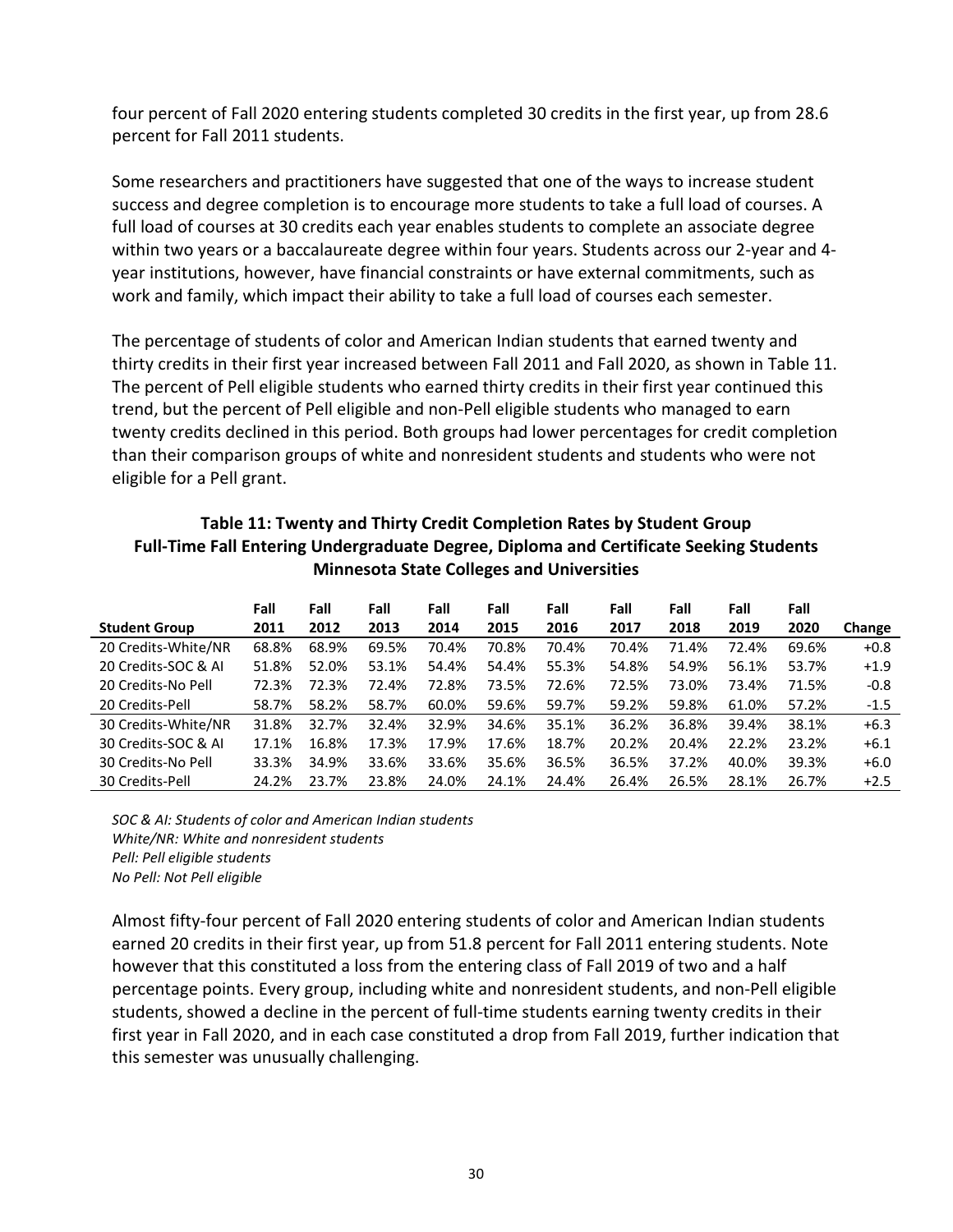four percent of Fall 2020 entering students completed 30 credits in the first year, up from 28.6 percent for Fall 2011 students.

 Some researchers and practitioners have suggested that one of the ways to increase student success and degree completion is to encourage more students to take a full load of courses. A full load of courses at 30 credits each year enables students to complete an associate degree within two years or a baccalaureate degree within four years. Students across our 2-year and 4- year institutions, however, have financial constraints or have external commitments, such as work and family, which impact their ability to take a full load of courses each semester.

 The percentage of students of color and American Indian students that earned twenty and thirty credits in their first year increased between Fall 2011 and Fall 2020, as shown in Table 11. The percent of Pell eligible students who earned thirty credits in their first year continued this trend, but the percent of Pell eligible and non-Pell eligible students who managed to earn twenty credits declined in this period. Both groups had lower percentages for credit completion than their comparison groups of white and nonresident students and students who were not eligible for a Pell grant.

### Table 11: Twenty and Thirty Credit Completion Rates by Student Group Full-Time Fall Entering Undergraduate Degree, Diploma and Certificate Seeking Students Minnesota State Colleges and Universities

|                      | Fall  | Fall  | Fall  | Fall  | Fall  | Fall  | Fall  | Fall  | Fall  | Fall  |        |
|----------------------|-------|-------|-------|-------|-------|-------|-------|-------|-------|-------|--------|
| <b>Student Group</b> | 2011  | 2012  | 2013  | 2014  | 2015  | 2016  | 2017  | 2018  | 2019  | 2020  | Change |
| 20 Credits-White/NR  | 68.8% | 68.9% | 69.5% | 70.4% | 70.8% | 70.4% | 70.4% | 71.4% | 72.4% | 69.6% | $+0.8$ |
| 20 Credits-SOC & AI  | 51.8% | 52.0% | 53.1% | 54.4% | 54.4% | 55.3% | 54.8% | 54.9% | 56.1% | 53.7% | $+1.9$ |
| 20 Credits-No Pell   | 72.3% | 72.3% | 72.4% | 72.8% | 73.5% | 72.6% | 72.5% | 73.0% | 73.4% | 71.5% | $-0.8$ |
| 20 Credits-Pell      | 58.7% | 58.2% | 58.7% | 60.0% | 59.6% | 59.7% | 59.2% | 59.8% | 61.0% | 57.2% | $-1.5$ |
| 30 Credits-White/NR  | 31.8% | 32.7% | 32.4% | 32.9% | 34.6% | 35.1% | 36.2% | 36.8% | 39.4% | 38.1% | $+6.3$ |
| 30 Credits-SOC & AI  | 17.1% | 16.8% | 17.3% | 17.9% | 17.6% | 18.7% | 20.2% | 20.4% | 22.2% | 23.2% | $+6.1$ |
| 30 Credits-No Pell   | 33.3% | 34.9% | 33.6% | 33.6% | 35.6% | 36.5% | 36.5% | 37.2% | 40.0% | 39.3% | $+6.0$ |
| 30 Credits-Pell      | 24.2% | 23.7% | 23.8% | 24.0% | 24.1% | 24.4% | 26.4% | 26.5% | 28.1% | 26.7% | $+2.5$ |

 SOC & AI: Students of color and American Indian students White/NR: White and nonresident students Pell: Pell eligible students No Pell: Not Pell eligible

 Almost fifty-four percent of Fall 2020 entering students of color and American Indian students earned 20 credits in their first year, up from 51.8 percent for Fall 2011 entering students. Note however that this constituted a loss from the entering class of Fall 2019 of two and a half percentage points. Every group, including white and nonresident students, and non-Pell eligible students, showed a decline in the percent of full-time students earning twenty credits in their first year in Fall 2020, and in each case constituted a drop from Fall 2019, further indication that this semester was unusually challenging.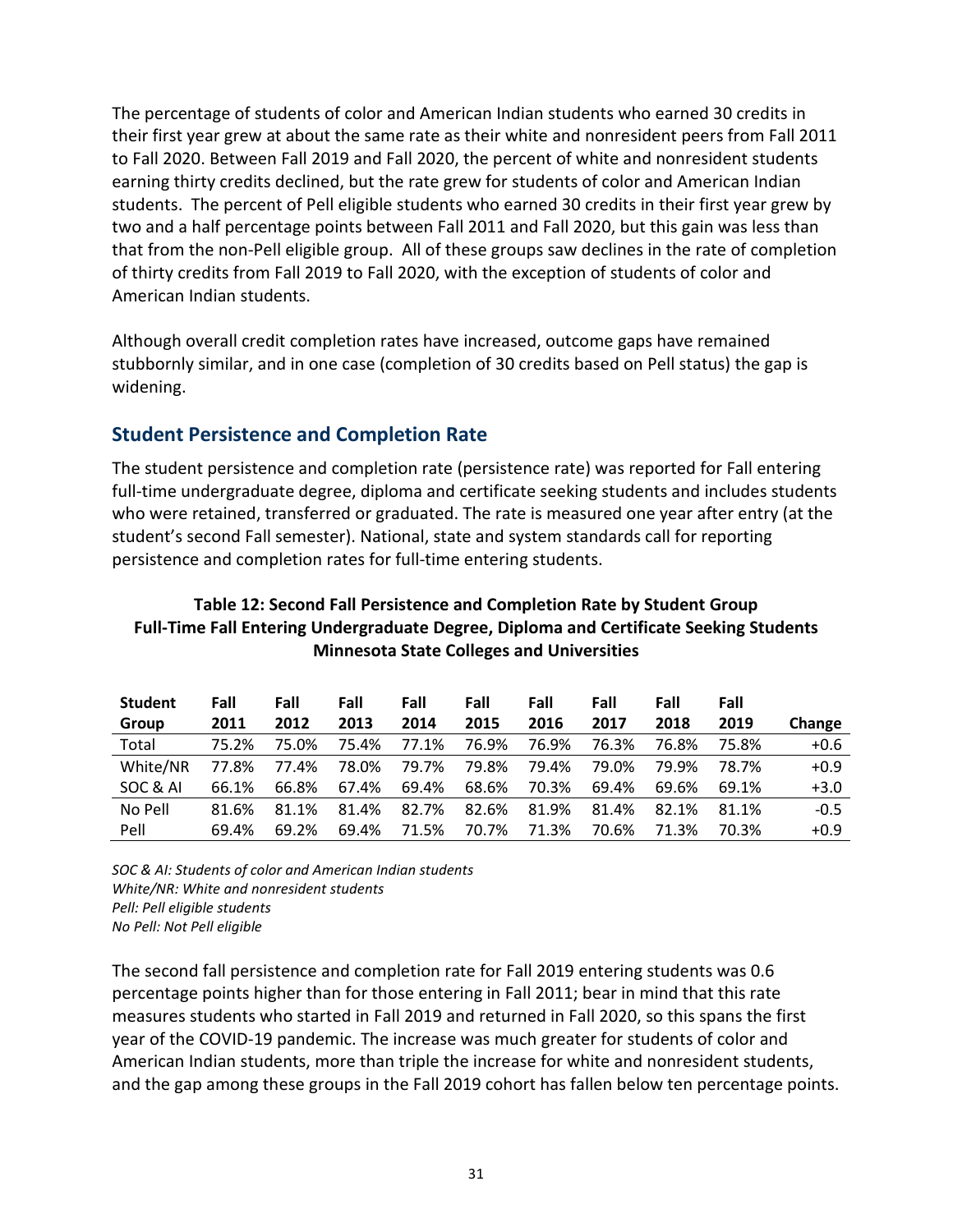The percentage of students of color and American Indian students who earned 30 credits in their first year grew at about the same rate as their white and nonresident peers from Fall 2011 to Fall 2020. Between Fall 2019 and Fall 2020, the percent of white and nonresident students earning thirty credits declined, but the rate grew for students of color and American Indian students. The percent of Pell eligible students who earned 30 credits in their first year grew by two and a half percentage points between Fall 2011 and Fall 2020, but this gain was less than that from the non-Pell eligible group. All of these groups saw declines in the rate of completion of thirty credits from Fall 2019 to Fall 2020, with the exception of students of color and American Indian students.

 Although overall credit completion rates have increased, outcome gaps have remained stubbornly similar, and in one case (completion of 30 credits based on Pell status) the gap is widening.

## Student Persistence and Completion Rate

 The student persistence and completion rate (persistence rate) was reported for Fall entering full-time undergraduate degree, diploma and certificate seeking students and includes students who were retained, transferred or graduated. The rate is measured one year after entry (at the student's second Fall semester). National, state and system standards call for reporting persistence and completion rates for full-time entering students.

### Table 12: Second Fall Persistence and Completion Rate by Student Group Full-Time Fall Entering Undergraduate Degree, Diploma and Certificate Seeking Students Minnesota State Colleges and Universities

| <b>Student</b> | Fall  | Fall  | Fall  | Fall  | Fall  | Fall  | Fall  | Fall  | Fall  |        |
|----------------|-------|-------|-------|-------|-------|-------|-------|-------|-------|--------|
| Group          | 2011  | 2012  | 2013  | 2014  | 2015  | 2016  | 2017  | 2018  | 2019  | Change |
| Total          | 75.2% | 75.0% | 75.4% | 77.1% | 76.9% | 76.9% | 76.3% | 76.8% | 75.8% | $+0.6$ |
| White/NR       | 77.8% | 77.4% | 78.0% | 79.7% | 79.8% | 79.4% | 79.0% | 79.9% | 78.7% | $+0.9$ |
| SOC & AI       | 66.1% | 66.8% | 67.4% | 69.4% | 68.6% | 70.3% | 69.4% | 69.6% | 69.1% | $+3.0$ |
| No Pell        | 81.6% | 81.1% | 81.4% | 82.7% | 82.6% | 81.9% | 81.4% | 82.1% | 81.1% | $-0.5$ |
| Pell           | 69.4% | 69.2% | 69.4% | 71.5% | 70.7% | 71.3% | 70.6% | 71.3% | 70.3% | $+0.9$ |

 SOC & AI: Students of color and American Indian students White/NR: White and nonresident students Pell: Pell eligible students No Pell: Not Pell eligible

 The second fall persistence and completion rate for Fall 2019 entering students was 0.6 percentage points higher than for those entering in Fall 2011; bear in mind that this rate measures students who started in Fall 2019 and returned in Fall 2020, so this spans the first year of the COVID-19 pandemic. The increase was much greater for students of color and American Indian students, more than triple the increase for white and nonresident students, and the gap among these groups in the Fall 2019 cohort has fallen below ten percentage points.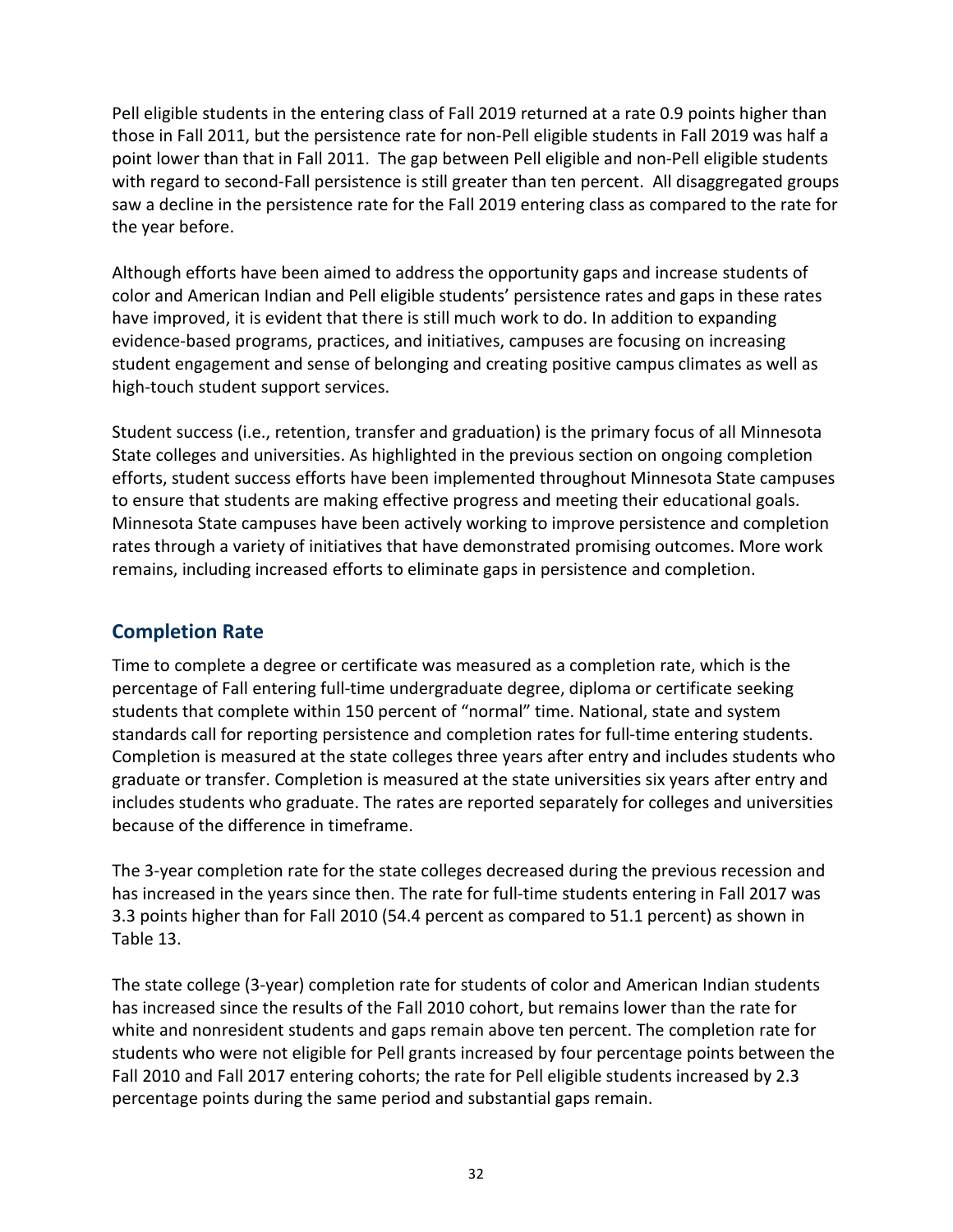Pell eligible students in the entering class of Fall 2019 returned at a rate 0.9 points higher than those in Fall 2011, but the persistence rate for non-Pell eligible students in Fall 2019 was half a point lower than that in Fall 2011. The gap between Pell eligible and non-Pell eligible students with regard to second-Fall persistence is still greater than ten percent. All disaggregated groups saw a decline in the persistence rate for the Fall 2019 entering class as compared to the rate for the year before.

 Although efforts have been aimed to address the opportunity gaps and increase students of color and American Indian and Pell eligible students' persistence rates and gaps in these rates have improved, it is evident that there is still much work to do. In addition to expanding evidence-based programs, practices, and initiatives, campuses are focusing on increasing student engagement and sense of belonging and creating positive campus climates as well as high-touch student support services.

 Student success (i.e., retention, transfer and graduation) is the primary focus of all Minnesota State colleges and universities. As highlighted in the previous section on ongoing completion efforts, student success efforts have been implemented throughout Minnesota State campuses to ensure that students are making effective progress and meeting their educational goals. Minnesota State campuses have been actively working to improve persistence and completion rates through a variety of initiatives that have demonstrated promising outcomes. More work remains, including increased efforts to eliminate gaps in persistence and completion.

## Completion Rate

 Time to complete a degree or certificate was measured as a completion rate, which is the percentage of Fall entering full-time undergraduate degree, diploma or certificate seeking students that complete within 150 percent of "normal" time. National, state and system standards call for reporting persistence and completion rates for full-time entering students. Completion is measured at the state colleges three years after entry and includes students who graduate or transfer. Completion is measured at the state universities six years after entry and includes students who graduate. The rates are reported separately for colleges and universities because of the difference in timeframe.

 The 3-year completion rate for the state colleges decreased during the previous recession and has increased in the years since then. The rate for full-time students entering in Fall 2017 was 3.3 points higher than for Fall 2010 (54.4 percent as compared to 51.1 percent) as shown in Table 13.

 The state college (3-year) completion rate for students of color and American Indian students has increased since the results of the Fall 2010 cohort, but remains lower than the rate for white and nonresident students and gaps remain above ten percent. The completion rate for students who were not eligible for Pell grants increased by four percentage points between the Fall 2010 and Fall 2017 entering cohorts; the rate for Pell eligible students increased by 2.3 percentage points during the same period and substantial gaps remain.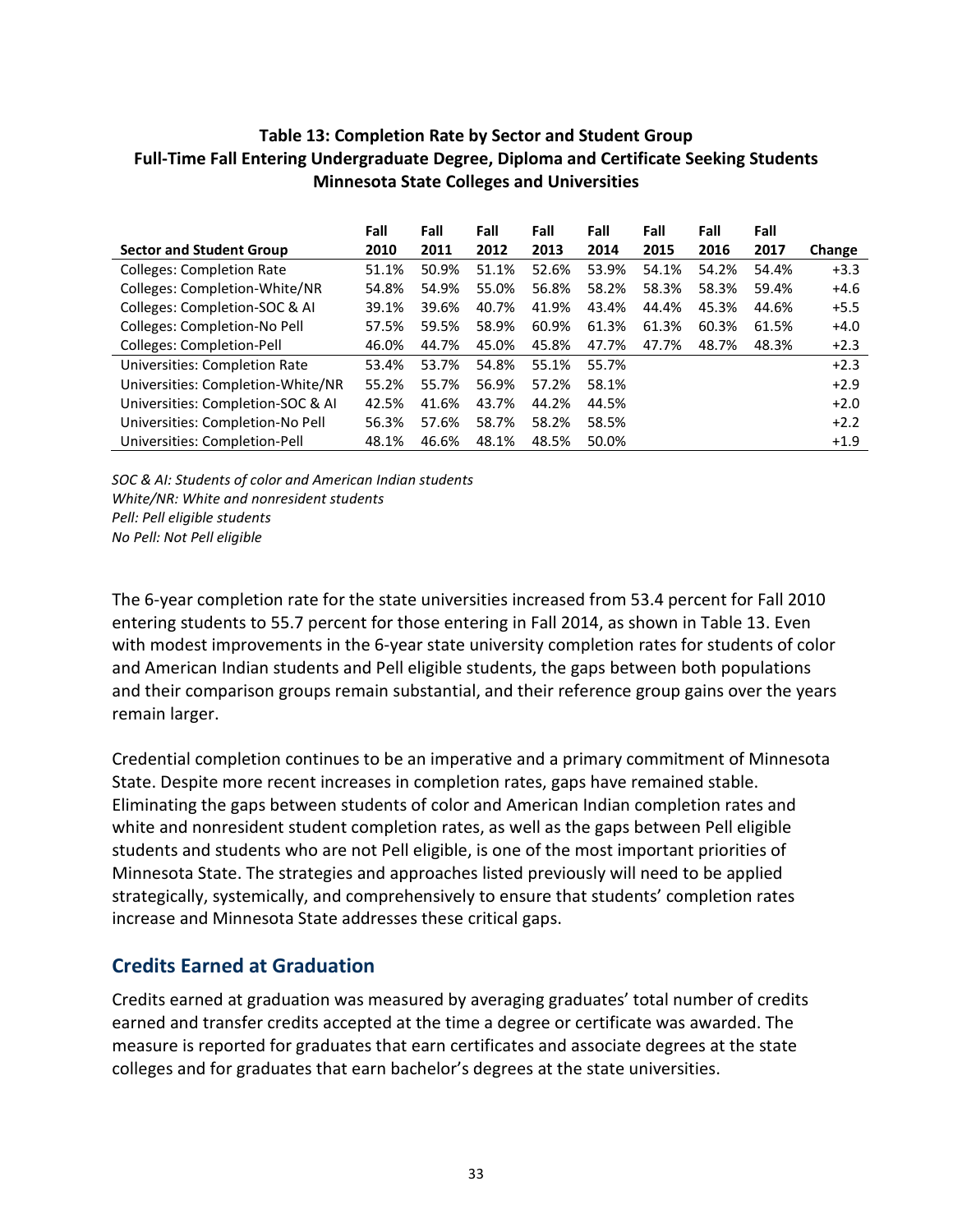#### Table 13: Completion Rate by Sector and Student Group Full-Time Fall Entering Undergraduate Degree, Diploma and Certificate Seeking Students Minnesota State Colleges and Universities

|                                      | Fall  | Fall  | Fall  | Fall  | Fall  | Fall  | Fall  | Fall  |        |
|--------------------------------------|-------|-------|-------|-------|-------|-------|-------|-------|--------|
| <b>Sector and Student Group</b>      | 2010  | 2011  | 2012  | 2013  | 2014  | 2015  | 2016  | 2017  | Change |
| <b>Colleges: Completion Rate</b>     | 51.1% | 50.9% | 51.1% | 52.6% | 53.9% | 54.1% | 54.2% | 54.4% | $+3.3$ |
| Colleges: Completion-White/NR        | 54.8% | 54.9% | 55.0% | 56.8% | 58.2% | 58.3% | 58.3% | 59.4% | $+4.6$ |
| Colleges: Completion-SOC & AI        | 39.1% | 39.6% | 40.7% | 41.9% | 43.4% | 44.4% | 45.3% | 44.6% | $+5.5$ |
| Colleges: Completion-No Pell         | 57.5% | 59.5% | 58.9% | 60.9% | 61.3% | 61.3% | 60.3% | 61.5% | $+4.0$ |
| Colleges: Completion-Pell            | 46.0% | 44.7% | 45.0% | 45.8% | 47.7% | 47.7% | 48.7% | 48.3% | $+2.3$ |
| <b>Universities: Completion Rate</b> | 53.4% | 53.7% | 54.8% | 55.1% | 55.7% |       |       |       | $+2.3$ |
| Universities: Completion-White/NR    | 55.2% | 55.7% | 56.9% | 57.2% | 58.1% |       |       |       | $+2.9$ |
| Universities: Completion-SOC & AI    | 42.5% | 41.6% | 43.7% | 44.2% | 44.5% |       |       |       | $+2.0$ |
| Universities: Completion-No Pell     | 56.3% | 57.6% | 58.7% | 58.2% | 58.5% |       |       |       | $+2.2$ |
| Universities: Completion-Pell        | 48.1% | 46.6% | 48.1% | 48.5% | 50.0% |       |       |       | $+1.9$ |

 SOC & AI: Students of color and American Indian students White/NR: White and nonresident students Pell: Pell eligible students No Pell: Not Pell eligible

 The 6-year completion rate for the state universities increased from 53.4 percent for Fall 2010 entering students to 55.7 percent for those entering in Fall 2014, as shown in Table 13. Even with modest improvements in the 6-year state university completion rates for students of color and American Indian students and Pell eligible students, the gaps between both populations and their comparison groups remain substantial, and their reference group gains over the years remain larger.

 Credential completion continues to be an imperative and a primary commitment of Minnesota State. Despite more recent increases in completion rates, gaps have remained stable. Eliminating the gaps between students of color and American Indian completion rates and white and nonresident student completion rates, as well as the gaps between Pell eligible students and students who are not Pell eligible, is one of the most important priorities of Minnesota State. The strategies and approaches listed previously will need to be applied strategically, systemically, and comprehensively to ensure that students' completion rates increase and Minnesota State addresses these critical gaps.

## Credits Earned at Graduation

 Credits earned at graduation was measured by averaging graduates' total number of credits earned and transfer credits accepted at the time a degree or certificate was awarded. The measure is reported for graduates that earn certificates and associate degrees at the state colleges and for graduates that earn bachelor's degrees at the state universities.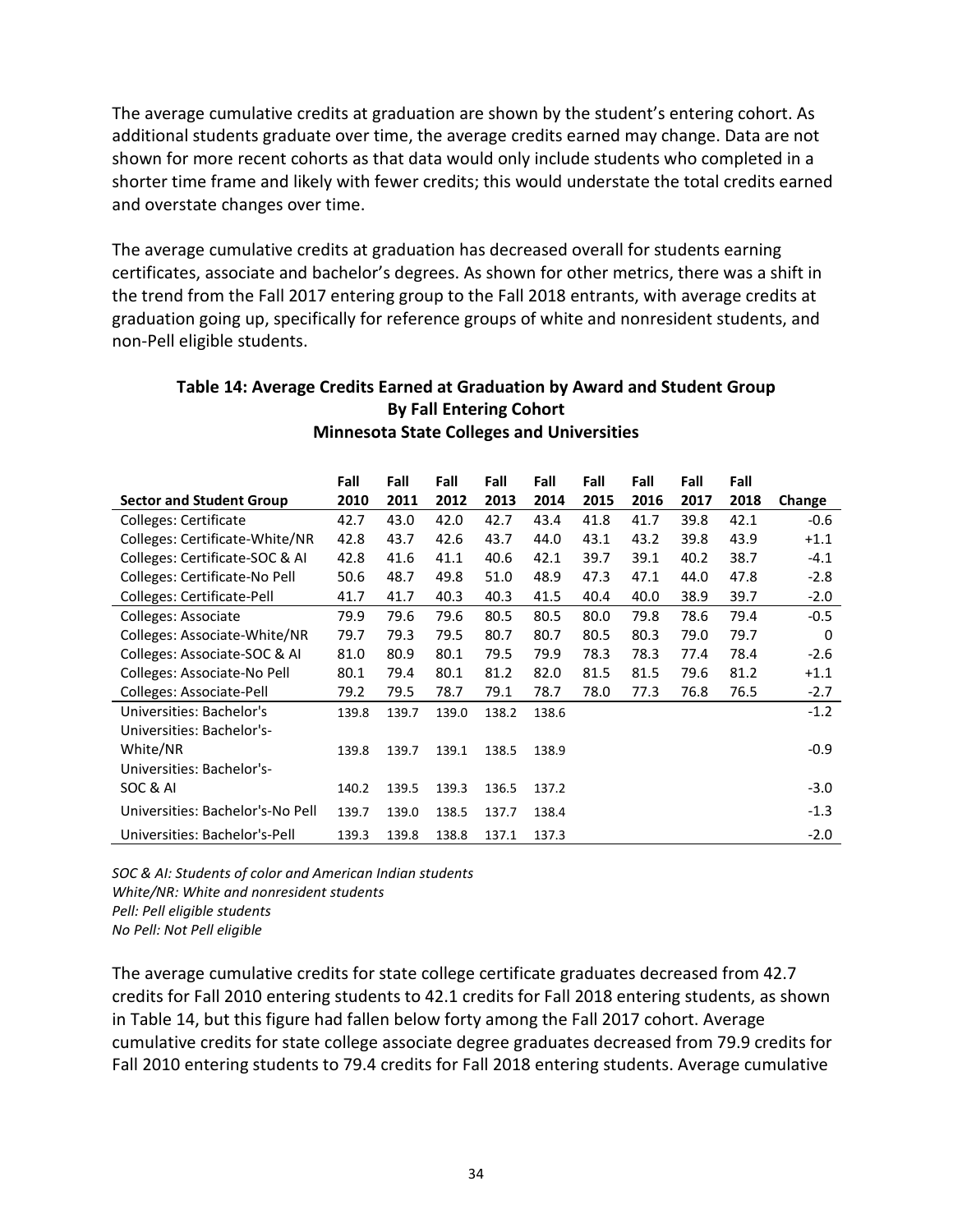The average cumulative credits at graduation are shown by the student's entering cohort. As additional students graduate over time, the average credits earned may change. Data are not shown for more recent cohorts as that data would only include students who completed in a shorter time frame and likely with fewer credits; this would understate the total credits earned and overstate changes over time.

 The average cumulative credits at graduation has decreased overall for students earning certificates, associate and bachelor's degrees. As shown for other metrics, there was a shift in the trend from the Fall 2017 entering group to the Fall 2018 entrants, with average credits at graduation going up, specifically for reference groups of white and nonresident students, and non-Pell eligible students.

|                                  | Fall  | Fall  | Fall  | Fall  | Fall  | Fall | Fall | Fall | Fall |        |
|----------------------------------|-------|-------|-------|-------|-------|------|------|------|------|--------|
| <b>Sector and Student Group</b>  | 2010  | 2011  | 2012  | 2013  | 2014  | 2015 | 2016 | 2017 | 2018 | Change |
| Colleges: Certificate            | 42.7  | 43.0  | 42.0  | 42.7  | 43.4  | 41.8 | 41.7 | 39.8 | 42.1 | $-0.6$ |
| Colleges: Certificate-White/NR   | 42.8  | 43.7  | 42.6  | 43.7  | 44.0  | 43.1 | 43.2 | 39.8 | 43.9 | $+1.1$ |
| Colleges: Certificate-SOC & AI   | 42.8  | 41.6  | 41.1  | 40.6  | 42.1  | 39.7 | 39.1 | 40.2 | 38.7 | $-4.1$ |
| Colleges: Certificate-No Pell    | 50.6  | 48.7  | 49.8  | 51.0  | 48.9  | 47.3 | 47.1 | 44.0 | 47.8 | $-2.8$ |
| Colleges: Certificate-Pell       | 41.7  | 41.7  | 40.3  | 40.3  | 41.5  | 40.4 | 40.0 | 38.9 | 39.7 | $-2.0$ |
| Colleges: Associate              | 79.9  | 79.6  | 79.6  | 80.5  | 80.5  | 80.0 | 79.8 | 78.6 | 79.4 | $-0.5$ |
| Colleges: Associate-White/NR     | 79.7  | 79.3  | 79.5  | 80.7  | 80.7  | 80.5 | 80.3 | 79.0 | 79.7 | 0      |
| Colleges: Associate-SOC & AI     | 81.0  | 80.9  | 80.1  | 79.5  | 79.9  | 78.3 | 78.3 | 77.4 | 78.4 | $-2.6$ |
| Colleges: Associate-No Pell      | 80.1  | 79.4  | 80.1  | 81.2  | 82.0  | 81.5 | 81.5 | 79.6 | 81.2 | $+1.1$ |
| Colleges: Associate-Pell         | 79.2  | 79.5  | 78.7  | 79.1  | 78.7  | 78.0 | 77.3 | 76.8 | 76.5 | $-2.7$ |
| Universities: Bachelor's         | 139.8 | 139.7 | 139.0 | 138.2 | 138.6 |      |      |      |      | $-1.2$ |
| Universities: Bachelor's-        |       |       |       |       |       |      |      |      |      |        |
| White/NR                         | 139.8 | 139.7 | 139.1 | 138.5 | 138.9 |      |      |      |      | $-0.9$ |
| Universities: Bachelor's-        |       |       |       |       |       |      |      |      |      |        |
| SOC & AI                         | 140.2 | 139.5 | 139.3 | 136.5 | 137.2 |      |      |      |      | $-3.0$ |
| Universities: Bachelor's-No Pell | 139.7 | 139.0 | 138.5 | 137.7 | 138.4 |      |      |      |      | $-1.3$ |
| Universities: Bachelor's-Pell    | 139.3 | 139.8 | 138.8 | 137.1 | 137.3 |      |      |      |      | $-2.0$ |

### Table 14: Average Credits Earned at Graduation by Award and Student Group By Fall Entering Cohort Minnesota State Colleges and Universities

 SOC & AI: Students of color and American Indian students White/NR: White and nonresident students Pell: Pell eligible students No Pell: Not Pell eligible

 The average cumulative credits for state college certificate graduates decreased from 42.7 credits for Fall 2010 entering students to 42.1 credits for Fall 2018 entering students, as shown in Table 14, but this figure had fallen below forty among the Fall 2017 cohort. Average cumulative credits for state college associate degree graduates decreased from 79.9 credits for Fall 2010 entering students to 79.4 credits for Fall 2018 entering students. Average cumulative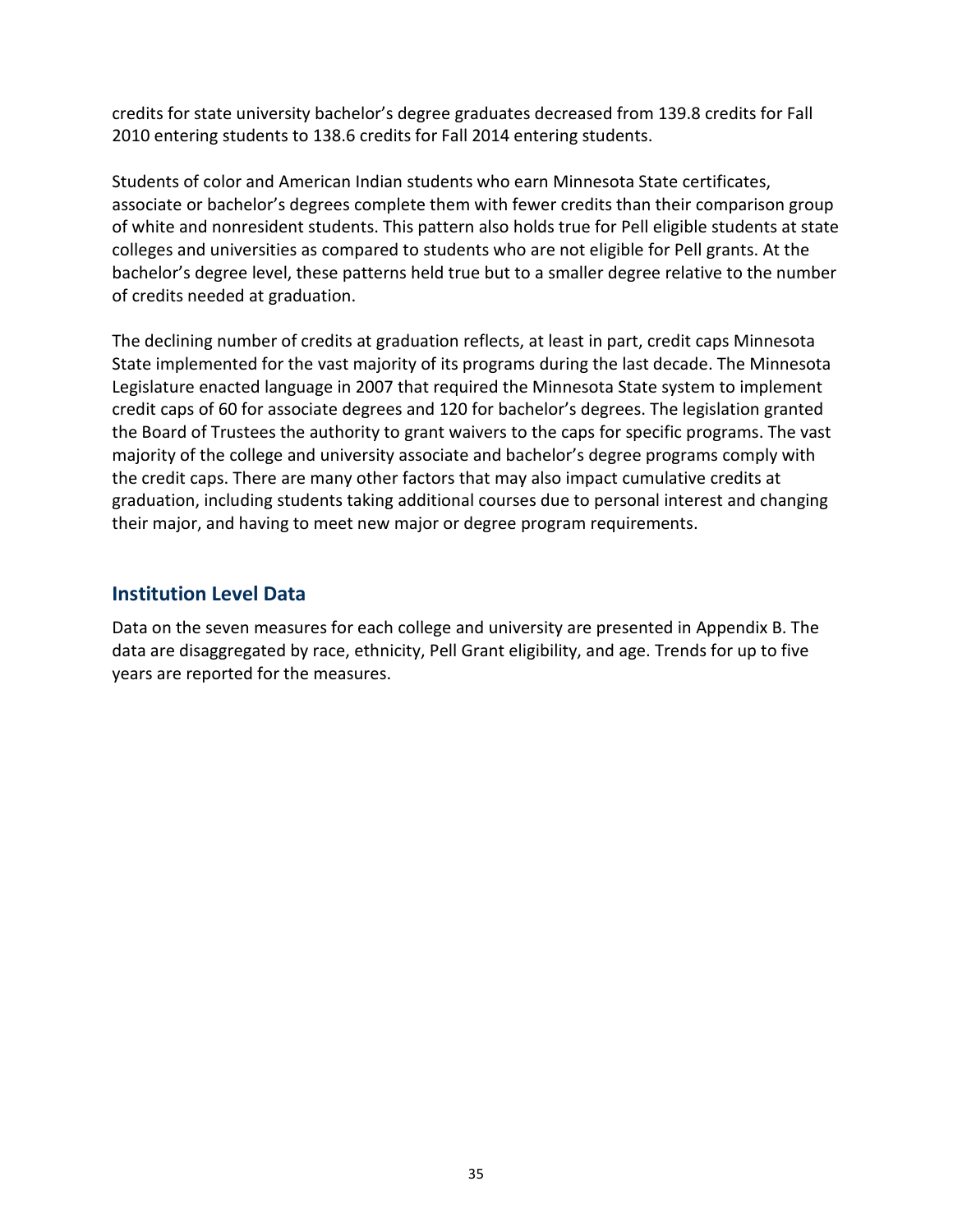credits for state university bachelor's degree graduates decreased from 139.8 credits for Fall 2010 entering students to 138.6 credits for Fall 2014 entering students.

 Students of color and American Indian students who earn Minnesota State certificates, associate or bachelor's degrees complete them with fewer credits than their comparison group of white and nonresident students. This pattern also holds true for Pell eligible students at state colleges and universities as compared to students who are not eligible for Pell grants. At the bachelor's degree level, these patterns held true but to a smaller degree relative to the number of credits needed at graduation.

 The declining number of credits at graduation reflects, at least in part, credit caps Minnesota State implemented for the vast majority of its programs during the last decade. The Minnesota Legislature enacted language in 2007 that required the Minnesota State system to implement credit caps of 60 for associate degrees and 120 for bachelor's degrees. The legislation granted the Board of Trustees the authority to grant waivers to the caps for specific programs. The vast majority of the college and university associate and bachelor's degree programs comply with the credit caps. There are many other factors that may also impact cumulative credits at graduation, including students taking additional courses due to personal interest and changing their major, and having to meet new major or degree program requirements.

### Institution Level Data

 Data on the seven measures for each college and university are presented in Appendix B. The data are disaggregated by race, ethnicity, Pell Grant eligibility, and age. Trends for up to five years are reported for the measures.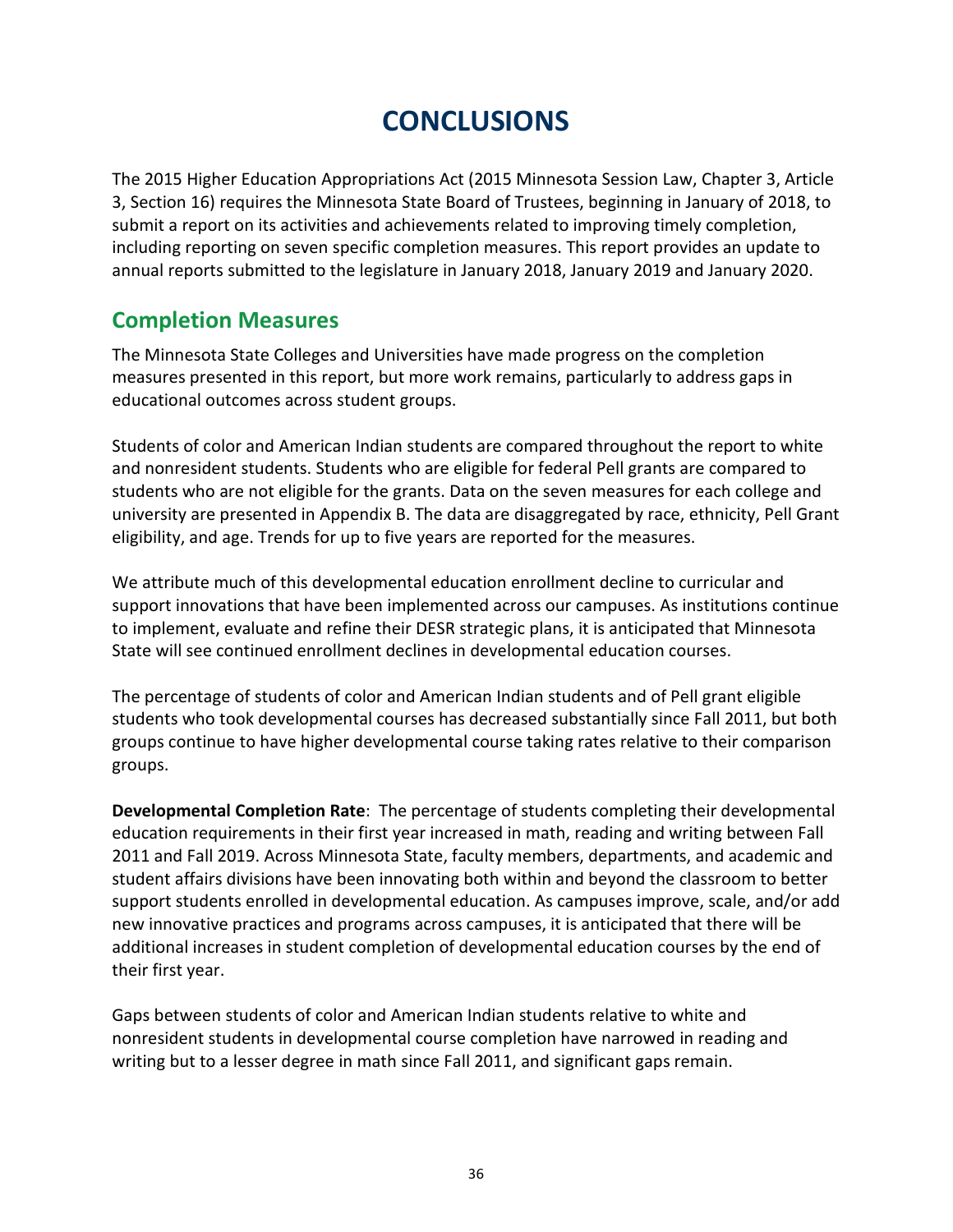## **CONCLUSIONS**

 The 2015 Higher Education Appropriations Act (2015 Minnesota Session Law, Chapter 3, Article 3, Section 16) requires the Minnesota State Board of Trustees, beginning in January of 2018, to submit a report on its activities and achievements related to improving timely completion, including reporting on seven specific completion measures. This report provides an update to annual reports submitted to the legislature in January 2018, January 2019 and January 2020.

## Completion Measures

 The Minnesota State Colleges and Universities have made progress on the completion measures presented in this report, but more work remains, particularly to address gaps in educational outcomes across student groups.

 Students of color and American Indian students are compared throughout the report to white and nonresident students. Students who are eligible for federal Pell grants are compared to students who are not eligible for the grants. Data on the seven measures for each college and university are presented in Appendix B. The data are disaggregated by race, ethnicity, Pell Grant eligibility, and age. Trends for up to five years are reported for the measures.

 We attribute much of this developmental education enrollment decline to curricular and support innovations that have been implemented across our campuses. As institutions continue to implement, evaluate and refine their DESR strategic plans, it is anticipated that Minnesota State will see continued enrollment declines in developmental education courses.

 The percentage of students of color and American Indian students and of Pell grant eligible students who took developmental courses has decreased substantially since Fall 2011, but both groups continue to have higher developmental course taking rates relative to their comparison groups.

Developmental Completion Rate: The percentage of students completing their developmental education requirements in their first year increased in math, reading and writing between Fall 2011 and Fall 2019. Across Minnesota State, faculty members, departments, and academic and student affairs divisions have been innovating both within and beyond the classroom to better support students enrolled in developmental education. As campuses improve, scale, and/or add new innovative practices and programs across campuses, it is anticipated that there will be additional increases in student completion of developmental education courses by the end of their first year.

 Gaps between students of color and American Indian students relative to white and nonresident students in developmental course completion have narrowed in reading and writing but to a lesser degree in math since Fall 2011, and significant gaps remain.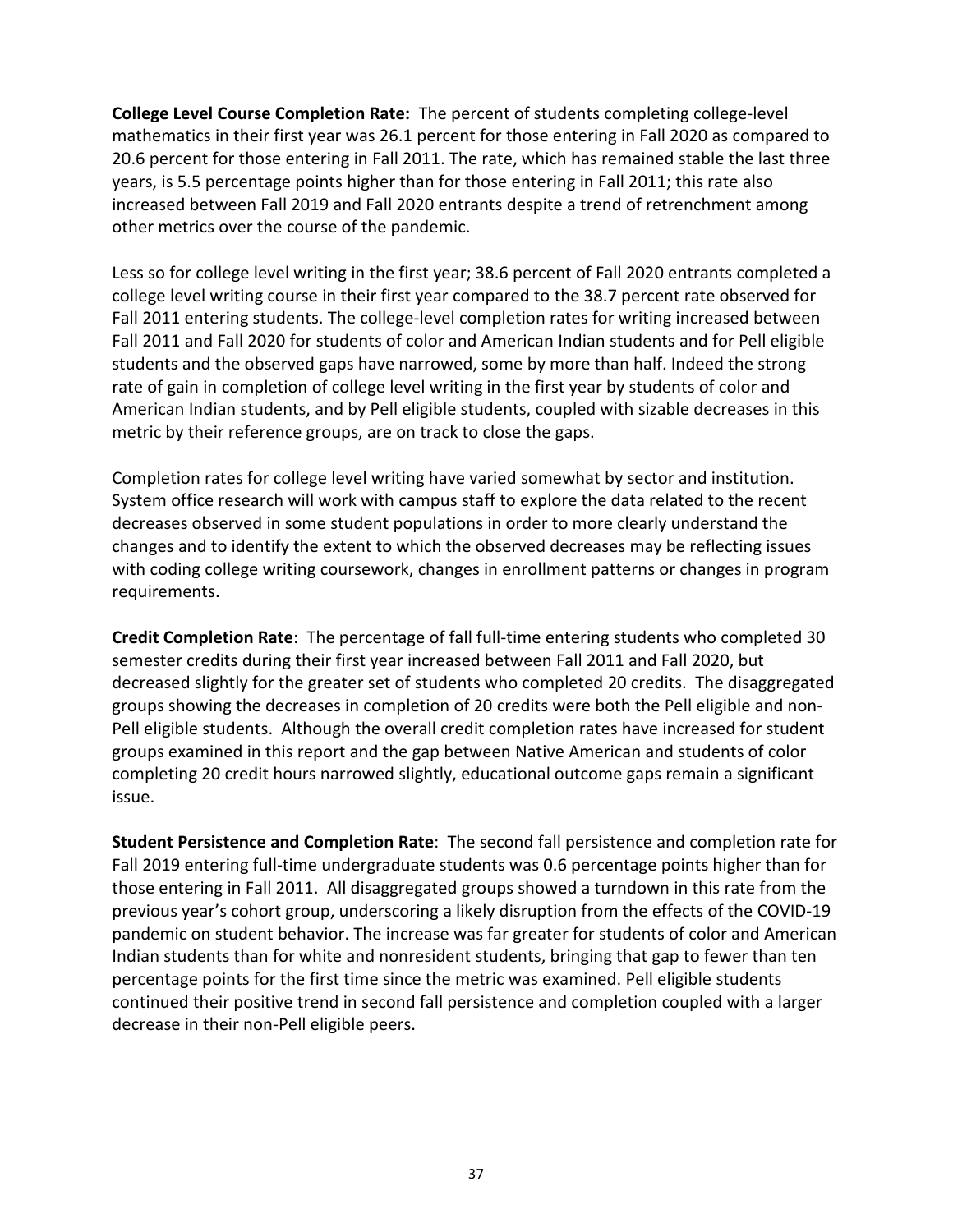College Level Course Completion Rate: The percent of students completing college-level mathematics in their first year was 26.1 percent for those entering in Fall 2020 as compared to 20.6 percent for those entering in Fall 2011. The rate, which has remained stable the last three years, is 5.5 percentage points higher than for those entering in Fall 2011; this rate also increased between Fall 2019 and Fall 2020 entrants despite a trend of retrenchment among other metrics over the course of the pandemic.

 Less so for college level writing in the first year; 38.6 percent of Fall 2020 entrants completed a college level writing course in their first year compared to the 38.7 percent rate observed for Fall 2011 entering students. The college-level completion rates for writing increased between Fall 2011 and Fall 2020 for students of color and American Indian students and for Pell eligible students and the observed gaps have narrowed, some by more than half. Indeed the strong rate of gain in completion of college level writing in the first year by students of color and American Indian students, and by Pell eligible students, coupled with sizable decreases in this metric by their reference groups, are on track to close the gaps.

 Completion rates for college level writing have varied somewhat by sector and institution. System office research will work with campus staff to explore the data related to the recent decreases observed in some student populations in order to more clearly understand the changes and to identify the extent to which the observed decreases may be reflecting issues with coding college writing coursework, changes in enrollment patterns or changes in program requirements.

Credit Completion Rate: The percentage of fall full-time entering students who completed 30 semester credits during their first year increased between Fall 2011 and Fall 2020, but decreased slightly for the greater set of students who completed 20 credits. The disaggregated groups showing the decreases in completion of 20 credits were both the Pell eligible and non- Pell eligible students. Although the overall credit completion rates have increased for student groups examined in this report and the gap between Native American and students of color completing 20 credit hours narrowed slightly, educational outcome gaps remain a significant issue.

Student Persistence and Completion Rate: The second fall persistence and completion rate for Fall 2019 entering full-time undergraduate students was 0.6 percentage points higher than for those entering in Fall 2011. All disaggregated groups showed a turndown in this rate from the previous year's cohort group, underscoring a likely disruption from the effects of the COVID-19 pandemic on student behavior. The increase was far greater for students of color and American Indian students than for white and nonresident students, bringing that gap to fewer than ten percentage points for the first time since the metric was examined. Pell eligible students continued their positive trend in second fall persistence and completion coupled with a larger decrease in their non-Pell eligible peers.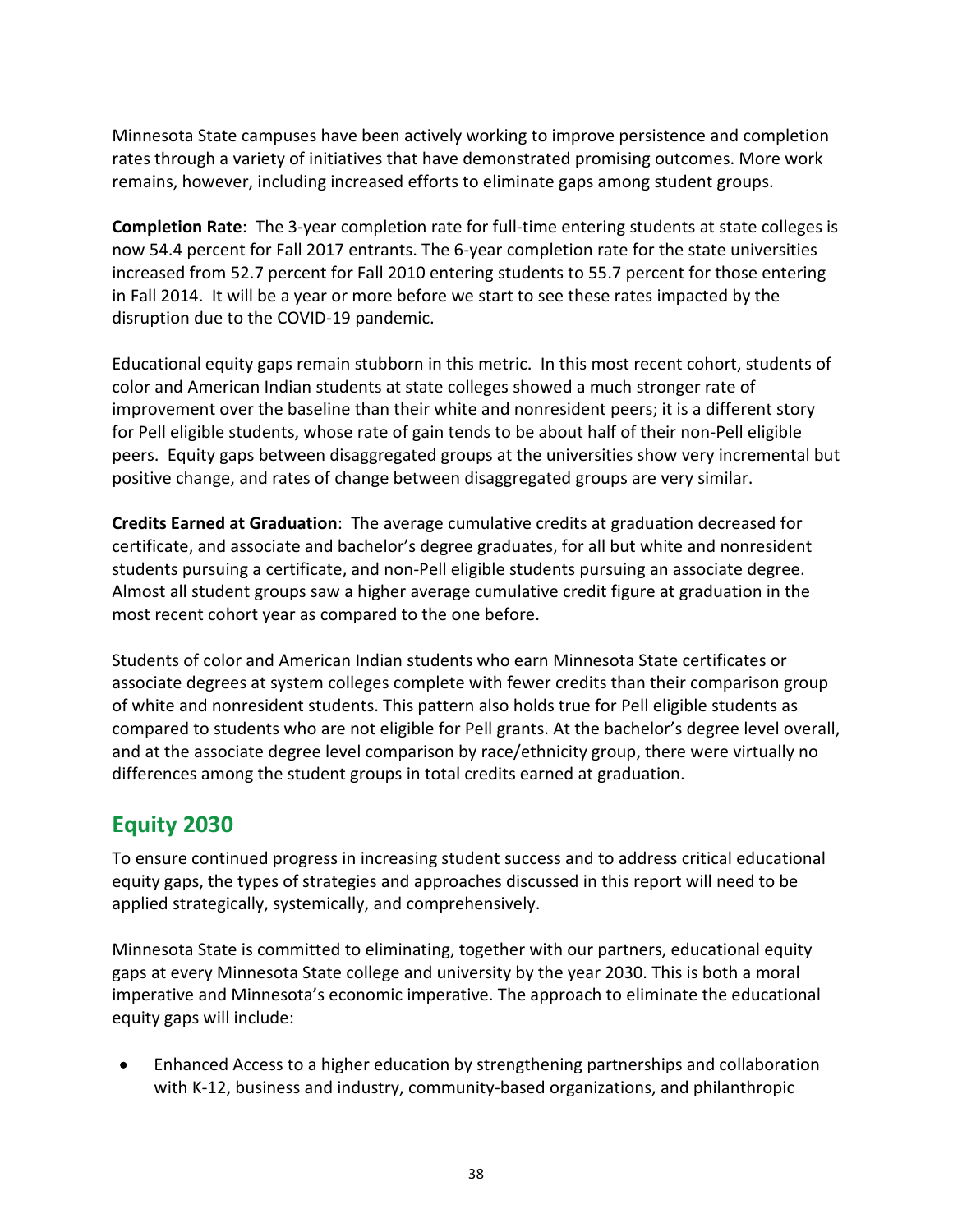Minnesota State campuses have been actively working to improve persistence and completion rates through a variety of initiatives that have demonstrated promising outcomes. More work remains, however, including increased efforts to eliminate gaps among student groups.

Completion Rate: The 3-year completion rate for full-time entering students at state colleges is now 54.4 percent for Fall 2017 entrants. The 6-year completion rate for the state universities increased from 52.7 percent for Fall 2010 entering students to 55.7 percent for those entering in Fall 2014. It will be a year or more before we start to see these rates impacted by the disruption due to the COVID-19 pandemic.

 Educational equity gaps remain stubborn in this metric. In this most recent cohort, students of color and American Indian students at state colleges showed a much stronger rate of improvement over the baseline than their white and nonresident peers; it is a different story for Pell eligible students, whose rate of gain tends to be about half of their non-Pell eligible peers. Equity gaps between disaggregated groups at the universities show very incremental but positive change, and rates of change between disaggregated groups are very similar.

Credits Earned at Graduation: The average cumulative credits at graduation decreased for certificate, and associate and bachelor's degree graduates, for all but white and nonresident students pursuing a certificate, and non-Pell eligible students pursuing an associate degree. Almost all student groups saw a higher average cumulative credit figure at graduation in the most recent cohort year as compared to the one before.

 Students of color and American Indian students who earn Minnesota State certificates or associate degrees at system colleges complete with fewer credits than their comparison group of white and nonresident students. This pattern also holds true for Pell eligible students as compared to students who are not eligible for Pell grants. At the bachelor's degree level overall, and at the associate degree level comparison by race/ethnicity group, there were virtually no differences among the student groups in total credits earned at graduation.

## Equity 2030

 To ensure continued progress in increasing student success and to address critical educational equity gaps, the types of strategies and approaches discussed in this report will need to be applied strategically, systemically, and comprehensively.

 Minnesota State is committed to eliminating, together with our partners, educational equity gaps at every Minnesota State college and university by the year 2030. This is both a moral imperative and Minnesota's economic imperative. The approach to eliminate the educational equity gaps will include:

 Enhanced Access to a higher education by strengthening partnerships and collaboration  $\bullet$ with K-12, business and industry, community-based organizations, and philanthropic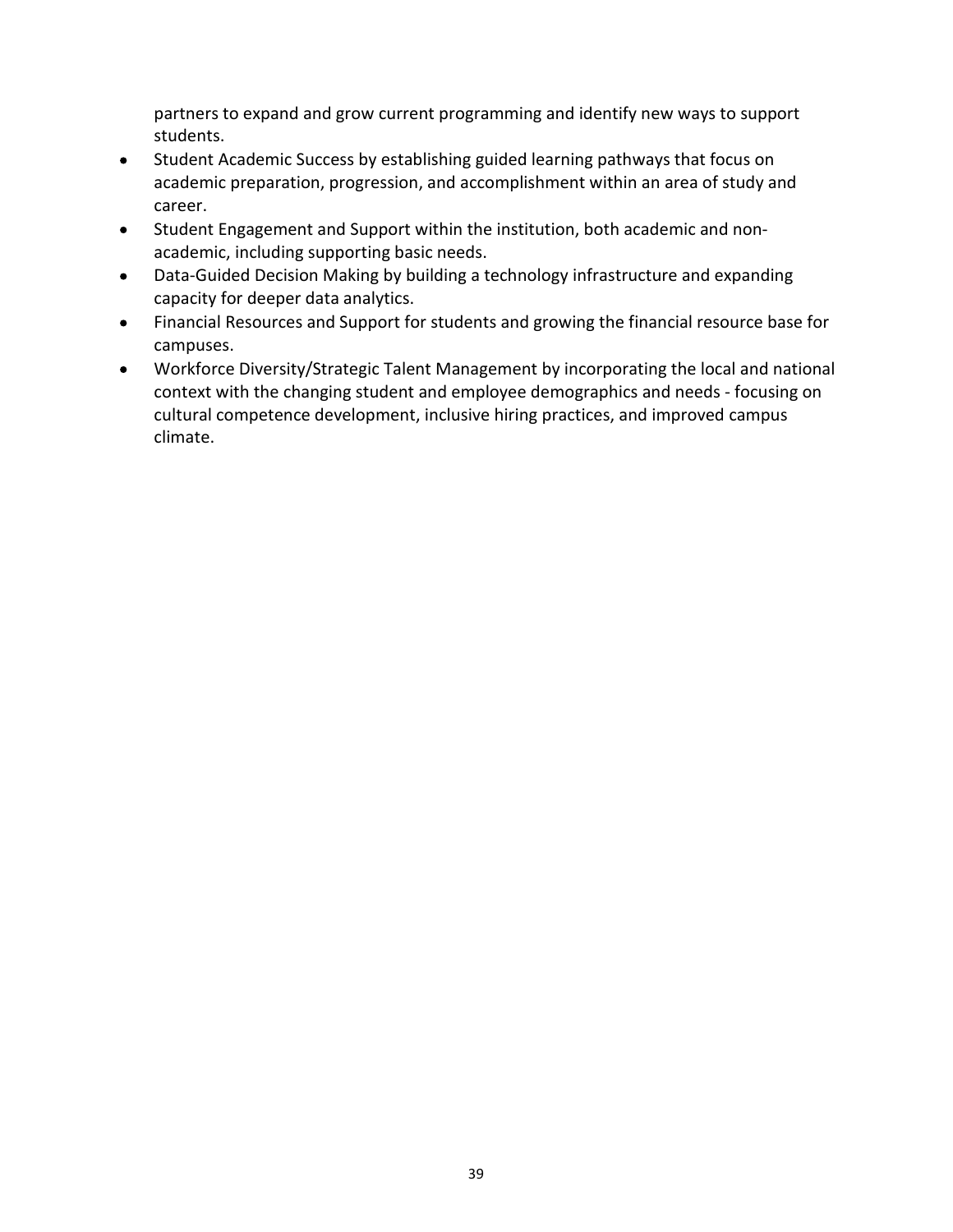partners to expand and grow current programming and identify new ways to support students.

- Student Academic Success by establishing guided learning pathways that focus on  $\bullet$  academic preparation, progression, and accomplishment within an area of study and career.
- Student Engagement and Support within the institution, both academic and non- $\bullet$ academic, including supporting basic needs.
- Data-Guided Decision Making by building a technology infrastructure and expanding  $\bullet$ capacity for deeper data analytics.
- Financial Resources and Support for students and growing the financial resource base for  $\bullet$ campuses.
- Workforce Diversity/Strategic Talent Management by incorporating the local and national  $\bullet$  context with the changing student and employee demographics and needs - focusing on cultural competence development, inclusive hiring practices, and improved campus climate.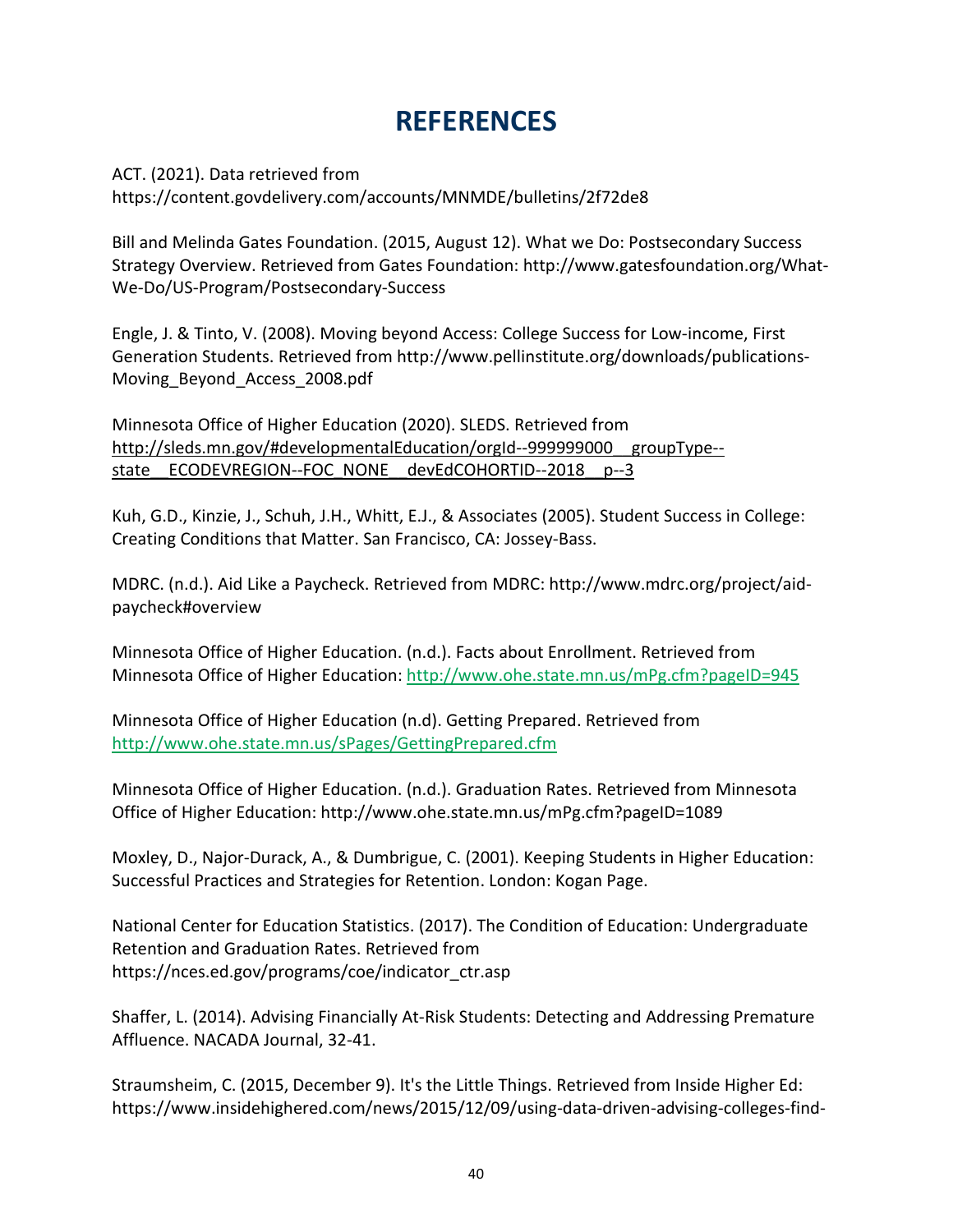## **REFERENCES**

 ACT. (2021). Data retrieved from <https://content.govdelivery.com/accounts/MNMDE/bulletins/2f72de8>

 Bill and Melinda Gates Foundation. (2015, August 12). What we Do: Postsecondary Success Strategy Overview. Retrieved from Gates Foundation: [http://www.gatesfoundation.org/What-](http://www.gatesfoundation.org/What-We-Do/US-Program/Postsecondary-Success)[We-Do/US-Program/Postsecondary-Success](http://www.gatesfoundation.org/What-We-Do/US-Program/Postsecondary-Success)

 Engle, J. & Tinto, V. (2008). Moving beyond Access: College Success for Low-income, First Generation Students. Retrieved from [http://www.pellinstitute.org/downloads/publications-](http://www.pellinstitute.org/downloads/publications-Moving_Beyond_Access_2008.pdf)[Moving\\_Beyond\\_Access\\_2008.pdf](http://www.pellinstitute.org/downloads/publications-Moving_Beyond_Access_2008.pdf)

 Minnesota Office of Higher Education (2020). SLEDS. Retrieved from [http://sleds.mn.gov/#developmentalEducation/orgId--999999000\\_\\_groupType-](http://sleds.mn.gov/#developmentalEducation/orgId--999999000__groupType--state__ECODEVREGION--FOC_NONE__devEdCOHORTID--2018__p--3) state ECODEVREGION--FOC NONE devEdCOHORTID--2018 p--3

 Kuh, G.D., Kinzie, J., Schuh, J.H., Whitt, E.J., & Associates (2005). Student Success in College: Creating Conditions that Matter. San Francisco, CA: Jossey-Bass.

 MDRC. (n.d.). Aid Like a Paycheck. Retrieved from MDRC: [http://www.mdrc.org/project/aid](http://www.mdrc.org/project/aid-paycheck#overview)[paycheck#overview](http://www.mdrc.org/project/aid-paycheck#overview)

 Minnesota Office of Higher Education. (n.d.). Facts about Enrollment. Retrieved from Minnesota Office of Higher Education: <http://www.ohe.state.mn.us/mPg.cfm?pageID=945>

 Minnesota Office of Higher Education (n.d). Getting Prepared. Retrieved from <http://www.ohe.state.mn.us/sPages/GettingPrepared.cfm>

 Minnesota Office of Higher Education. (n.d.). Graduation Rates. Retrieved from Minnesota Office of Higher Education: <http://www.ohe.state.mn.us/mPg.cfm?pageID=1089>

 Moxley, D., Najor-Durack, A., & Dumbrigue, C. (2001). Keeping Students in Higher Education: Successful Practices and Strategies for Retention. London: Kogan Page.

 National Center for Education Statistics. (2017). The Condition of Education: Undergraduate Retention and Graduation Rates. Retrieved from [https://nces.ed.gov/programs/coe/indicator\\_ctr.asp](https://nces.ed.gov/programs/coe/indicator_ctr.asp)

 Shaffer, L. (2014). Advising Financially At-Risk Students: Detecting and Addressing Premature Affluence. NACADA Journal, 32-41.

 Straumsheim, C. (2015, December 9). It's the Little Things. Retrieved from Inside Higher Ed: [https://www.insidehighered.com/news/2015/12/09/using-data-driven-advising-colleges-find-](https://www.insidehighered.com/news/2015/12/09/using-data-driven-advising-colleges-find)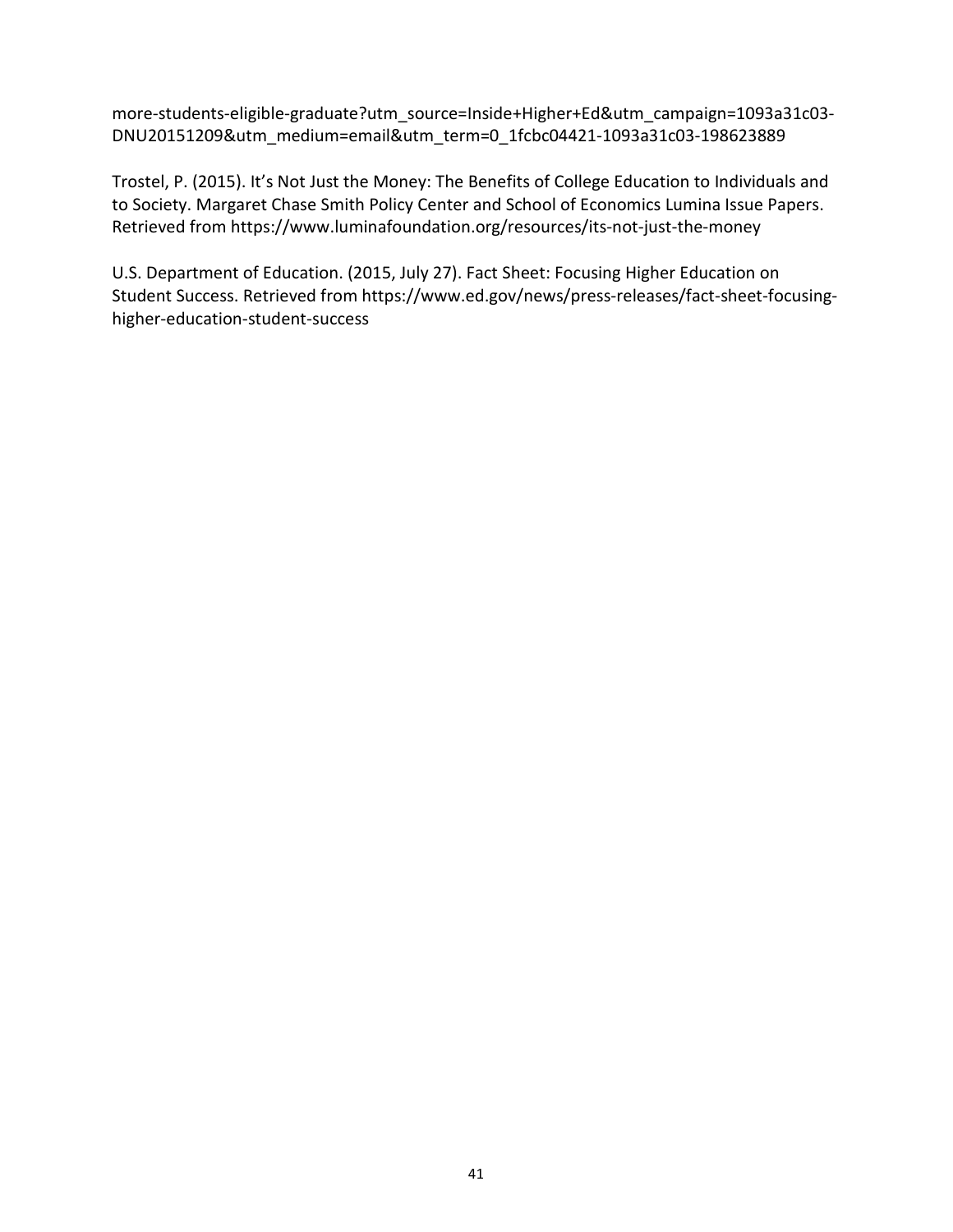[more-students-eligible-graduate?utm\\_source=Inside+Higher+Ed&utm\\_campaign=1093a31c03-](https://www.insidehighered.com/news/2015/12/09/using-data-driven-advising-colleges-find-more-students-eligible-graduate?utm_source=Inside+Higher+Ed&utm_campaign=1093a31c03DNU20151209&utm_medium=email&utm_term=0_1fcbc04421-1093a31c03-198623889) DNU20151209&utm\_medium=email&utm\_term=0\_1fcbc04421-1093a31c03-198623889

 Trostel, P. (2015). It's Not Just the Money: The Benefits of College Education to Individuals and to Society. Margaret Chase Smith Policy Center and School of Economics Lumina Issue Papers. Retrieved from <https://www.luminafoundation.org/resources/its-not-just-the-money>

 U.S. Department of Education. (2015, July 27). Fact Sheet: Focusing Higher Education on Student Success. Retrieved from [https://www.ed.gov/news/press-releases/fact-sheet-focusing](https://www.ed.gov/news/press-releases/fact-sheet-focusing-higher-education-student-success)[higher-education-student-success](https://www.ed.gov/news/press-releases/fact-sheet-focusing-higher-education-student-success)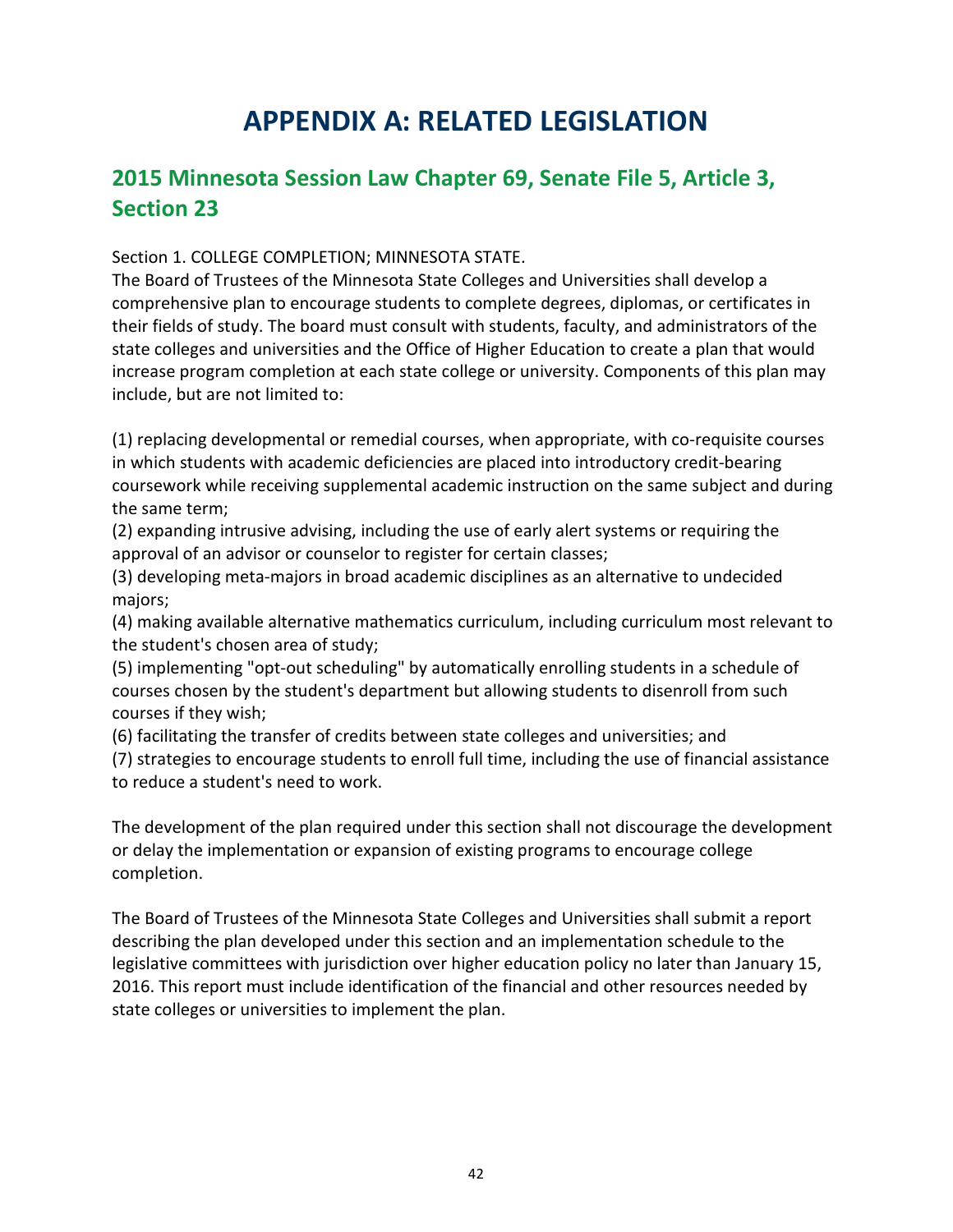## APPENDIX A: RELATED LEGISLATION

## 2015 Minnesota Session Law Chapter 69, Senate File 5, Article 3, Section 23

Section 1. COLLEGE COMPLETION; MINNESOTA STATE.

 The Board of Trustees of the Minnesota State Colleges and Universities shall develop a comprehensive plan to encourage students to complete degrees, diplomas, or certificates in their fields of study. The board must consult with students, faculty, and administrators of the state colleges and universities and the Office of Higher Education to create a plan that would increase program completion at each state college or university. Components of this plan may include, but are not limited to:

 (1) replacing developmental or remedial courses, when appropriate, with co-requisite courses in which students with academic deficiencies are placed into introductory credit-bearing coursework while receiving supplemental academic instruction on the same subject and during the same term;

 (2) expanding intrusive advising, including the use of early alert systems or requiring the approval of an advisor or counselor to register for certain classes;

 (3) developing meta-majors in broad academic disciplines as an alternative to undecided majors;

 (4) making available alternative mathematics curriculum, including curriculum most relevant to the student's chosen area of study;

 (5) implementing "opt-out scheduling" by automatically enrolling students in a schedule of courses chosen by the student's department but allowing students to disenroll from such courses if they wish;

(6) facilitating the transfer of credits between state colleges and universities; and

 (7) strategies to encourage students to enroll full time, including the use of financial assistance to reduce a student's need to work.

 The development of the plan required under this section shall not discourage the development or delay the implementation or expansion of existing programs to encourage college completion.

 The Board of Trustees of the Minnesota State Colleges and Universities shall submit a report describing the plan developed under this section and an implementation schedule to the legislative committees with jurisdiction over higher education policy no later than January 15, 2016. This report must include identification of the financial and other resources needed by state colleges or universities to implement the plan.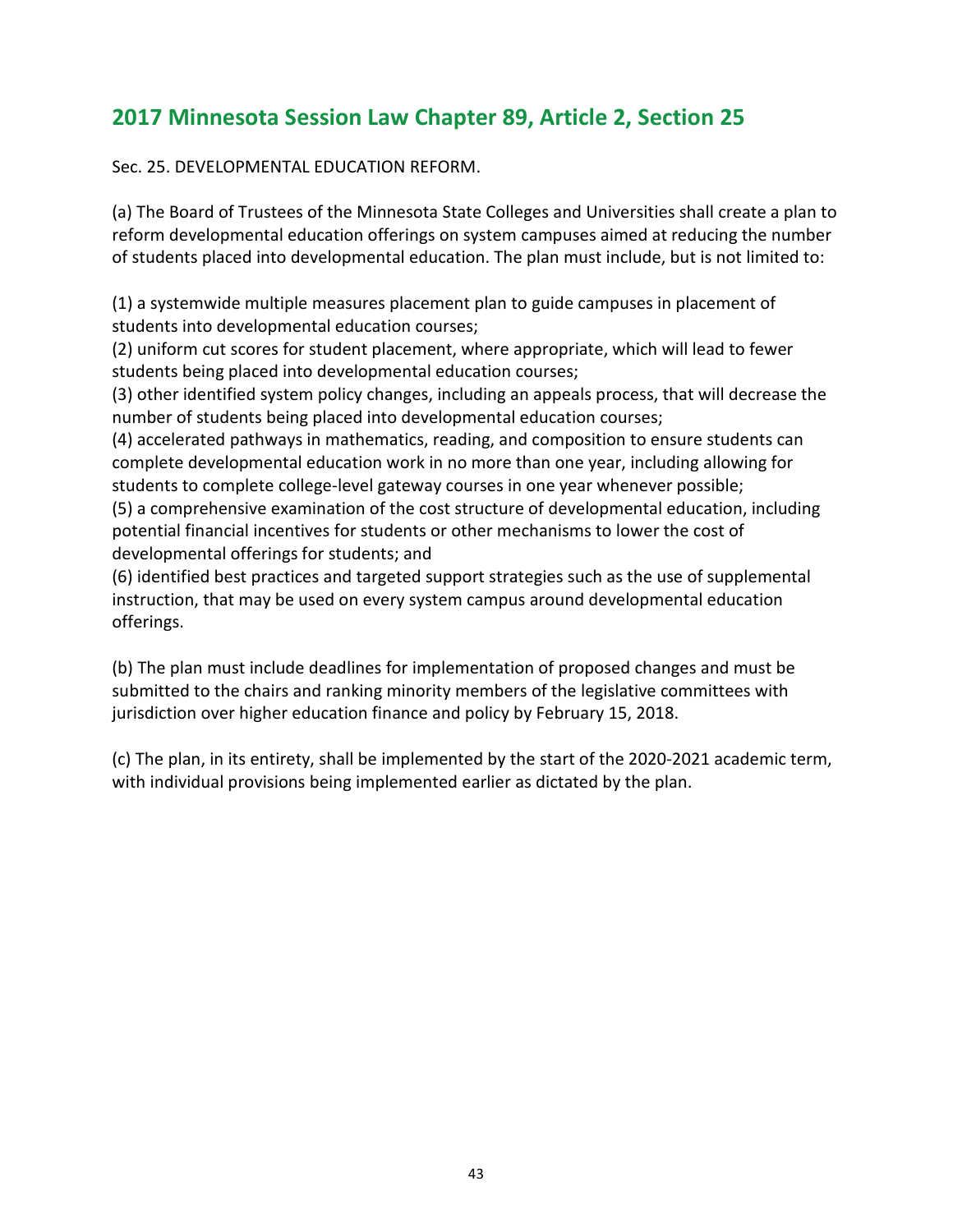## 2017 Minnesota Session Law Chapter 89, Article 2, Section 25

Sec. 25. DEVELOPMENTAL EDUCATION REFORM.

 (a) The Board of Trustees of the Minnesota State Colleges and Universities shall create a plan to reform developmental education offerings on system campuses aimed at reducing the number of students placed into developmental education. The plan must include, but is not limited to:

 (1) a systemwide multiple measures placement plan to guide campuses in placement of students into developmental education courses;

 (2) uniform cut scores for student placement, where appropriate, which will lead to fewer students being placed into developmental education courses;

 (3) other identified system policy changes, including an appeals process, that will decrease the number of students being placed into developmental education courses;

 (4) accelerated pathways in mathematics, reading, and composition to ensure students can complete developmental education work in no more than one year, including allowing for students to complete college-level gateway courses in one year whenever possible;

 (5) a comprehensive examination of the cost structure of developmental education, including potential financial incentives for students or other mechanisms to lower the cost of developmental offerings for students; and

 (6) identified best practices and targeted support strategies such as the use of supplemental instruction, that may be used on every system campus around developmental education offerings.

 (b) The plan must include deadlines for implementation of proposed changes and must be submitted to the chairs and ranking minority members of the legislative committees with jurisdiction over higher education finance and policy by February 15, 2018.

 (c) The plan, in its entirety, shall be implemented by the start of the 2020-2021 academic term, with individual provisions being implemented earlier as dictated by the plan.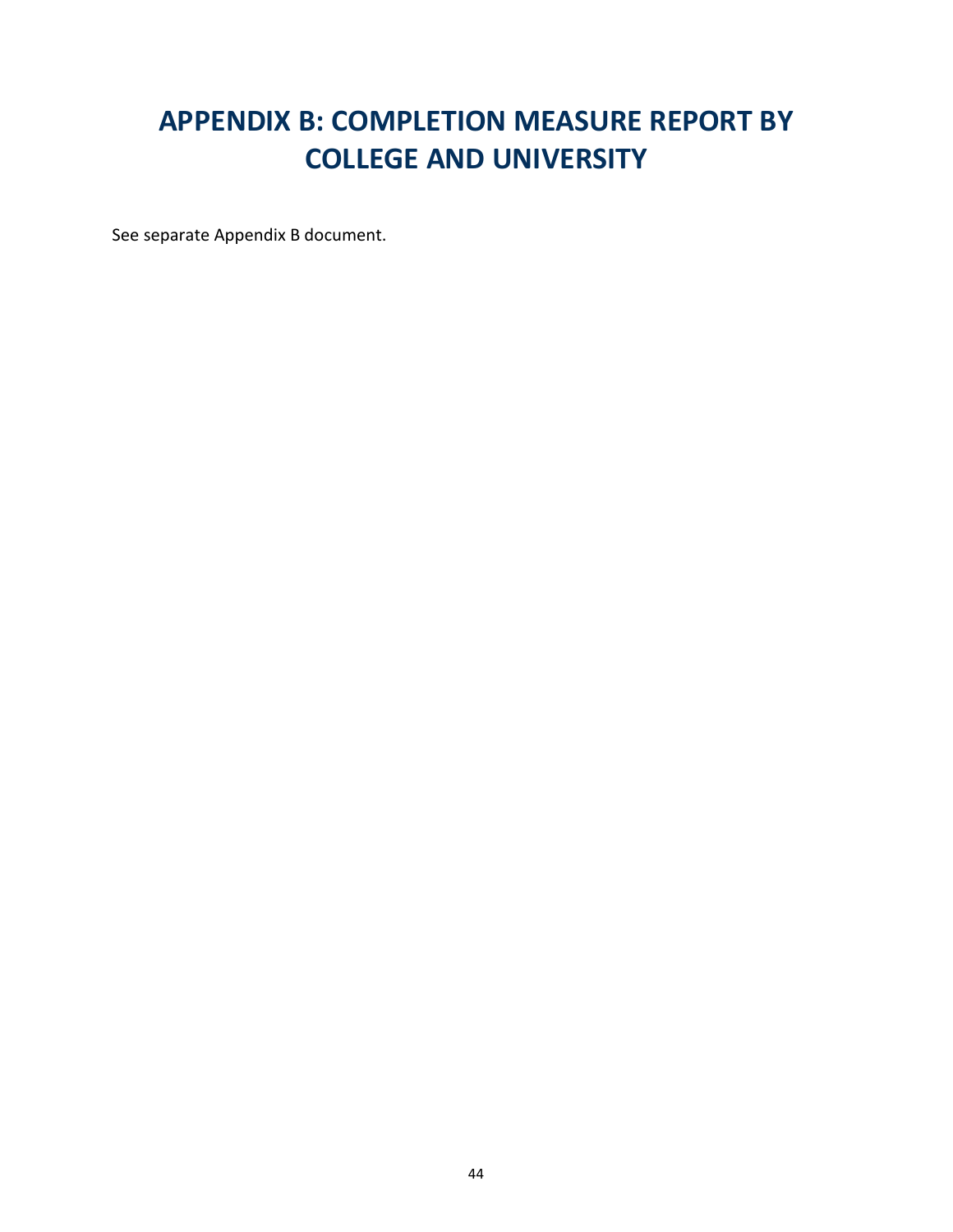## APPENDIX B: COMPLETION MEASURE REPORT BY COLLEGE AND UNIVERSITY

See separate Appendix B document.